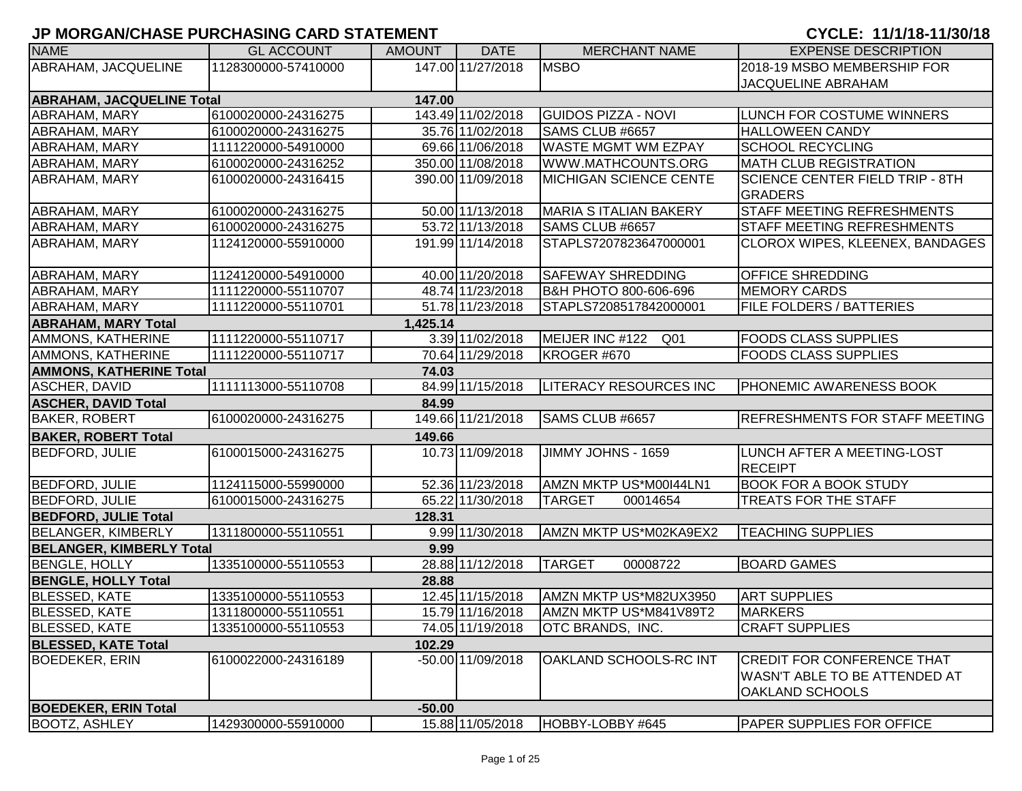| <b>NAME</b>                      | <b>GL ACCOUNT</b>   | <b>AMOUNT</b> | <b>DATE</b>       | <b>MERCHANT NAME</b>             | <b>EXPENSE DESCRIPTION</b>                                     |
|----------------------------------|---------------------|---------------|-------------------|----------------------------------|----------------------------------------------------------------|
| ABRAHAM, JACQUELINE              | 1128300000-57410000 |               | 147.00 11/27/2018 | <b>MSBO</b>                      | 2018-19 MSBO MEMBERSHIP FOR                                    |
|                                  |                     |               |                   |                                  | <b>JACQUELINE ABRAHAM</b>                                      |
| <b>ABRAHAM, JACQUELINE Total</b> |                     | 147.00        |                   |                                  |                                                                |
| ABRAHAM, MARY                    | 6100020000-24316275 |               | 143.49 11/02/2018 | <b>GUIDOS PIZZA - NOVI</b>       | LUNCH FOR COSTUME WINNERS                                      |
| ABRAHAM, MARY                    | 6100020000-24316275 |               | 35.76 11/02/2018  | SAMS CLUB #6657                  | <b>HALLOWEEN CANDY</b>                                         |
| ABRAHAM, MARY                    | 1111220000-54910000 |               | 69.66 11/06/2018  | <b>WASTE MGMT WM EZPAY</b>       | <b>SCHOOL RECYCLING</b>                                        |
| ABRAHAM, MARY                    | 6100020000-24316252 |               | 350.00 11/08/2018 | WWW.MATHCOUNTS.ORG               | <b>MATH CLUB REGISTRATION</b>                                  |
| ABRAHAM, MARY                    | 6100020000-24316415 |               | 390.00 11/09/2018 | <b>MICHIGAN SCIENCE CENTE</b>    | <b>SCIENCE CENTER FIELD TRIP - 8TH</b><br><b>GRADERS</b>       |
| <b>ABRAHAM, MARY</b>             | 6100020000-24316275 |               | 50.00 11/13/2018  | <b>MARIA S ITALIAN BAKERY</b>    | <b>STAFF MEETING REFRESHMENTS</b>                              |
| ABRAHAM, MARY                    | 6100020000-24316275 |               | 53.72 11/13/2018  | SAMS CLUB #6657                  | <b>STAFF MEETING REFRESHMENTS</b>                              |
| ABRAHAM, MARY                    | 1124120000-55910000 |               | 191.99 11/14/2018 | STAPLS7207823647000001           | CLOROX WIPES, KLEENEX, BANDAGES                                |
| <b>ABRAHAM, MARY</b>             | 1124120000-54910000 |               | 40.00 11/20/2018  | <b>SAFEWAY SHREDDING</b>         | <b>OFFICE SHREDDING</b>                                        |
| ABRAHAM, MARY                    | 1111220000-55110707 |               | 48.74 11/23/2018  | <b>B&amp;H PHOTO 800-606-696</b> | <b>MEMORY CARDS</b>                                            |
| ABRAHAM, MARY                    | 1111220000-55110701 |               | 51.78 11/23/2018  | STAPLS7208517842000001           | <b>FILE FOLDERS / BATTERIES</b>                                |
| <b>ABRAHAM, MARY Total</b>       |                     | 1,425.14      |                   |                                  |                                                                |
| AMMONS, KATHERINE                | 1111220000-55110717 |               | 3.39 11/02/2018   | MEIJER INC #122<br>Q01           | <b>FOODS CLASS SUPPLIES</b>                                    |
| AMMONS, KATHERINE                | 1111220000-55110717 |               | 70.64 11/29/2018  | KROGER #670                      | <b>FOODS CLASS SUPPLIES</b>                                    |
| <b>AMMONS, KATHERINE Total</b>   |                     | 74.03         |                   |                                  |                                                                |
| <b>ASCHER, DAVID</b>             | 1111113000-55110708 |               | 84.99 11/15/2018  | LITERACY RESOURCES INC           | <b>PHONEMIC AWARENESS BOOK</b>                                 |
| <b>ASCHER, DAVID Total</b>       |                     | 84.99         |                   |                                  |                                                                |
| <b>BAKER, ROBERT</b>             | 6100020000-24316275 |               | 149.66 11/21/2018 | SAMS CLUB #6657                  | <b>REFRESHMENTS FOR STAFF MEETING</b>                          |
| <b>BAKER, ROBERT Total</b>       |                     | 149.66        |                   |                                  |                                                                |
| <b>BEDFORD, JULIE</b>            | 6100015000-24316275 |               | 10.73 11/09/2018  | JIMMY JOHNS - 1659               | LUNCH AFTER A MEETING-LOST<br><b>RECEIPT</b>                   |
| <b>BEDFORD, JULIE</b>            | 1124115000-55990000 |               | 52.36 11/23/2018  | AMZN MKTP US*M00I44LN1           | <b>BOOK FOR A BOOK STUDY</b>                                   |
| <b>BEDFORD, JULIE</b>            | 6100015000-24316275 |               | 65.22 11/30/2018  | <b>TARGET</b><br>00014654        | TREATS FOR THE STAFF                                           |
| <b>BEDFORD, JULIE Total</b>      |                     | 128.31        |                   |                                  |                                                                |
| <b>BELANGER, KIMBERLY</b>        | 1311800000-55110551 |               | 9.99 11/30/2018   | AMZN MKTP US*M02KA9EX2           | <b>TEACHING SUPPLIES</b>                                       |
| <b>BELANGER, KIMBERLY Total</b>  |                     | 9.99          |                   |                                  |                                                                |
| <b>BENGLE, HOLLY</b>             | 1335100000-55110553 |               | 28.88 11/12/2018  | TARGET<br>00008722               | <b>BOARD GAMES</b>                                             |
| <b>BENGLE, HOLLY Total</b>       |                     | 28.88         |                   |                                  |                                                                |
| <b>BLESSED, KATE</b>             | 1335100000-55110553 |               | 12.45 11/15/2018  | AMZN MKTP US*M82UX3950           | <b>ART SUPPLIES</b>                                            |
| <b>BLESSED, KATE</b>             | 1311800000-55110551 |               | 15.79 11/16/2018  | AMZN MKTP US*M841V89T2           | <b>MARKERS</b>                                                 |
| <b>BLESSED, KATE</b>             | 1335100000-55110553 |               | 74.05 11/19/2018  | <b>OTC BRANDS, INC.</b>          | <b>CRAFT SUPPLIES</b>                                          |
| <b>BLESSED, KATE Total</b>       |                     | 102.29        |                   |                                  |                                                                |
| <b>BOEDEKER, ERIN</b>            | 6100022000-24316189 |               | -50.00 11/09/2018 | OAKLAND SCHOOLS-RC INT           | <b>CREDIT FOR CONFERENCE THAT</b>                              |
|                                  |                     |               |                   |                                  | <b>WASN'T ABLE TO BE ATTENDED AT</b><br><b>OAKLAND SCHOOLS</b> |
| <b>BOEDEKER, ERIN Total</b>      |                     | $-50.00$      |                   |                                  |                                                                |
| <b>BOOTZ, ASHLEY</b>             | 1429300000-55910000 |               | 15.88 11/05/2018  | HOBBY-LOBBY #645                 | <b>PAPER SUPPLIES FOR OFFICE</b>                               |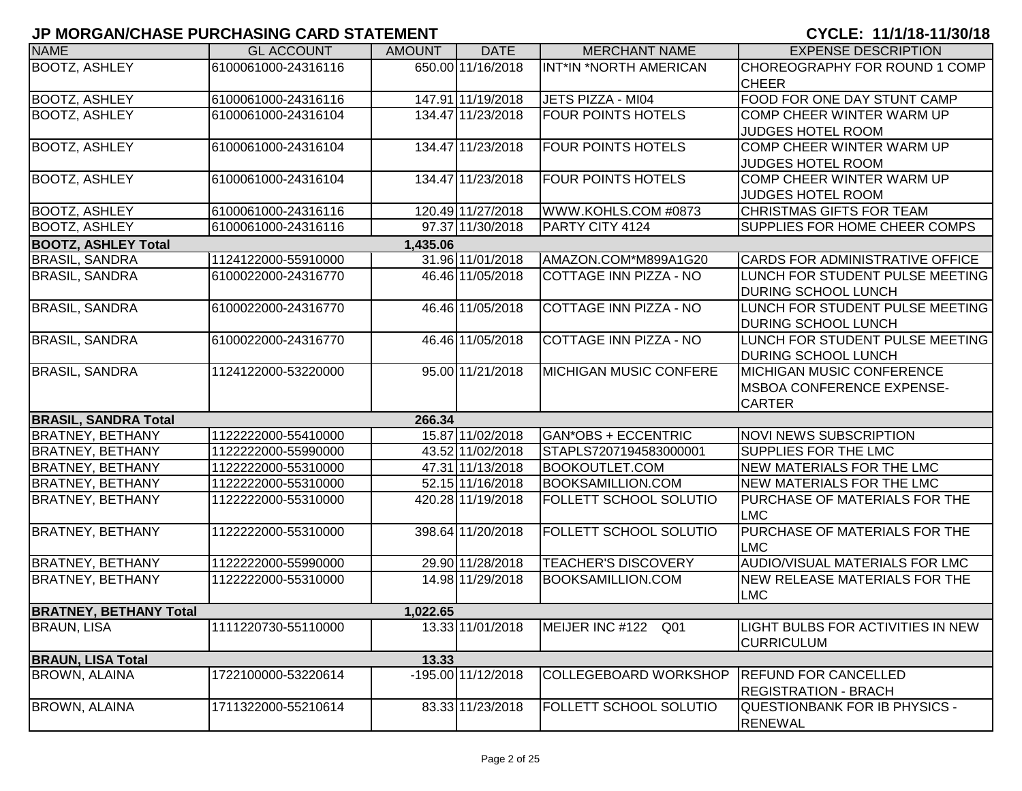| <b>NAME</b>                   | <b>GL ACCOUNT</b>   | <b>AMOUNT</b> | <b>DATE</b>        | <b>MERCHANT NAME</b>          | <b>EXPENSE DESCRIPTION</b>           |
|-------------------------------|---------------------|---------------|--------------------|-------------------------------|--------------------------------------|
| <b>BOOTZ, ASHLEY</b>          | 6100061000-24316116 |               | 650.00 11/16/2018  | INT*IN *NORTH AMERICAN        | CHOREOGRAPHY FOR ROUND 1 COMP        |
|                               |                     |               |                    |                               | <b>CHEER</b>                         |
| <b>BOOTZ, ASHLEY</b>          | 6100061000-24316116 |               | 147.91 11/19/2018  | JETS PIZZA - MI04             | FOOD FOR ONE DAY STUNT CAMP          |
| <b>BOOTZ, ASHLEY</b>          | 6100061000-24316104 |               | 134.47 11/23/2018  | <b>FOUR POINTS HOTELS</b>     | COMP CHEER WINTER WARM UP            |
|                               |                     |               |                    |                               | <b>JUDGES HOTEL ROOM</b>             |
| <b>BOOTZ, ASHLEY</b>          | 6100061000-24316104 |               | 134.47 11/23/2018  | <b>FOUR POINTS HOTELS</b>     | COMP CHEER WINTER WARM UP            |
|                               |                     |               |                    |                               | JUDGES HOTEL ROOM                    |
| <b>BOOTZ, ASHLEY</b>          | 6100061000-24316104 |               | 134.47 11/23/2018  | <b>FOUR POINTS HOTELS</b>     | COMP CHEER WINTER WARM UP            |
|                               |                     |               |                    |                               | JUDGES HOTEL ROOM                    |
| <b>BOOTZ, ASHLEY</b>          | 6100061000-24316116 |               | 120.49 11/27/2018  | WWW.KOHLS.COM #0873           | CHRISTMAS GIFTS FOR TEAM             |
| <b>BOOTZ, ASHLEY</b>          | 6100061000-24316116 |               | 97.37 11/30/2018   | PARTY CITY 4124               | <b>SUPPLIES FOR HOME CHEER COMPS</b> |
| <b>BOOTZ, ASHLEY Total</b>    |                     | 1,435.06      |                    |                               |                                      |
| <b>BRASIL, SANDRA</b>         | 1124122000-55910000 |               | 31.96 11/01/2018   | AMAZON.COM*M899A1G20          | CARDS FOR ADMINISTRATIVE OFFICE      |
| <b>BRASIL, SANDRA</b>         | 6100022000-24316770 |               | 46.46 11/05/2018   | COTTAGE INN PIZZA - NO        | LUNCH FOR STUDENT PULSE MEETING      |
|                               |                     |               |                    |                               | <b>DURING SCHOOL LUNCH</b>           |
| <b>BRASIL, SANDRA</b>         | 6100022000-24316770 |               | 46.46 11/05/2018   | <b>COTTAGE INN PIZZA - NO</b> | LUNCH FOR STUDENT PULSE MEETING      |
|                               |                     |               |                    |                               | <b>DURING SCHOOL LUNCH</b>           |
| <b>BRASIL, SANDRA</b>         | 6100022000-24316770 |               | 46.46 11/05/2018   | <b>COTTAGE INN PIZZA - NO</b> | LUNCH FOR STUDENT PULSE MEETING      |
|                               |                     |               |                    |                               | <b>DURING SCHOOL LUNCH</b>           |
| <b>BRASIL, SANDRA</b>         | 1124122000-53220000 |               | 95.00 11/21/2018   | <b>MICHIGAN MUSIC CONFERE</b> | <b>IMICHIGAN MUSIC CONFERENCE</b>    |
|                               |                     |               |                    |                               | <b>IMSBOA CONFERENCE EXPENSE-</b>    |
|                               |                     |               |                    |                               | <b>CARTER</b>                        |
| <b>BRASIL, SANDRA Total</b>   |                     | 266.34        |                    |                               |                                      |
| <b>BRATNEY, BETHANY</b>       | 1122222000-55410000 |               | 15.87 11/02/2018   | GAN*OBS + ECCENTRIC           | <b>NOVI NEWS SUBSCRIPTION</b>        |
| <b>BRATNEY, BETHANY</b>       | 1122222000-55990000 |               | 43.52 11/02/2018   | STAPLS7207194583000001        | <b>SUPPLIES FOR THE LMC</b>          |
| <b>BRATNEY, BETHANY</b>       | 1122222000-55310000 |               | 47.31 11/13/2018   | <b>BOOKOUTLET.COM</b>         | <b>NEW MATERIALS FOR THE LMC</b>     |
| <b>BRATNEY, BETHANY</b>       | 1122222000-55310000 |               | 52.15 11/16/2018   | <b>BOOKSAMILLION.COM</b>      | NEW MATERIALS FOR THE LMC            |
| <b>BRATNEY, BETHANY</b>       | 1122222000-55310000 |               | 420.28 11/19/2018  | FOLLETT SCHOOL SOLUTIO        | PURCHASE OF MATERIALS FOR THE        |
|                               |                     |               |                    |                               | <b>LMC</b>                           |
| <b>BRATNEY, BETHANY</b>       | 1122222000-55310000 |               | 398.64 11/20/2018  | FOLLETT SCHOOL SOLUTIO        | PURCHASE OF MATERIALS FOR THE        |
|                               |                     |               |                    |                               | <b>LMC</b>                           |
| <b>BRATNEY, BETHANY</b>       | 1122222000-55990000 |               | 29.90 11/28/2018   | <b>TEACHER'S DISCOVERY</b>    | AUDIO/VISUAL MATERIALS FOR LMC       |
| <b>BRATNEY, BETHANY</b>       | 1122222000-55310000 |               | 14.98 11/29/2018   | <b>BOOKSAMILLION.COM</b>      | <b>NEW RELEASE MATERIALS FOR THE</b> |
|                               |                     |               |                    |                               | <b>LMC</b>                           |
| <b>BRATNEY, BETHANY Total</b> |                     | 1,022.65      |                    |                               |                                      |
| <b>BRAUN, LISA</b>            | 1111220730-55110000 |               | 13.33 11/01/2018   | MEIJER INC #122 Q01           | LIGHT BULBS FOR ACTIVITIES IN NEW    |
|                               |                     |               |                    |                               | <b>CURRICULUM</b>                    |
| <b>BRAUN, LISA Total</b>      |                     | 13.33         |                    |                               |                                      |
| <b>BROWN, ALAINA</b>          | 1722100000-53220614 |               | -195.00 11/12/2018 | <b>COLLEGEBOARD WORKSHOP</b>  | <b>REFUND FOR CANCELLED</b>          |
|                               |                     |               |                    |                               | <b>REGISTRATION - BRACH</b>          |
| <b>BROWN, ALAINA</b>          | 1711322000-55210614 |               | 83.33 11/23/2018   | FOLLETT SCHOOL SOLUTIO        | QUESTIONBANK FOR IB PHYSICS -        |
|                               |                     |               |                    |                               | <b>RENEWAL</b>                       |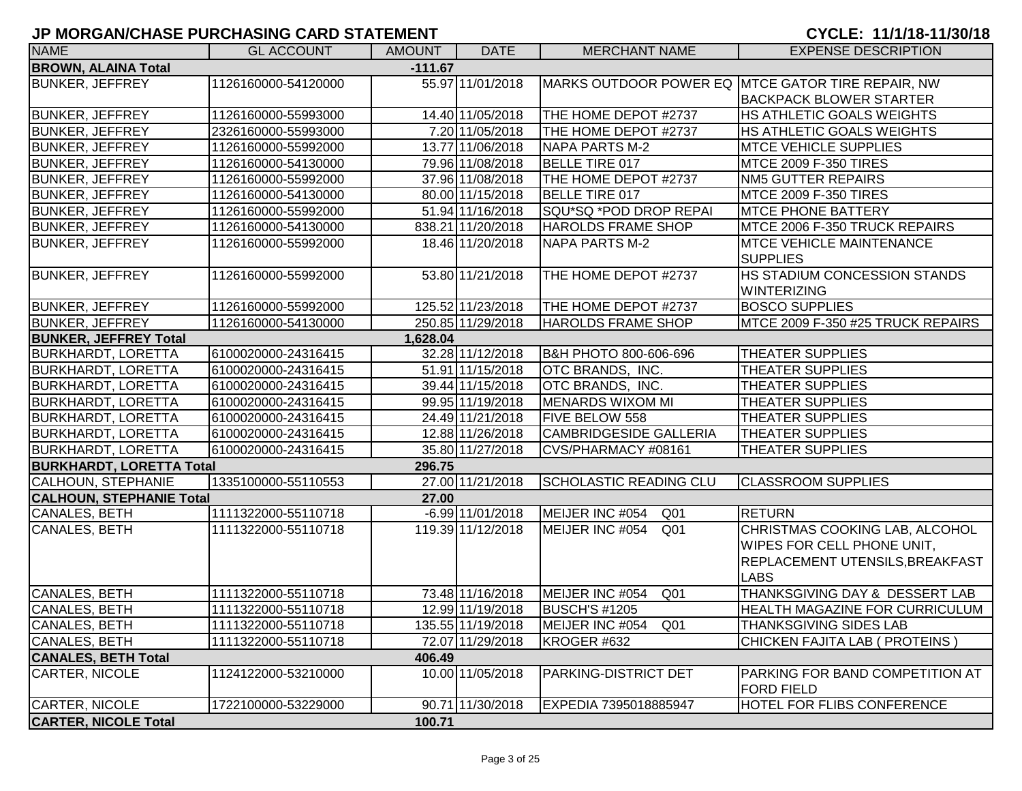| <b>NAME</b>                     | <b>GL ACCOUNT</b>   | <b>AMOUNT</b> | <b>DATE</b>        | <b>MERCHANT NAME</b>               | <b>EXPENSE DESCRIPTION</b>                           |
|---------------------------------|---------------------|---------------|--------------------|------------------------------------|------------------------------------------------------|
| <b>BROWN, ALAINA Total</b>      |                     | $-111.67$     |                    |                                    |                                                      |
| <b>BUNKER, JEFFREY</b>          | 1126160000-54120000 |               | 55.97 11/01/2018   |                                    | MARKS OUTDOOR POWER EQ MTCE GATOR TIRE REPAIR, NW    |
|                                 |                     |               |                    |                                    | <b>BACKPACK BLOWER STARTER</b>                       |
| <b>BUNKER, JEFFREY</b>          | 1126160000-55993000 |               | 14.40 11/05/2018   | THE HOME DEPOT #2737               | HS ATHLETIC GOALS WEIGHTS                            |
| <b>BUNKER, JEFFREY</b>          | 2326160000-55993000 |               | 7.20 11/05/2018    | THE HOME DEPOT #2737               | HS ATHLETIC GOALS WEIGHTS                            |
| <b>BUNKER, JEFFREY</b>          | 1126160000-55992000 |               | 13.77 11/06/2018   | <b>NAPA PARTS M-2</b>              | <b>MTCE VEHICLE SUPPLIES</b>                         |
| <b>BUNKER, JEFFREY</b>          | 1126160000-54130000 |               | 79.96 11/08/2018   | BELLE TIRE 017                     | <b>MTCE 2009 F-350 TIRES</b>                         |
| <b>BUNKER, JEFFREY</b>          | 1126160000-55992000 |               | 37.96 11/08/2018   | THE HOME DEPOT #2737               | <b>NM5 GUTTER REPAIRS</b>                            |
| <b>BUNKER, JEFFREY</b>          | 1126160000-54130000 |               | 80.00 11/15/2018   | <b>BELLE TIRE 017</b>              | <b>MTCE 2009 F-350 TIRES</b>                         |
| <b>BUNKER, JEFFREY</b>          | 1126160000-55992000 |               | 51.94 11/16/2018   | SQU*SQ *POD DROP REPAI             | <b>MTCE PHONE BATTERY</b>                            |
| <b>BUNKER, JEFFREY</b>          | 1126160000-54130000 |               | 838.21 11/20/2018  | <b>HAROLDS FRAME SHOP</b>          | MTCE 2006 F-350 TRUCK REPAIRS                        |
| <b>BUNKER, JEFFREY</b>          | 1126160000-55992000 |               | 18.46 11/20/2018   | <b>NAPA PARTS M-2</b>              | <b>MTCE VEHICLE MAINTENANCE</b>                      |
|                                 |                     |               |                    |                                    | <b>SUPPLIES</b>                                      |
| <b>BUNKER, JEFFREY</b>          | 1126160000-55992000 |               | 53.80 11/21/2018   | THE HOME DEPOT #2737               | HS STADIUM CONCESSION STANDS                         |
|                                 |                     |               |                    |                                    | <b>WINTERIZING</b>                                   |
| <b>BUNKER, JEFFREY</b>          | 1126160000-55992000 |               | 125.52 11/23/2018  | THE HOME DEPOT #2737               | <b>BOSCO SUPPLIES</b>                                |
| <b>BUNKER, JEFFREY</b>          | 1126160000-54130000 |               | 250.85 11/29/2018  | <b>HAROLDS FRAME SHOP</b>          | MTCE 2009 F-350 #25 TRUCK REPAIRS                    |
| <b>BUNKER, JEFFREY Total</b>    |                     | 1,628.04      |                    |                                    |                                                      |
| <b>BURKHARDT, LORETTA</b>       | 6100020000-24316415 |               | 32.28 11/12/2018   | B&H PHOTO 800-606-696              | <b>THEATER SUPPLIES</b>                              |
| <b>BURKHARDT, LORETTA</b>       | 6100020000-24316415 |               | 51.91 11/15/2018   | OTC BRANDS, INC.                   | THEATER SUPPLIES                                     |
| <b>BURKHARDT, LORETTA</b>       | 6100020000-24316415 |               | 39.44 11/15/2018   | OTC BRANDS, INC.                   | THEATER SUPPLIES                                     |
| <b>BURKHARDT, LORETTA</b>       | 6100020000-24316415 |               | 99.95 11/19/2018   | <b>MENARDS WIXOM MI</b>            | <b>THEATER SUPPLIES</b>                              |
| <b>BURKHARDT, LORETTA</b>       | 6100020000-24316415 |               | 24.49 11/21/2018   | <b>FIVE BELOW 558</b>              | <b>THEATER SUPPLIES</b>                              |
| <b>BURKHARDT, LORETTA</b>       | 6100020000-24316415 |               | 12.88 11/26/2018   | CAMBRIDGESIDE GALLERIA             | <b>THEATER SUPPLIES</b>                              |
| <b>BURKHARDT, LORETTA</b>       | 6100020000-24316415 |               | 35.80 11/27/2018   | CVS/PHARMACY #08161                | <b>THEATER SUPPLIES</b>                              |
| <b>BURKHARDT, LORETTA Total</b> |                     | 296.75        |                    |                                    |                                                      |
| <b>CALHOUN, STEPHANIE</b>       | 1335100000-55110553 |               | 27.00 11/21/2018   | <b>SCHOLASTIC READING CLU</b>      | <b>CLASSROOM SUPPLIES</b>                            |
| <b>CALHOUN, STEPHANIE Total</b> |                     | 27.00         |                    |                                    |                                                      |
| CANALES, BETH                   | 1111322000-55110718 |               | $-6.99$ 11/01/2018 | MEIJER INC #054<br>Q01             | <b>RETURN</b>                                        |
| CANALES, BETH                   | 1111322000-55110718 |               | 119.39 11/12/2018  | MEIJER INC #054<br>Q <sub>01</sub> | CHRISTMAS COOKING LAB, ALCOHOL                       |
|                                 |                     |               |                    |                                    | WIPES FOR CELL PHONE UNIT.                           |
|                                 |                     |               |                    |                                    | REPLACEMENT UTENSILS, BREAKFAST                      |
|                                 |                     |               |                    |                                    | <b>LABS</b>                                          |
| <b>CANALES, BETH</b>            | 1111322000-55110718 |               | 73.48 11/16/2018   | MEIJER INC #054<br>Q01             | THANKSGIVING DAY & DESSERT LAB                       |
| CANALES, BETH                   | 1111322000-55110718 |               | 12.99 11/19/2018   | <b>BUSCH'S #1205</b>               | HEALTH MAGAZINE FOR CURRICULUM                       |
| CANALES, BETH                   | 1111322000-55110718 |               | 135.55 11/19/2018  | MEIJER INC #054<br>Q <sub>01</sub> | <b>THANKSGIVING SIDES LAB</b>                        |
| CANALES, BETH                   | 1111322000-55110718 |               | 72.07 11/29/2018   | KROGER #632                        | CHICKEN FAJITA LAB ( PROTEINS )                      |
| <b>CANALES, BETH Total</b>      |                     | 406.49        |                    |                                    |                                                      |
| CARTER, NICOLE                  | 1124122000-53210000 |               | 10.00 11/05/2018   | PARKING-DISTRICT DET               | PARKING FOR BAND COMPETITION AT<br><b>FORD FIELD</b> |
| CARTER, NICOLE                  | 1722100000-53229000 |               | 90.71 11/30/2018   | EXPEDIA 7395018885947              | HOTEL FOR FLIBS CONFERENCE                           |
| <b>CARTER, NICOLE Total</b>     |                     | 100.71        |                    |                                    |                                                      |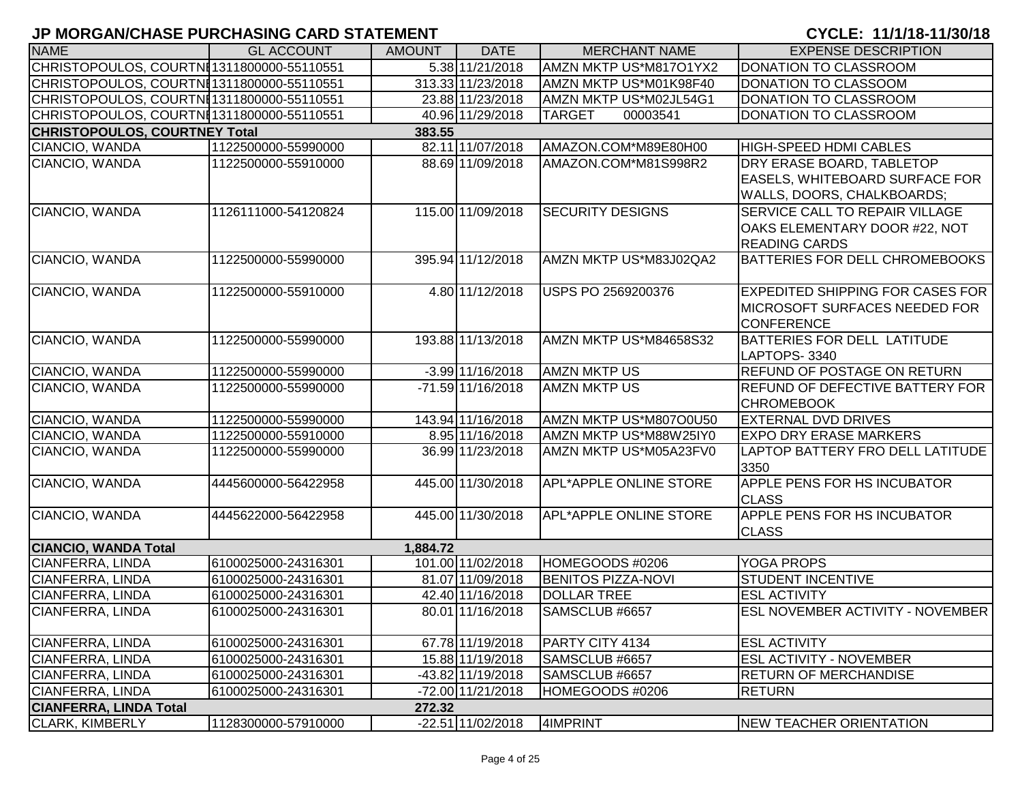| <b>NAME</b>                               | <b>GL ACCOUNT</b>   | <b>AMOUNT</b> | <b>DATE</b>         | <b>MERCHANT NAME</b>          | <b>EXPENSE DESCRIPTION</b>                                                                       |
|-------------------------------------------|---------------------|---------------|---------------------|-------------------------------|--------------------------------------------------------------------------------------------------|
| CHRISTOPOULOS, COURTNI1311800000-55110551 |                     |               | 5.38 11/21/2018     | AMZN MKTP US*M817O1YX2        | DONATION TO CLASSROOM                                                                            |
| CHRISTOPOULOS, COURTNI1311800000-55110551 |                     |               | 313.33 11/23/2018   | AMZN MKTP US*M01K98F40        | DONATION TO CLASSOOM                                                                             |
| CHRISTOPOULOS, COURTNI1311800000-55110551 |                     |               | 23.88 11/23/2018    | AMZN MKTP US*M02JL54G1        | DONATION TO CLASSROOM                                                                            |
| CHRISTOPOULOS, COURTNI1311800000-55110551 |                     |               | 40.96 11/29/2018    | <b>TARGET</b><br>00003541     | DONATION TO CLASSROOM                                                                            |
| <b>CHRISTOPOULOS, COURTNEY Total</b>      |                     | 383.55        |                     |                               |                                                                                                  |
| CIANCIO, WANDA                            | 1122500000-55990000 |               | 82.11 11/07/2018    | AMAZON.COM*M89E80H00          | <b>HIGH-SPEED HDMI CABLES</b>                                                                    |
| CIANCIO, WANDA                            | 1122500000-55910000 |               | 88.69 11/09/2018    | AMAZON.COM*M81S998R2          | DRY ERASE BOARD, TABLETOP<br><b>EASELS, WHITEBOARD SURFACE FOR</b><br>WALLS, DOORS, CHALKBOARDS; |
| CIANCIO, WANDA                            | 1126111000-54120824 |               | 115.00 11/09/2018   | <b>SECURITY DESIGNS</b>       | <b>SERVICE CALL TO REPAIR VILLAGE</b><br>OAKS ELEMENTARY DOOR #22, NOT<br><b>READING CARDS</b>   |
| CIANCIO, WANDA                            | 1122500000-55990000 |               | 395.94 11/12/2018   | AMZN MKTP US*M83J02QA2        | <b>BATTERIES FOR DELL CHROMEBOOKS</b>                                                            |
| CIANCIO, WANDA                            | 1122500000-55910000 |               | 4.80 11/12/2018     | USPS PO 2569200376            | <b>EXPEDITED SHIPPING FOR CASES FOR</b><br>MICROSOFT SURFACES NEEDED FOR<br><b>CONFERENCE</b>    |
| CIANCIO, WANDA                            | 1122500000-55990000 |               | 193.88 11/13/2018   | AMZN MKTP US*M84658S32        | <b>BATTERIES FOR DELL LATITUDE</b><br>LAPTOPS-3340                                               |
| CIANCIO, WANDA                            | 1122500000-55990000 |               | $-3.99$ 11/16/2018  | <b>AMZN MKTP US</b>           | <b>REFUND OF POSTAGE ON RETURN</b>                                                               |
| CIANCIO, WANDA                            | 1122500000-55990000 |               | -71.59 11/16/2018   | <b>AMZN MKTP US</b>           | <b>REFUND OF DEFECTIVE BATTERY FOR</b><br><b>CHROMEBOOK</b>                                      |
| CIANCIO, WANDA                            | 1122500000-55990000 |               | 143.94 11/16/2018   | AMZN MKTP US*M807O0U50        | <b>EXTERNAL DVD DRIVES</b>                                                                       |
| CIANCIO, WANDA                            | 1122500000-55910000 |               | 8.95 11/16/2018     | AMZN MKTP US*M88W25IY0        | <b>EXPO DRY ERASE MARKERS</b>                                                                    |
| CIANCIO, WANDA                            | 1122500000-55990000 |               | 36.99 11/23/2018    | AMZN MKTP US*M05A23FV0        | LAPTOP BATTERY FRO DELL LATITUDE<br>3350                                                         |
| CIANCIO, WANDA                            | 4445600000-56422958 |               | 445.00 11/30/2018   | <b>APL*APPLE ONLINE STORE</b> | APPLE PENS FOR HS INCUBATOR<br><b>CLASS</b>                                                      |
| CIANCIO, WANDA                            | 4445622000-56422958 |               | 445.00 11/30/2018   | <b>APL*APPLE ONLINE STORE</b> | <b>APPLE PENS FOR HS INCUBATOR</b><br><b>CLASS</b>                                               |
| <b>CIANCIO, WANDA Total</b>               |                     | 1,884.72      |                     |                               |                                                                                                  |
| <b>CIANFERRA, LINDA</b>                   | 6100025000-24316301 |               | 101.00 11/02/2018   | HOMEGOODS #0206               | <b>YOGA PROPS</b>                                                                                |
| CIANFERRA, LINDA                          | 6100025000-24316301 |               | 81.07 11/09/2018    | <b>BENITOS PIZZA-NOVI</b>     | <b>STUDENT INCENTIVE</b>                                                                         |
| <b>CIANFERRA, LINDA</b>                   | 6100025000-24316301 |               | 42.40 11/16/2018    | <b>DOLLAR TREE</b>            | <b>ESL ACTIVITY</b>                                                                              |
| <b>CIANFERRA, LINDA</b>                   | 6100025000-24316301 |               | 80.01 11/16/2018    | SAMSCLUB #6657                | <b>ESL NOVEMBER ACTIVITY - NOVEMBER</b>                                                          |
| <b>CIANFERRA, LINDA</b>                   | 6100025000-24316301 |               | 67.78 11/19/2018    | PARTY CITY 4134               | <b>ESL ACTIVITY</b>                                                                              |
| <b>CIANFERRA, LINDA</b>                   | 6100025000-24316301 |               | 15.88 11/19/2018    | SAMSCLUB #6657                | <b>ESL ACTIVITY - NOVEMBER</b>                                                                   |
| <b>CIANFERRA, LINDA</b>                   | 6100025000-24316301 |               | -43.82 11/19/2018   | SAMSCLUB #6657                | <b>RETURN OF MERCHANDISE</b>                                                                     |
| <b>CIANFERRA, LINDA</b>                   | 6100025000-24316301 |               | -72.00 11/21/2018   | HOMEGOODS #0206               | RETURN                                                                                           |
| <b>CIANFERRA, LINDA Total</b>             |                     | 272.32        |                     |                               |                                                                                                  |
| <b>CLARK, KIMBERLY</b>                    | 1128300000-57910000 |               | $-22.51$ 11/02/2018 | 4IMPRINT                      | <b>NEW TEACHER ORIENTATION</b>                                                                   |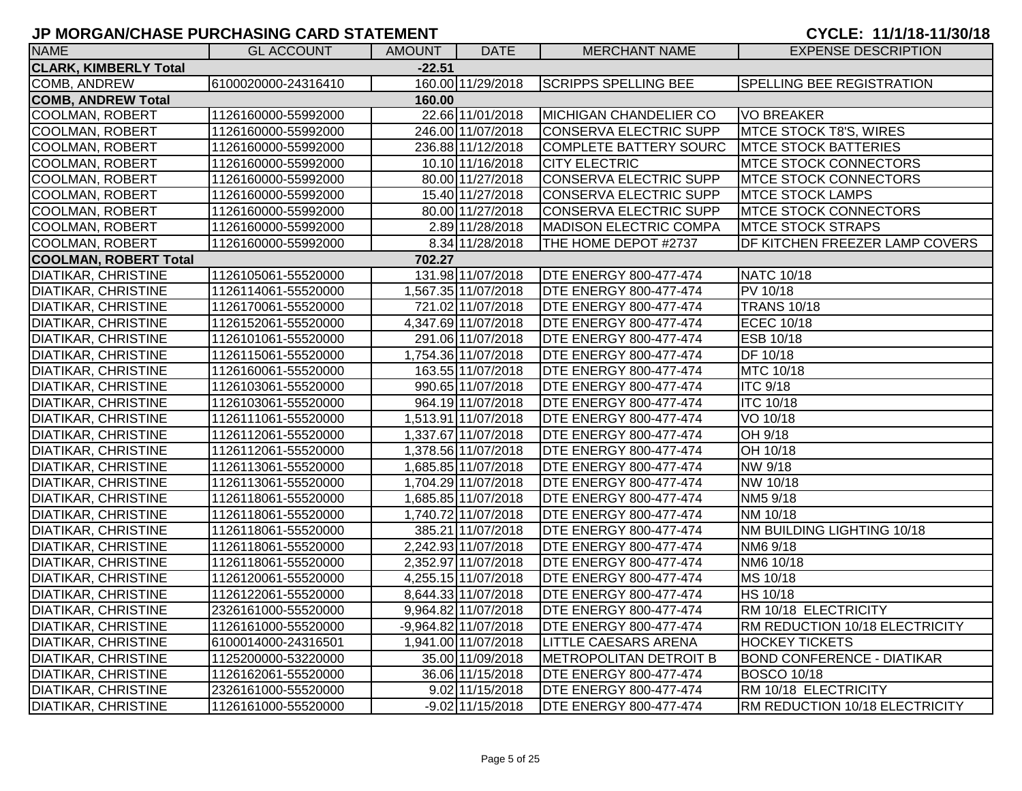| <b>NAME</b>                  | <b>GL ACCOUNT</b>   | AMOUNT   | <b>DATE</b>          | <b>MERCHANT NAME</b>          | <b>EXPENSE DESCRIPTION</b>        |
|------------------------------|---------------------|----------|----------------------|-------------------------------|-----------------------------------|
| <b>CLARK, KIMBERLY Total</b> |                     | $-22.51$ |                      |                               |                                   |
| <b>COMB, ANDREW</b>          | 6100020000-24316410 |          | 160.00 11/29/2018    | <b>SCRIPPS SPELLING BEE</b>   | <b>SPELLING BEE REGISTRATION</b>  |
| <b>COMB, ANDREW Total</b>    |                     | 160.00   |                      |                               |                                   |
| <b>COOLMAN, ROBERT</b>       | 1126160000-55992000 |          | 22.66 11/01/2018     | <b>MICHIGAN CHANDELIER CO</b> | VO BREAKER                        |
| <b>COOLMAN, ROBERT</b>       | 1126160000-55992000 |          | 246.00 11/07/2018    | CONSERVA ELECTRIC SUPP        | MTCE STOCK T8'S, WIRES            |
| <b>COOLMAN, ROBERT</b>       | 1126160000-55992000 |          | 236.88 11/12/2018    | COMPLETE BATTERY SOURC        | <b>MTCE STOCK BATTERIES</b>       |
| <b>COOLMAN, ROBERT</b>       | 1126160000-55992000 |          | 10.10 11/16/2018     | <b>CITY ELECTRIC</b>          | <b>MTCE STOCK CONNECTORS</b>      |
| <b>COOLMAN, ROBERT</b>       | 1126160000-55992000 |          | 80.00 11/27/2018     | CONSERVA ELECTRIC SUPP        | <b>MTCE STOCK CONNECTORS</b>      |
| <b>COOLMAN, ROBERT</b>       | 1126160000-55992000 |          | 15.40 11/27/2018     | CONSERVA ELECTRIC SUPP        | <b>MTCE STOCK LAMPS</b>           |
| <b>COOLMAN, ROBERT</b>       | 1126160000-55992000 |          | 80.00 11/27/2018     | CONSERVA ELECTRIC SUPP        | <b>MTCE STOCK CONNECTORS</b>      |
| <b>COOLMAN, ROBERT</b>       | 1126160000-55992000 |          | 2.89 11/28/2018      | MADISON ELECTRIC COMPA        | <b>MTCE STOCK STRAPS</b>          |
| <b>COOLMAN, ROBERT</b>       | 1126160000-55992000 |          | 8.34 11/28/2018      | THE HOME DEPOT #2737          | DF KITCHEN FREEZER LAMP COVERS    |
| <b>COOLMAN, ROBERT Total</b> |                     | 702.27   |                      |                               |                                   |
| <b>DIATIKAR, CHRISTINE</b>   | 1126105061-55520000 |          | 131.98 11/07/2018    | <b>DTE ENERGY 800-477-474</b> | NATC 10/18                        |
| <b>DIATIKAR, CHRISTINE</b>   | 1126114061-55520000 |          | 1,567.35 11/07/2018  | <b>DTE ENERGY 800-477-474</b> | <b>PV 10/18</b>                   |
| <b>DIATIKAR, CHRISTINE</b>   | 1126170061-55520000 |          | 721.02 11/07/2018    | <b>DTE ENERGY 800-477-474</b> | <b>TRANS 10/18</b>                |
| <b>DIATIKAR, CHRISTINE</b>   | 1126152061-55520000 |          | 4,347.69 11/07/2018  | <b>DTE ENERGY 800-477-474</b> | <b>ECEC 10/18</b>                 |
| <b>DIATIKAR, CHRISTINE</b>   | 1126101061-55520000 |          | 291.06 11/07/2018    | <b>DTE ENERGY 800-477-474</b> | ESB 10/18                         |
| <b>DIATIKAR, CHRISTINE</b>   | 1126115061-55520000 |          | 1,754.36 11/07/2018  | <b>DTE ENERGY 800-477-474</b> | DF 10/18                          |
| <b>DIATIKAR, CHRISTINE</b>   | 1126160061-55520000 |          | 163.55 11/07/2018    | <b>DTE ENERGY 800-477-474</b> | MTC 10/18                         |
| <b>DIATIKAR, CHRISTINE</b>   | 1126103061-55520000 |          | 990.65 11/07/2018    | <b>DTE ENERGY 800-477-474</b> | <b>ITC 9/18</b>                   |
| <b>DIATIKAR, CHRISTINE</b>   | 1126103061-55520000 |          | 964.19 11/07/2018    | <b>DTE ENERGY 800-477-474</b> | <b>ITC 10/18</b>                  |
| <b>DIATIKAR, CHRISTINE</b>   | 1126111061-55520000 |          | 1,513.91 11/07/2018  | <b>DTE ENERGY 800-477-474</b> | VO 10/18                          |
| <b>DIATIKAR, CHRISTINE</b>   | 1126112061-55520000 |          | 1,337.67 11/07/2018  | <b>DTE ENERGY 800-477-474</b> | OH 9/18                           |
| DIATIKAR, CHRISTINE          | 1126112061-55520000 |          | 1,378.56 11/07/2018  | <b>DTE ENERGY 800-477-474</b> | OH 10/18                          |
| <b>DIATIKAR, CHRISTINE</b>   | 1126113061-55520000 |          | 1,685.85 11/07/2018  | <b>DTE ENERGY 800-477-474</b> | NW 9/18                           |
| <b>DIATIKAR, CHRISTINE</b>   | 1126113061-55520000 |          | 1,704.29 11/07/2018  | <b>DTE ENERGY 800-477-474</b> | NW 10/18                          |
| <b>DIATIKAR, CHRISTINE</b>   | 1126118061-55520000 |          | 1,685.85 11/07/2018  | <b>DTE ENERGY 800-477-474</b> | NM5 9/18                          |
| <b>DIATIKAR, CHRISTINE</b>   | 1126118061-55520000 |          | 1,740.72 11/07/2018  | <b>DTE ENERGY 800-477-474</b> | NM 10/18                          |
| <b>DIATIKAR, CHRISTINE</b>   | 1126118061-55520000 |          | 385.21 11/07/2018    | <b>DTE ENERGY 800-477-474</b> | NM BUILDING LIGHTING 10/18        |
| <b>DIATIKAR, CHRISTINE</b>   | 1126118061-55520000 |          | 2,242.93 11/07/2018  | <b>DTE ENERGY 800-477-474</b> | NM6 9/18                          |
| <b>DIATIKAR, CHRISTINE</b>   | 1126118061-55520000 |          | 2,352.97 11/07/2018  | <b>DTE ENERGY 800-477-474</b> | NM6 10/18                         |
| <b>DIATIKAR, CHRISTINE</b>   | 1126120061-55520000 |          | 4,255.15 11/07/2018  | <b>DTE ENERGY 800-477-474</b> | MS 10/18                          |
| <b>DIATIKAR, CHRISTINE</b>   | 1126122061-55520000 |          | 8,644.33 11/07/2018  | <b>DTE ENERGY 800-477-474</b> | HS 10/18                          |
| <b>DIATIKAR, CHRISTINE</b>   | 2326161000-55520000 |          | 9,964.82 11/07/2018  | <b>DTE ENERGY 800-477-474</b> | RM 10/18 ELECTRICITY              |
| <b>DIATIKAR, CHRISTINE</b>   | 1126161000-55520000 |          | -9,964.82 11/07/2018 | <b>DTE ENERGY 800-477-474</b> | RM REDUCTION 10/18 ELECTRICITY    |
| <b>DIATIKAR, CHRISTINE</b>   | 6100014000-24316501 |          | 1,941.00 11/07/2018  | <b>LITTLE CAESARS ARENA</b>   | <b>HOCKEY TICKETS</b>             |
| <b>DIATIKAR, CHRISTINE</b>   | 1125200000-53220000 |          | 35.00 11/09/2018     | <b>METROPOLITAN DETROIT B</b> | <b>BOND CONFERENCE - DIATIKAR</b> |
| <b>DIATIKAR, CHRISTINE</b>   | 1126162061-55520000 |          | 36.06 11/15/2018     | <b>DTE ENERGY 800-477-474</b> | <b>BOSCO 10/18</b>                |
| DIATIKAR, CHRISTINE          | 2326161000-55520000 |          | 9.02 11/15/2018      | <b>DTE ENERGY 800-477-474</b> | RM 10/18 ELECTRICITY              |
| <b>DIATIKAR, CHRISTINE</b>   | 1126161000-55520000 |          | $-9.02$ 11/15/2018   | <b>DTE ENERGY 800-477-474</b> | RM REDUCTION 10/18 ELECTRICITY    |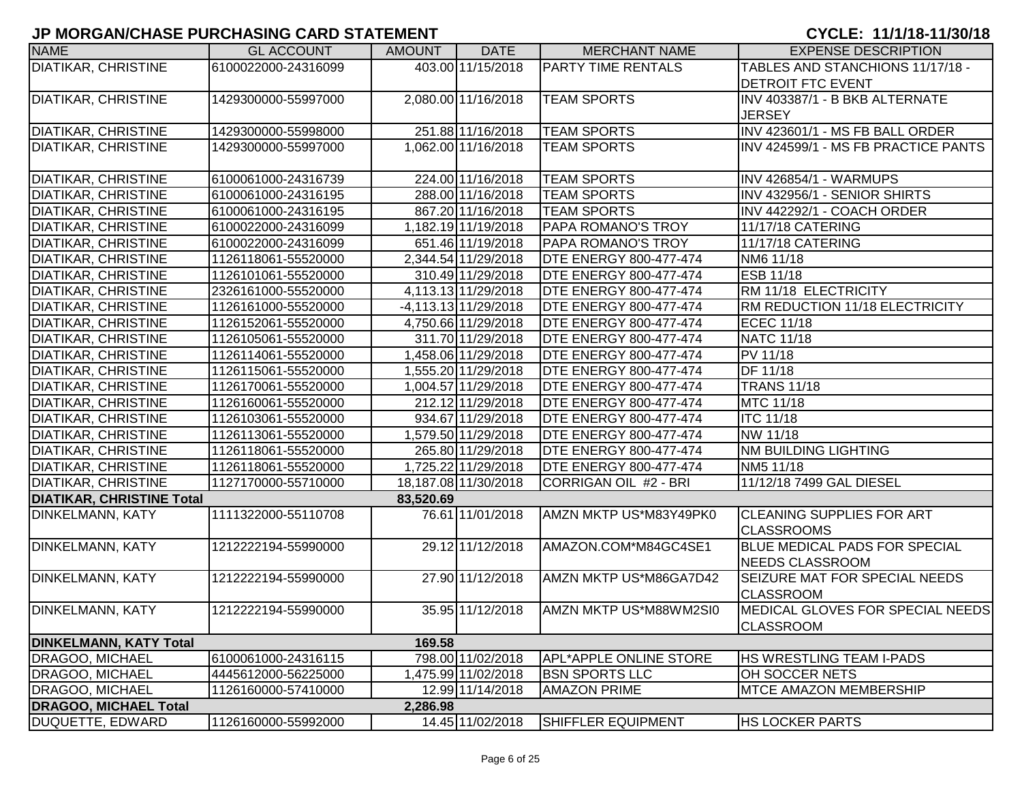| <b>NAME</b>                      | <b>GL ACCOUNT</b>   | <b>AMOUNT</b> | <b>DATE</b>          | <b>MERCHANT NAME</b>          | <b>EXPENSE DESCRIPTION</b>           |
|----------------------------------|---------------------|---------------|----------------------|-------------------------------|--------------------------------------|
| <b>DIATIKAR, CHRISTINE</b>       | 6100022000-24316099 |               | 403.00 11/15/2018    | <b>PARTY TIME RENTALS</b>     | TABLES AND STANCHIONS 11/17/18 -     |
|                                  |                     |               |                      |                               | <b>DETROIT FTC EVENT</b>             |
| <b>DIATIKAR, CHRISTINE</b>       | 1429300000-55997000 |               | 2,080.00 11/16/2018  | <b>TEAM SPORTS</b>            | INV 403387/1 - B BKB ALTERNATE       |
|                                  |                     |               |                      |                               | <b>JERSEY</b>                        |
| <b>DIATIKAR, CHRISTINE</b>       | 1429300000-55998000 |               | 251.88 11/16/2018    | <b>TEAM SPORTS</b>            | INV 423601/1 - MS FB BALL ORDER      |
| <b>DIATIKAR, CHRISTINE</b>       | 1429300000-55997000 |               | 1,062.00 11/16/2018  | <b>TEAM SPORTS</b>            | INV 424599/1 - MS FB PRACTICE PANTS  |
|                                  |                     |               |                      |                               |                                      |
| <b>DIATIKAR, CHRISTINE</b>       | 6100061000-24316739 |               | 224.00 11/16/2018    | <b>TEAM SPORTS</b>            | <b>INV 426854/1 - WARMUPS</b>        |
| <b>DIATIKAR, CHRISTINE</b>       | 6100061000-24316195 |               | 288.00 11/16/2018    | <b>TEAM SPORTS</b>            | INV 432956/1 - SENIOR SHIRTS         |
| DIATIKAR, CHRISTINE              | 6100061000-24316195 |               | 867.20 11/16/2018    | <b>TEAM SPORTS</b>            | INV 442292/1 - COACH ORDER           |
| <b>DIATIKAR, CHRISTINE</b>       | 6100022000-24316099 |               | 1,182.19 11/19/2018  | <b>PAPA ROMANO'S TROY</b>     | 11/17/18 CATERING                    |
| <b>DIATIKAR, CHRISTINE</b>       | 6100022000-24316099 |               | 651.46 11/19/2018    | <b>PAPA ROMANO'S TROY</b>     | 11/17/18 CATERING                    |
| DIATIKAR, CHRISTINE              | 1126118061-55520000 |               | 2,344.54 11/29/2018  | <b>DTE ENERGY 800-477-474</b> | NM6 11/18                            |
| DIATIKAR, CHRISTINE              | 1126101061-55520000 |               | 310.49 11/29/2018    | <b>DTE ENERGY 800-477-474</b> | ESB 11/18                            |
| <b>DIATIKAR, CHRISTINE</b>       | 2326161000-55520000 |               | 4,113.13 11/29/2018  | <b>DTE ENERGY 800-477-474</b> | RM 11/18 ELECTRICITY                 |
| DIATIKAR, CHRISTINE              | 1126161000-55520000 |               | -4,113.13 11/29/2018 | <b>DTE ENERGY 800-477-474</b> | RM REDUCTION 11/18 ELECTRICITY       |
| DIATIKAR, CHRISTINE              | 1126152061-55520000 |               | 4,750.66 11/29/2018  | <b>DTE ENERGY 800-477-474</b> | <b>ECEC 11/18</b>                    |
| <b>DIATIKAR, CHRISTINE</b>       | 1126105061-55520000 |               | 311.70 11/29/2018    | <b>DTE ENERGY 800-477-474</b> | <b>NATC 11/18</b>                    |
| <b>DIATIKAR, CHRISTINE</b>       | 1126114061-55520000 |               | 1,458.06 11/29/2018  | <b>DTE ENERGY 800-477-474</b> | <b>PV 11/18</b>                      |
| <b>DIATIKAR, CHRISTINE</b>       | 1126115061-55520000 |               | 1,555.20 11/29/2018  | <b>DTE ENERGY 800-477-474</b> | DF 11/18                             |
| <b>DIATIKAR, CHRISTINE</b>       | 1126170061-55520000 |               | 1,004.57 11/29/2018  | <b>DTE ENERGY 800-477-474</b> | <b>TRANS 11/18</b>                   |
| <b>DIATIKAR, CHRISTINE</b>       | 1126160061-55520000 |               | 212.12 11/29/2018    | <b>DTE ENERGY 800-477-474</b> | MTC 11/18                            |
| <b>DIATIKAR, CHRISTINE</b>       | 1126103061-55520000 |               | 934.67 11/29/2018    | <b>DTE ENERGY 800-477-474</b> | <b>ITC 11/18</b>                     |
| <b>DIATIKAR, CHRISTINE</b>       | 1126113061-55520000 |               | 1,579.50 11/29/2018  | <b>DTE ENERGY 800-477-474</b> | NW 11/18                             |
| <b>DIATIKAR, CHRISTINE</b>       | 1126118061-55520000 |               | 265.80 11/29/2018    | <b>DTE ENERGY 800-477-474</b> | <b>NM BUILDING LIGHTING</b>          |
| <b>DIATIKAR, CHRISTINE</b>       | 1126118061-55520000 |               | 1,725.22 11/29/2018  | <b>DTE ENERGY 800-477-474</b> | NM5 11/18                            |
| <b>DIATIKAR, CHRISTINE</b>       | 1127170000-55710000 |               | 18,187.08 11/30/2018 | CORRIGAN OIL #2 - BRI         | 11/12/18 7499 GAL DIESEL             |
| <b>DIATIKAR, CHRISTINE Total</b> |                     | 83,520.69     |                      |                               |                                      |
| DINKELMANN, KATY                 | 1111322000-55110708 |               | 76.61 11/01/2018     | AMZN MKTP US*M83Y49PK0        | <b>CLEANING SUPPLIES FOR ART</b>     |
|                                  |                     |               |                      |                               | <b>CLASSROOMS</b>                    |
| <b>DINKELMANN, KATY</b>          | 1212222194-55990000 |               | 29.12 11/12/2018     | AMAZON.COM*M84GC4SE1          | <b>BLUE MEDICAL PADS FOR SPECIAL</b> |
|                                  |                     |               |                      |                               | NEEDS CLASSROOM                      |
| <b>DINKELMANN, KATY</b>          | 1212222194-55990000 |               | 27.90 11/12/2018     | AMZN MKTP US*M86GA7D42        | SEIZURE MAT FOR SPECIAL NEEDS        |
|                                  |                     |               |                      |                               | <b>CLASSROOM</b>                     |
| DINKELMANN, KATY                 | 1212222194-55990000 |               | 35.95 11/12/2018     | AMZN MKTP US*M88WM2SI0        | MEDICAL GLOVES FOR SPECIAL NEEDS     |
|                                  |                     |               |                      |                               | <b>CLASSROOM</b>                     |
| <b>DINKELMANN, KATY Total</b>    |                     | 169.58        |                      |                               |                                      |
| <b>DRAGOO, MICHAEL</b>           | 6100061000-24316115 |               | 798.00 11/02/2018    | <b>APL*APPLE ONLINE STORE</b> | HS WRESTLING TEAM I-PADS             |
| DRAGOO, MICHAEL                  | 4445612000-56225000 |               | 1,475.99 11/02/2018  | <b>BSN SPORTS LLC</b>         | OH SOCCER NETS                       |
| <b>DRAGOO, MICHAEL</b>           | 1126160000-57410000 |               | 12.99 11/14/2018     | <b>AMAZON PRIME</b>           | <b>MTCE AMAZON MEMBERSHIP</b>        |
| <b>DRAGOO, MICHAEL Total</b>     |                     | 2,286.98      |                      |                               |                                      |
| DUQUETTE, EDWARD                 | 1126160000-55992000 |               | 14.45 11/02/2018     | <b>SHIFFLER EQUIPMENT</b>     | <b>HS LOCKER PARTS</b>               |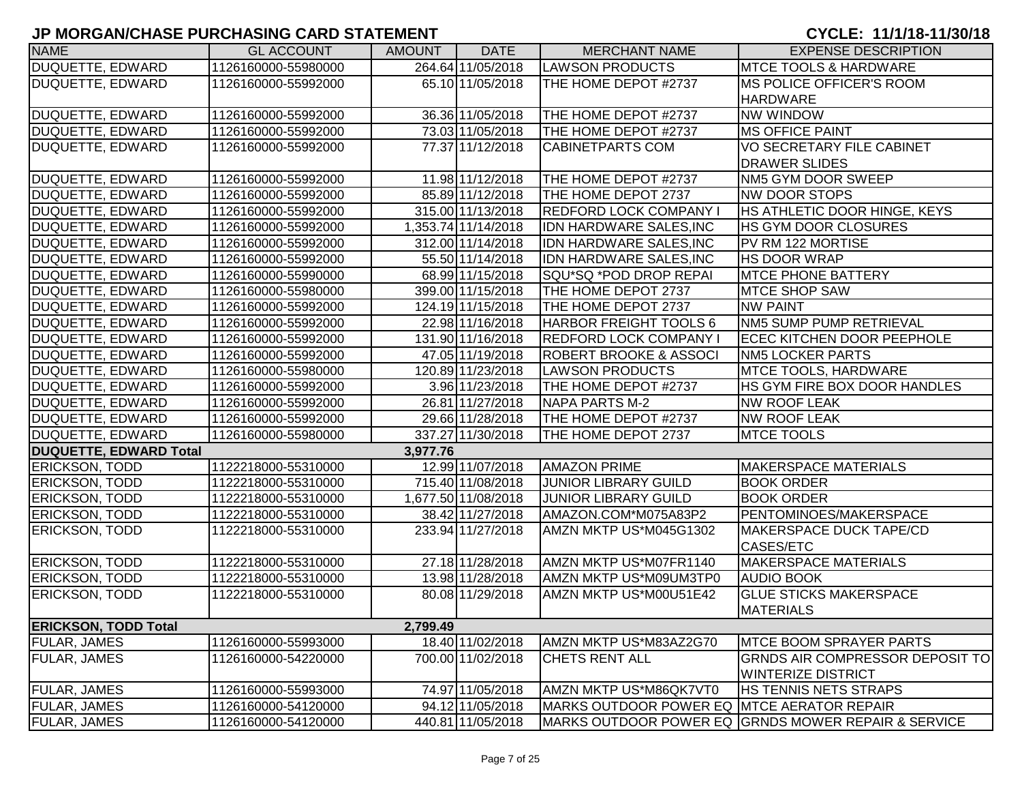| <b>NAME</b>                   | <b>GL ACCOUNT</b>   | <b>AMOUNT</b> | <b>DATE</b>         | <b>MERCHANT NAME</b>                       | <b>EXPENSE DESCRIPTION</b>                          |
|-------------------------------|---------------------|---------------|---------------------|--------------------------------------------|-----------------------------------------------------|
| DUQUETTE, EDWARD              | 1126160000-55980000 |               | 264.64 11/05/2018   | <b>LAWSON PRODUCTS</b>                     | <b>IMTCE TOOLS &amp; HARDWARE</b>                   |
| DUQUETTE, EDWARD              | 1126160000-55992000 |               | 65.10 11/05/2018    | THE HOME DEPOT #2737                       | <b>IMS POLICE OFFICER'S ROOM</b>                    |
|                               |                     |               |                     |                                            | <b>HARDWARE</b>                                     |
| DUQUETTE, EDWARD              | 1126160000-55992000 |               | 36.36 11/05/2018    | THE HOME DEPOT #2737                       | <b>NW WINDOW</b>                                    |
| DUQUETTE, EDWARD              | 1126160000-55992000 |               | 73.03 11/05/2018    | THE HOME DEPOT #2737                       | <b>MS OFFICE PAINT</b>                              |
| <b>DUQUETTE, EDWARD</b>       | 1126160000-55992000 |               | 77.37 11/12/2018    | <b>CABINETPARTS COM</b>                    | <b>VO SECRETARY FILE CABINET</b>                    |
|                               |                     |               |                     |                                            | <b>DRAWER SLIDES</b>                                |
| <b>DUQUETTE, EDWARD</b>       | 1126160000-55992000 |               | 11.98 11/12/2018    | THE HOME DEPOT #2737                       | NM5 GYM DOOR SWEEP                                  |
| DUQUETTE, EDWARD              | 1126160000-55992000 |               | 85.89 11/12/2018    | THE HOME DEPOT 2737                        | <b>NW DOOR STOPS</b>                                |
| <b>DUQUETTE, EDWARD</b>       | 1126160000-55992000 |               | 315.00 11/13/2018   | <b>REDFORD LOCK COMPANY I</b>              | HS ATHLETIC DOOR HINGE, KEYS                        |
| <b>DUQUETTE, EDWARD</b>       | 1126160000-55992000 |               | 1,353.74 11/14/2018 | IDN HARDWARE SALES, INC                    | <b>HS GYM DOOR CLOSURES</b>                         |
| <b>DUQUETTE, EDWARD</b>       | 1126160000-55992000 |               | 312.00 11/14/2018   | <b>IDN HARDWARE SALES, INC</b>             | PV RM 122 MORTISE                                   |
| <b>DUQUETTE, EDWARD</b>       | 1126160000-55992000 |               | 55.50 11/14/2018    | <b>IDN HARDWARE SALES, INC</b>             | <b>HS DOOR WRAP</b>                                 |
| DUQUETTE, EDWARD              | 1126160000-55990000 |               | 68.99 11/15/2018    | SQU*SQ *POD DROP REPAI                     | <b>MTCE PHONE BATTERY</b>                           |
| <b>DUQUETTE, EDWARD</b>       | 1126160000-55980000 |               | 399.00 11/15/2018   | THE HOME DEPOT 2737                        | <b>MTCE SHOP SAW</b>                                |
| DUQUETTE, EDWARD              | 1126160000-55992000 |               | 124.19 11/15/2018   | THE HOME DEPOT 2737                        | <b>NW PAINT</b>                                     |
| DUQUETTE, EDWARD              | 1126160000-55992000 |               | 22.98 11/16/2018    | <b>HARBOR FREIGHT TOOLS 6</b>              | NM5 SUMP PUMP RETRIEVAL                             |
| DUQUETTE, EDWARD              | 1126160000-55992000 |               | 131.90 11/16/2018   | <b>REDFORD LOCK COMPANY I</b>              | <b>ECEC KITCHEN DOOR PEEPHOLE</b>                   |
| <b>DUQUETTE, EDWARD</b>       | 1126160000-55992000 |               | 47.05 11/19/2018    | <b>ROBERT BROOKE &amp; ASSOCI</b>          | <b>NM5 LOCKER PARTS</b>                             |
| DUQUETTE, EDWARD              | 1126160000-55980000 |               | 120.89 11/23/2018   | <b>LAWSON PRODUCTS</b>                     | <b>MTCE TOOLS, HARDWARE</b>                         |
| <b>DUQUETTE, EDWARD</b>       | 1126160000-55992000 |               | 3.96 11/23/2018     | THE HOME DEPOT #2737                       | HS GYM FIRE BOX DOOR HANDLES                        |
| <b>DUQUETTE, EDWARD</b>       | 1126160000-55992000 |               | 26.81 11/27/2018    | NAPA PARTS M-2                             | <b>NW ROOF LEAK</b>                                 |
| <b>DUQUETTE, EDWARD</b>       | 1126160000-55992000 |               | 29.66 11/28/2018    | THE HOME DEPOT #2737                       | NW ROOF LEAK                                        |
| DUQUETTE, EDWARD              | 1126160000-55980000 |               | 337.27 11/30/2018   | THE HOME DEPOT 2737                        | <b>MTCE TOOLS</b>                                   |
| <b>DUQUETTE, EDWARD Total</b> |                     | 3,977.76      |                     |                                            |                                                     |
| <b>ERICKSON, TODD</b>         | 1122218000-55310000 |               | 12.99 11/07/2018    | <b>AMAZON PRIME</b>                        | <b>MAKERSPACE MATERIALS</b>                         |
| <b>ERICKSON, TODD</b>         | 1122218000-55310000 |               | 715.40 11/08/2018   | <b>JUNIOR LIBRARY GUILD</b>                | <b>BOOK ORDER</b>                                   |
| <b>ERICKSON, TODD</b>         | 1122218000-55310000 |               | 1,677.50 11/08/2018 | <b>JUNIOR LIBRARY GUILD</b>                | <b>BOOK ORDER</b>                                   |
| <b>ERICKSON, TODD</b>         | 1122218000-55310000 |               | 38.42 11/27/2018    | AMAZON.COM*M075A83P2                       | PENTOMINOES/MAKERSPACE                              |
| <b>ERICKSON, TODD</b>         | 1122218000-55310000 |               | 233.94 11/27/2018   | AMZN MKTP US*M045G1302                     | <b>MAKERSPACE DUCK TAPE/CD</b>                      |
|                               |                     |               |                     |                                            | <b>CASES/ETC</b>                                    |
| <b>ERICKSON, TODD</b>         | 1122218000-55310000 |               | 27.18 11/28/2018    | AMZN MKTP US*M07FR1140                     | <b>MAKERSPACE MATERIALS</b>                         |
| <b>ERICKSON, TODD</b>         | 1122218000-55310000 |               | 13.98 11/28/2018    | AMZN MKTP US*M09UM3TP0                     | <b>AUDIO BOOK</b>                                   |
| <b>ERICKSON, TODD</b>         | 1122218000-55310000 |               | 80.08 11/29/2018    | AMZN MKTP US*M00U51E42                     | <b>GLUE STICKS MAKERSPACE</b>                       |
|                               |                     |               |                     |                                            | <b>MATERIALS</b>                                    |
| <b>ERICKSON, TODD Total</b>   |                     | 2,799.49      |                     |                                            |                                                     |
| <b>FULAR, JAMES</b>           | 1126160000-55993000 |               | 18.40 11/02/2018    | AMZN MKTP US*M83AZ2G70                     | <b>MTCE BOOM SPRAYER PARTS</b>                      |
| <b>FULAR, JAMES</b>           | 1126160000-54220000 |               | 700.00 11/02/2018   | <b>CHETS RENT ALL</b>                      | <b>GRNDS AIR COMPRESSOR DEPOSIT TO</b>              |
|                               |                     |               |                     |                                            | <b>WINTERIZE DISTRICT</b>                           |
| <b>FULAR, JAMES</b>           | 1126160000-55993000 |               | 74.97 11/05/2018    | AMZN MKTP US*M86QK7VT0                     | <b>HS TENNIS NETS STRAPS</b>                        |
| <b>FULAR, JAMES</b>           | 1126160000-54120000 |               | 94.12 11/05/2018    | MARKS OUTDOOR POWER EQ MTCE AERATOR REPAIR |                                                     |
| <b>FULAR, JAMES</b>           | 1126160000-54120000 |               | 440.81 11/05/2018   |                                            | MARKS OUTDOOR POWER EQ GRNDS MOWER REPAIR & SERVICE |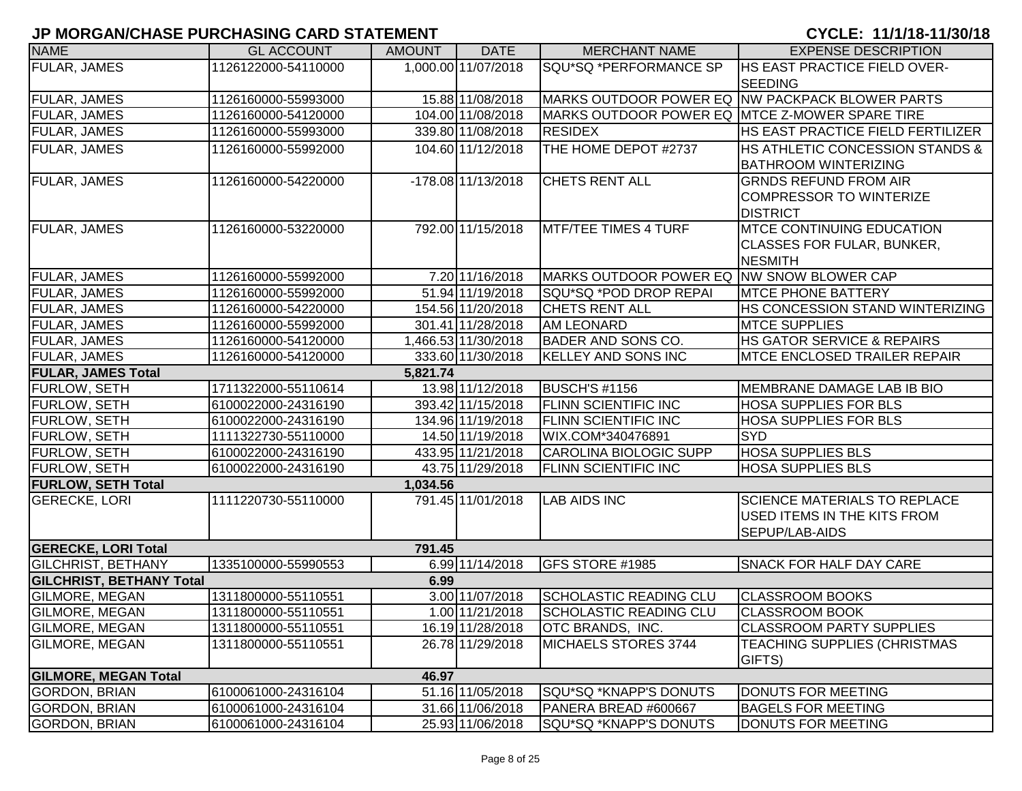| <b>NAME</b>                 | <b>GL ACCOUNT</b>   | <b>AMOUNT</b> | <b>DATE</b>          | <b>MERCHANT NAME</b>                           | <b>EXPENSE DESCRIPTION</b>                      |
|-----------------------------|---------------------|---------------|----------------------|------------------------------------------------|-------------------------------------------------|
| FULAR, JAMES                | 1126122000-54110000 |               | 1,000.00 11/07/2018  | SQU*SQ *PERFORMANCE SP                         | <b>HS EAST PRACTICE FIELD OVER-</b>             |
|                             |                     |               |                      |                                                | <b>SEEDING</b>                                  |
| <b>FULAR, JAMES</b>         | 1126160000-55993000 |               | 15.88 11/08/2018     |                                                | MARKS OUTDOOR POWER EQ NW PACKPACK BLOWER PARTS |
| FULAR, JAMES                | 1126160000-54120000 |               | 104.00 11/08/2018    | MARKS OUTDOOR POWER EQ MTCE Z-MOWER SPARE TIRE |                                                 |
| FULAR, JAMES                | 1126160000-55993000 |               | 339.80 11/08/2018    | <b>RESIDEX</b>                                 | HS EAST PRACTICE FIELD FERTILIZER               |
| FULAR, JAMES                | 1126160000-55992000 |               | 104.60 11/12/2018    | THE HOME DEPOT #2737                           | HS ATHLETIC CONCESSION STANDS &                 |
|                             |                     |               |                      |                                                | <b>BATHROOM WINTERIZING</b>                     |
| <b>FULAR, JAMES</b>         | 1126160000-54220000 |               | $-178.08$ 11/13/2018 | <b>CHETS RENT ALL</b>                          | <b>GRNDS REFUND FROM AIR</b>                    |
|                             |                     |               |                      |                                                | <b>COMPRESSOR TO WINTERIZE</b>                  |
|                             |                     |               |                      |                                                | <b>DISTRICT</b>                                 |
| <b>FULAR, JAMES</b>         | 1126160000-53220000 |               | 792.00 11/15/2018    | <b>MTF/TEE TIMES 4 TURF</b>                    | <b>MTCE CONTINUING EDUCATION</b>                |
|                             |                     |               |                      |                                                | CLASSES FOR FULAR, BUNKER,                      |
|                             |                     |               |                      |                                                | <b>NESMITH</b>                                  |
| <b>FULAR, JAMES</b>         | 1126160000-55992000 |               | 7.20 11/16/2018      | MARKS OUTDOOR POWER EQ NW SNOW BLOWER CAP      |                                                 |
| FULAR, JAMES                | 1126160000-55992000 |               | 51.94 11/19/2018     | SQU*SQ *POD DROP REPAI                         | <b>MTCE PHONE BATTERY</b>                       |
| <b>FULAR, JAMES</b>         | 1126160000-54220000 |               | 154.56 11/20/2018    | <b>CHETS RENT ALL</b>                          | HS CONCESSION STAND WINTERIZING                 |
| <b>FULAR, JAMES</b>         | 1126160000-55992000 |               | 301.41 11/28/2018    | <b>AM LEONARD</b>                              | <b>MTCE SUPPLIES</b>                            |
| <b>FULAR, JAMES</b>         | 1126160000-54120000 |               | 1,466.53 11/30/2018  | <b>BADER AND SONS CO.</b>                      | HS GATOR SERVICE & REPAIRS                      |
| <b>FULAR, JAMES</b>         | 1126160000-54120000 |               | 333.60 11/30/2018    | <b>KELLEY AND SONS INC</b>                     | <b>MTCE ENCLOSED TRAILER REPAIR</b>             |
| <b>FULAR, JAMES Total</b>   |                     | 5,821.74      |                      |                                                |                                                 |
| <b>FURLOW, SETH</b>         | 1711322000-55110614 |               | 13.98 11/12/2018     | BUSCH'S #1156                                  | MEMBRANE DAMAGE LAB IB BIO                      |
| <b>FURLOW, SETH</b>         | 6100022000-24316190 |               | 393.42 11/15/2018    | <b>FLINN SCIENTIFIC INC</b>                    | <b>HOSA SUPPLIES FOR BLS</b>                    |
| <b>FURLOW, SETH</b>         | 6100022000-24316190 |               | 134.96 11/19/2018    | <b>FLINN SCIENTIFIC INC</b>                    | <b>HOSA SUPPLIES FOR BLS</b>                    |
| <b>FURLOW, SETH</b>         | 1111322730-55110000 |               | 14.50 11/19/2018     | WIX.COM*340476891                              | <b>SYD</b>                                      |
| <b>FURLOW, SETH</b>         | 6100022000-24316190 |               | 433.95 11/21/2018    | CAROLINA BIOLOGIC SUPP                         | <b>HOSA SUPPLIES BLS</b>                        |
| FURLOW, SETH                | 6100022000-24316190 |               | 43.75 11/29/2018     | <b>FLINN SCIENTIFIC INC</b>                    | <b>HOSA SUPPLIES BLS</b>                        |
| <b>FURLOW, SETH Total</b>   |                     | 1,034.56      |                      |                                                |                                                 |
| <b>GERECKE, LORI</b>        | 1111220730-55110000 |               | 791.45 11/01/2018    | <b>LAB AIDS INC</b>                            | <b>SCIENCE MATERIALS TO REPLACE</b>             |
|                             |                     |               |                      |                                                | USED ITEMS IN THE KITS FROM                     |
|                             |                     |               |                      |                                                | <b>SEPUP/LAB-AIDS</b>                           |
| <b>GERECKE, LORI Total</b>  |                     | 791.45        |                      |                                                |                                                 |
| <b>GILCHRIST, BETHANY</b>   | 1335100000-55990553 |               | 6.99 11/14/2018      | GFS STORE #1985                                | <b>SNACK FOR HALF DAY CARE</b>                  |
| GILCHRIST, BETHANY Total    |                     | 6.99          |                      |                                                |                                                 |
| <b>GILMORE, MEGAN</b>       | 1311800000-55110551 |               | 3.00 11/07/2018      | <b>SCHOLASTIC READING CLU</b>                  | <b>CLASSROOM BOOKS</b>                          |
| <b>GILMORE, MEGAN</b>       | 1311800000-55110551 |               | 1.00 11/21/2018      | <b>SCHOLASTIC READING CLU</b>                  | <b>CLASSROOM BOOK</b>                           |
| <b>GILMORE, MEGAN</b>       | 1311800000-55110551 |               | 16.19 11/28/2018     | <b>OTC BRANDS, INC.</b>                        | <b>CLASSROOM PARTY SUPPLIES</b>                 |
| <b>GILMORE, MEGAN</b>       | 1311800000-55110551 |               | 26.78 11/29/2018     | MICHAELS STORES 3744                           | TEACHING SUPPLIES (CHRISTMAS                    |
|                             |                     |               |                      |                                                | GIFTS)                                          |
| <b>GILMORE, MEGAN Total</b> |                     | 46.97         |                      |                                                |                                                 |
| <b>GORDON, BRIAN</b>        | 6100061000-24316104 |               | 51.16 11/05/2018     | SQU*SQ *KNAPP'S DONUTS                         | DONUTS FOR MEETING                              |
| GORDON, BRIAN               | 6100061000-24316104 |               | 31.66 11/06/2018     | PANERA BREAD #600667                           | <b>BAGELS FOR MEETING</b>                       |
| GORDON, BRIAN               | 6100061000-24316104 |               | 25.93 11/06/2018     | SQU*SQ *KNAPP'S DONUTS                         | DONUTS FOR MEETING                              |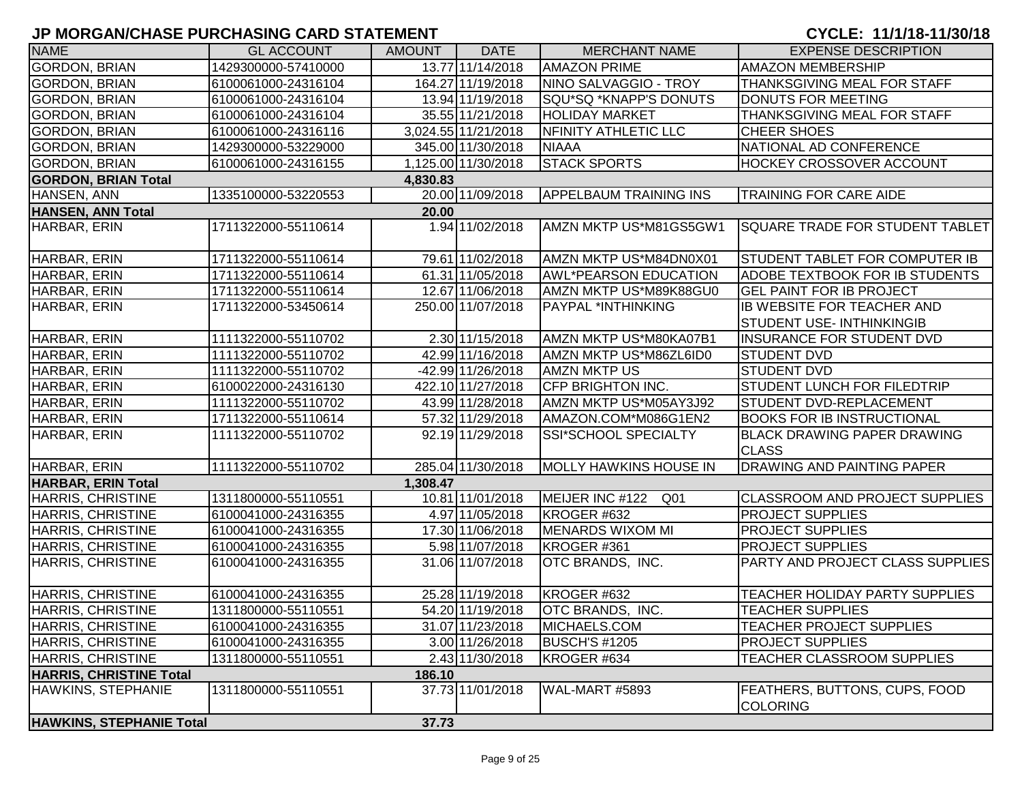| <b>NAME</b>                     | <b>GL ACCOUNT</b>   | <b>AMOUNT</b> | <b>DATE</b>         | <b>MERCHANT NAME</b>               | <b>EXPENSE DESCRIPTION</b>                         |
|---------------------------------|---------------------|---------------|---------------------|------------------------------------|----------------------------------------------------|
| <b>GORDON, BRIAN</b>            | 1429300000-57410000 |               | 13.77 11/14/2018    | <b>AMAZON PRIME</b>                | <b>AMAZON MEMBERSHIP</b>                           |
| <b>GORDON, BRIAN</b>            | 6100061000-24316104 |               | 164.27 11/19/2018   | NINO SALVAGGIO - TROY              | <b>THANKSGIVING MEAL FOR STAFF</b>                 |
| <b>GORDON, BRIAN</b>            | 6100061000-24316104 |               | 13.94 11/19/2018    | SQU*SQ *KNAPP'S DONUTS             | DONUTS FOR MEETING                                 |
| <b>GORDON, BRIAN</b>            | 6100061000-24316104 |               | 35.55 11/21/2018    | <b>HOLIDAY MARKET</b>              | THANKSGIVING MEAL FOR STAFF                        |
| <b>GORDON, BRIAN</b>            | 6100061000-24316116 |               | 3,024.55 11/21/2018 | NFINITY ATHLETIC LLC               | <b>CHEER SHOES</b>                                 |
| GORDON, BRIAN                   | 1429300000-53229000 |               | 345.00 11/30/2018   | <b>NIAAA</b>                       | NATIONAL AD CONFERENCE                             |
| <b>GORDON, BRIAN</b>            | 6100061000-24316155 |               | 1,125.00 11/30/2018 | <b>STACK SPORTS</b>                | <b>HOCKEY CROSSOVER ACCOUNT</b>                    |
| <b>GORDON, BRIAN Total</b>      |                     | 4,830.83      |                     |                                    |                                                    |
| HANSEN, ANN                     | 1335100000-53220553 |               | 20.00 11/09/2018    | <b>APPELBAUM TRAINING INS</b>      | <b>TRAINING FOR CARE AIDE</b>                      |
| <b>HANSEN, ANN Total</b>        |                     | 20.00         |                     |                                    |                                                    |
| HARBAR, ERIN                    | 1711322000-55110614 |               | 1.94 11/02/2018     | AMZN MKTP US*M81GS5GW1             | <b>SQUARE TRADE FOR STUDENT TABLET</b>             |
| HARBAR, ERIN                    | 1711322000-55110614 |               | 79.61 11/02/2018    | AMZN MKTP US*M84DN0X01             | STUDENT TABLET FOR COMPUTER IB                     |
| HARBAR, ERIN                    | 1711322000-55110614 |               | 61.31 11/05/2018    | <b>AWL*PEARSON EDUCATION</b>       | ADOBE TEXTBOOK FOR IB STUDENTS                     |
| HARBAR, ERIN                    | 1711322000-55110614 |               | 12.67 11/06/2018    | AMZN MKTP US*M89K88GU0             | <b>GEL PAINT FOR IB PROJECT</b>                    |
| HARBAR, ERIN                    | 1711322000-53450614 |               | 250.00 11/07/2018   | PAYPAL *INTHINKING                 | IB WEBSITE FOR TEACHER AND                         |
|                                 |                     |               |                     |                                    | <b>STUDENT USE- INTHINKINGIB</b>                   |
| HARBAR, ERIN                    | 1111322000-55110702 |               | 2.30 11/15/2018     | AMZN MKTP US*M80KA07B1             | <b>INSURANCE FOR STUDENT DVD</b>                   |
| HARBAR, ERIN                    | 1111322000-55110702 |               | 42.99 11/16/2018    | AMZN MKTP US*M86ZL6ID0             | <b>STUDENT DVD</b>                                 |
| HARBAR, ERIN                    | 1111322000-55110702 |               | -42.99 11/26/2018   | <b>AMZN MKTP US</b>                | <b>STUDENT DVD</b>                                 |
| HARBAR, ERIN                    | 6100022000-24316130 |               | 422.10 11/27/2018   | CFP BRIGHTON INC.                  | <b>STUDENT LUNCH FOR FILEDTRIP</b>                 |
| HARBAR, ERIN                    | 1111322000-55110702 |               | 43.99 11/28/2018    | AMZN MKTP US*M05AY3J92             | STUDENT DVD-REPLACEMENT                            |
| HARBAR, ERIN                    | 1711322000-55110614 |               | 57.32 11/29/2018    | AMAZON.COM*M086G1EN2               | <b>BOOKS FOR IB INSTRUCTIONAL</b>                  |
| HARBAR, ERIN                    | 1111322000-55110702 |               | 92.19 11/29/2018    | SSI*SCHOOL SPECIALTY               | <b>BLACK DRAWING PAPER DRAWING</b><br><b>CLASS</b> |
| HARBAR, ERIN                    | 1111322000-55110702 |               | 285.04 11/30/2018   | <b>MOLLY HAWKINS HOUSE IN</b>      | <b>DRAWING AND PAINTING PAPER</b>                  |
| <b>HARBAR, ERIN Total</b>       |                     | 1,308.47      |                     |                                    |                                                    |
| HARRIS, CHRISTINE               | 1311800000-55110551 |               | 10.81 11/01/2018    | MEIJER INC #122<br>Q <sub>01</sub> | <b>CLASSROOM AND PROJECT SUPPLIES</b>              |
| HARRIS, CHRISTINE               | 6100041000-24316355 |               | 4.97 11/05/2018     | KROGER #632                        | <b>PROJECT SUPPLIES</b>                            |
| <b>HARRIS, CHRISTINE</b>        | 6100041000-24316355 |               | 17.30 11/06/2018    | <b>MENARDS WIXOM MI</b>            | <b>PROJECT SUPPLIES</b>                            |
| HARRIS, CHRISTINE               | 6100041000-24316355 |               | 5.98 11/07/2018     | KROGER #361                        | <b>PROJECT SUPPLIES</b>                            |
| HARRIS, CHRISTINE               | 6100041000-24316355 |               | 31.06 11/07/2018    | OTC BRANDS, INC.                   | PARTY AND PROJECT CLASS SUPPLIES                   |
| HARRIS, CHRISTINE               | 6100041000-24316355 |               | 25.28 11/19/2018    | KROGER #632                        | TEACHER HOLIDAY PARTY SUPPLIES                     |
| HARRIS, CHRISTINE               | 1311800000-55110551 |               | 54.20 11/19/2018    | OTC BRANDS, INC.                   | <b>TEACHER SUPPLIES</b>                            |
| HARRIS, CHRISTINE               | 6100041000-24316355 |               | 31.07 11/23/2018    | <b>IMICHAELS.COM</b>               | <b>TEACHER PROJECT SUPPLIES</b>                    |
| HARRIS, CHRISTINE               | 6100041000-24316355 |               | 3.00 11/26/2018     | <b>BUSCH'S #1205</b>               | <b>PROJECT SUPPLIES</b>                            |
| HARRIS, CHRISTINE               | 1311800000-55110551 |               | 2.43 11/30/2018     | KROGER #634                        | TEACHER CLASSROOM SUPPLIES                         |
| <b>HARRIS, CHRISTINE Total</b>  |                     | 186.10        |                     |                                    |                                                    |
| HAWKINS, STEPHANIE              | 1311800000-55110551 |               | 37.73 11/01/2018    | WAL-MART #5893                     | <b>FEATHERS, BUTTONS, CUPS, FOOD</b><br>COLORING   |
| <b>HAWKINS, STEPHANIE Total</b> |                     | 37.73         |                     |                                    |                                                    |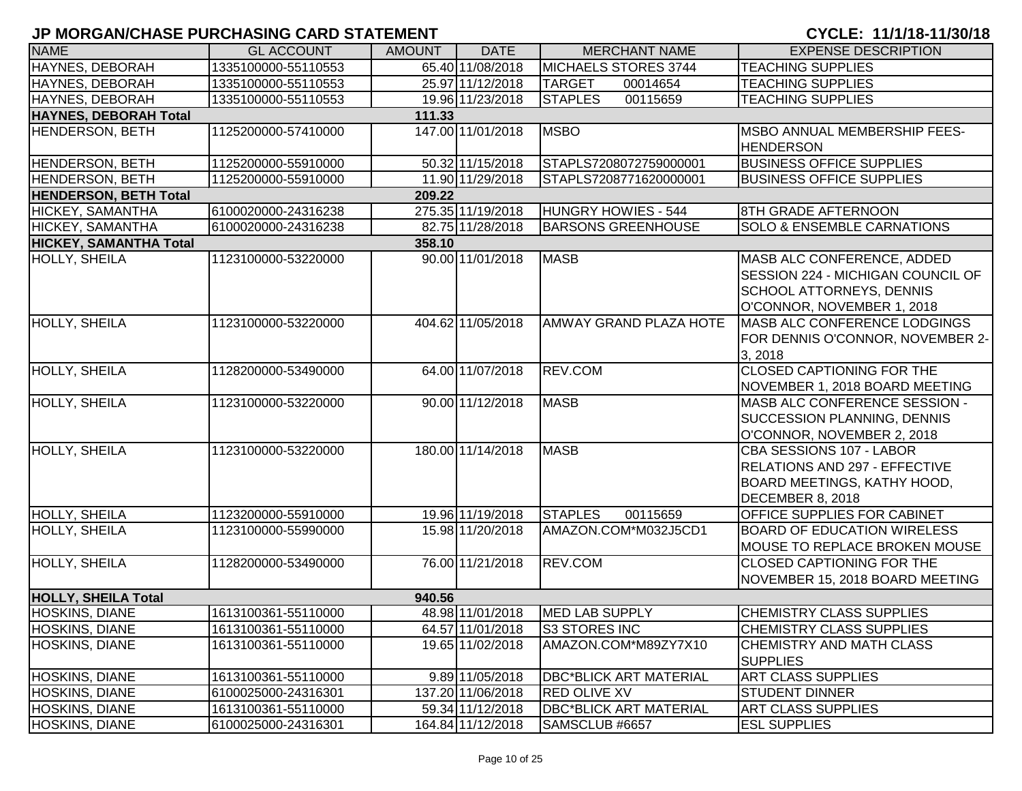| <b>NAME</b>                  | <b>GL ACCOUNT</b>   | <b>AMOUNT</b> | <b>DATE</b>       | <b>MERCHANT NAME</b>          | <b>EXPENSE DESCRIPTION</b>                                                                                                       |
|------------------------------|---------------------|---------------|-------------------|-------------------------------|----------------------------------------------------------------------------------------------------------------------------------|
| HAYNES, DEBORAH              | 1335100000-55110553 |               | 65.40 11/08/2018  | MICHAELS STORES 3744          | <b>TEACHING SUPPLIES</b>                                                                                                         |
| <b>HAYNES, DEBORAH</b>       | 1335100000-55110553 |               | 25.97 11/12/2018  | <b>TARGET</b><br>00014654     | <b>TEACHING SUPPLIES</b>                                                                                                         |
| HAYNES, DEBORAH              | 1335100000-55110553 |               | 19.96 11/23/2018  | <b>STAPLES</b><br>00115659    | <b>TEACHING SUPPLIES</b>                                                                                                         |
| HAYNES, DEBORAH Total        |                     | 111.33        |                   |                               |                                                                                                                                  |
| <b>HENDERSON, BETH</b>       | 1125200000-57410000 |               | 147.00 11/01/2018 | <b>MSBO</b>                   | MSBO ANNUAL MEMBERSHIP FEES-<br><b>HENDERSON</b>                                                                                 |
| HENDERSON, BETH              | 1125200000-55910000 |               | 50.32 11/15/2018  | STAPLS7208072759000001        | <b>BUSINESS OFFICE SUPPLIES</b>                                                                                                  |
| <b>HENDERSON, BETH</b>       | 1125200000-55910000 |               | 11.90 11/29/2018  | STAPLS7208771620000001        | <b>BUSINESS OFFICE SUPPLIES</b>                                                                                                  |
| <b>HENDERSON, BETH Total</b> |                     | 209.22        |                   |                               |                                                                                                                                  |
| HICKEY, SAMANTHA             | 6100020000-24316238 |               | 275.35 11/19/2018 | HUNGRY HOWIES - 544           | 8TH GRADE AFTERNOON                                                                                                              |
| HICKEY, SAMANTHA             | 6100020000-24316238 |               | 82.75 11/28/2018  | <b>BARSONS GREENHOUSE</b>     | <b>SOLO &amp; ENSEMBLE CARNATIONS</b>                                                                                            |
| HICKEY, SAMANTHA Total       |                     | 358.10        |                   |                               |                                                                                                                                  |
| HOLLY, SHEILA                | 1123100000-53220000 |               | 90.00 11/01/2018  | <b>MASB</b>                   | MASB ALC CONFERENCE, ADDED<br>SESSION 224 - MICHIGAN COUNCIL OF<br><b>SCHOOL ATTORNEYS, DENNIS</b><br>O'CONNOR, NOVEMBER 1, 2018 |
| <b>HOLLY, SHEILA</b>         | 1123100000-53220000 |               | 404.62 11/05/2018 | <b>AMWAY GRAND PLAZA HOTE</b> | <b>MASB ALC CONFERENCE LODGINGS</b><br>FOR DENNIS O'CONNOR, NOVEMBER 2-<br>3, 2018                                               |
| <b>HOLLY, SHEILA</b>         | 1128200000-53490000 |               | 64.00 11/07/2018  | <b>REV.COM</b>                | <b>CLOSED CAPTIONING FOR THE</b><br>NOVEMBER 1, 2018 BOARD MEETING                                                               |
| <b>HOLLY, SHEILA</b>         | 1123100000-53220000 |               | 90.00 11/12/2018  | <b>MASB</b>                   | MASB ALC CONFERENCE SESSION -<br><b>SUCCESSION PLANNING, DENNIS</b><br>O'CONNOR, NOVEMBER 2, 2018                                |
| <b>HOLLY, SHEILA</b>         | 1123100000-53220000 |               | 180.00 11/14/2018 | <b>MASB</b>                   | CBA SESSIONS 107 - LABOR<br><b>RELATIONS AND 297 - EFFECTIVE</b><br>BOARD MEETINGS, KATHY HOOD,<br>DECEMBER 8, 2018              |
| HOLLY, SHEILA                | 1123200000-55910000 |               | 19.96 11/19/2018  | <b>STAPLES</b><br>00115659    | <b>OFFICE SUPPLIES FOR CABINET</b>                                                                                               |
| HOLLY, SHEILA                | 1123100000-55990000 |               | 15.98 11/20/2018  | AMAZON.COM*M032J5CD1          | <b>BOARD OF EDUCATION WIRELESS</b><br>MOUSE TO REPLACE BROKEN MOUSE                                                              |
| HOLLY, SHEILA                | 1128200000-53490000 |               | 76.00 11/21/2018  | REV.COM                       | <b>CLOSED CAPTIONING FOR THE</b><br>NOVEMBER 15, 2018 BOARD MEETING                                                              |
| <b>HOLLY, SHEILA Total</b>   |                     | 940.56        |                   |                               |                                                                                                                                  |
| <b>HOSKINS, DIANE</b>        | 1613100361-55110000 |               | 48.98 11/01/2018  | MED LAB SUPPLY                | <b>CHEMISTRY CLASS SUPPLIES</b>                                                                                                  |
| <b>HOSKINS, DIANE</b>        | 1613100361-55110000 |               | 64.57 11/01/2018  | <b>S3 STORES INC</b>          | <b>CHEMISTRY CLASS SUPPLIES</b>                                                                                                  |
| HOSKINS, DIANE               | 1613100361-55110000 |               | 19.65 11/02/2018  | AMAZON.COM*M89ZY7X10          | CHEMISTRY AND MATH CLASS<br><b>SUPPLIES</b>                                                                                      |
| HOSKINS, DIANE               | 1613100361-55110000 |               | 9.89 11/05/2018   | <b>DBC*BLICK ART MATERIAL</b> | <b>ART CLASS SUPPLIES</b>                                                                                                        |
| <b>HOSKINS, DIANE</b>        | 6100025000-24316301 |               | 137.20 11/06/2018 | <b>RED OLIVE XV</b>           | <b>STUDENT DINNER</b>                                                                                                            |
| HOSKINS, DIANE               | 1613100361-55110000 |               | 59.34 11/12/2018  | <b>DBC*BLICK ART MATERIAL</b> | <b>ART CLASS SUPPLIES</b>                                                                                                        |
| HOSKINS, DIANE               | 6100025000-24316301 |               | 164.84 11/12/2018 | SAMSCLUB #6657                | <b>ESL SUPPLIES</b>                                                                                                              |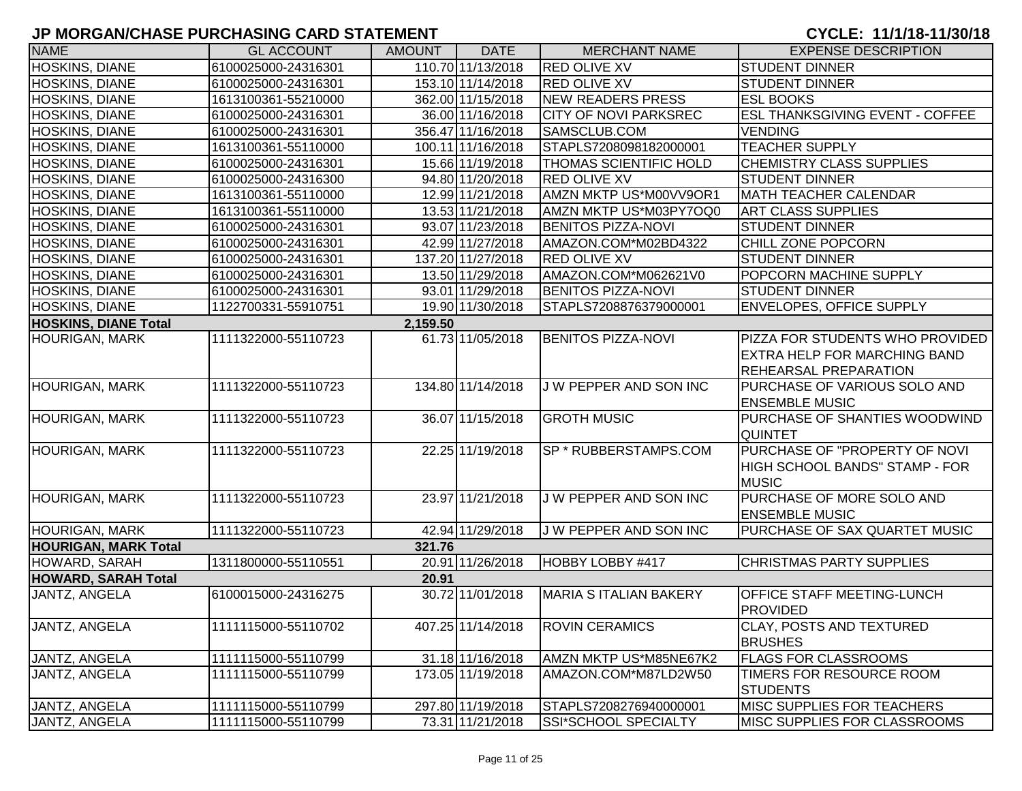| <b>NAME</b>                 | <b>GL ACCOUNT</b>   | <b>AMOUNT</b> | <b>DATE</b>       | <b>MERCHANT NAME</b>          | <b>EXPENSE DESCRIPTION</b>                                                                             |
|-----------------------------|---------------------|---------------|-------------------|-------------------------------|--------------------------------------------------------------------------------------------------------|
| HOSKINS, DIANE              | 6100025000-24316301 |               | 110.70 11/13/2018 | <b>RED OLIVE XV</b>           | <b>STUDENT DINNER</b>                                                                                  |
| <b>HOSKINS, DIANE</b>       | 6100025000-24316301 |               | 153.10 11/14/2018 | <b>RED OLIVE XV</b>           | <b>STUDENT DINNER</b>                                                                                  |
| HOSKINS, DIANE              | 1613100361-55210000 |               | 362.00 11/15/2018 | NEW READERS PRESS             | <b>ESL BOOKS</b>                                                                                       |
| HOSKINS, DIANE              | 6100025000-24316301 |               | 36.00 11/16/2018  | <b>CITY OF NOVI PARKSREC</b>  | <b>ESL THANKSGIVING EVENT - COFFEE</b>                                                                 |
| HOSKINS, DIANE              | 6100025000-24316301 |               | 356.47 11/16/2018 | SAMSCLUB.COM                  | <b>VENDING</b>                                                                                         |
| HOSKINS, DIANE              | 1613100361-55110000 |               | 100.11 11/16/2018 | STAPLS7208098182000001        | <b>TEACHER SUPPLY</b>                                                                                  |
| <b>HOSKINS, DIANE</b>       | 6100025000-24316301 |               | 15.66 11/19/2018  | <b>THOMAS SCIENTIFIC HOLD</b> | CHEMISTRY CLASS SUPPLIES                                                                               |
| <b>HOSKINS, DIANE</b>       | 6100025000-24316300 |               | 94.80 11/20/2018  | <b>RED OLIVE XV</b>           | <b>STUDENT DINNER</b>                                                                                  |
| <b>HOSKINS, DIANE</b>       | 1613100361-55110000 |               | 12.99 11/21/2018  | AMZN MKTP US*M00VV9OR1        | <b>MATH TEACHER CALENDAR</b>                                                                           |
| <b>HOSKINS, DIANE</b>       | 1613100361-55110000 |               | 13.53 11/21/2018  | AMZN MKTP US*M03PY7OQ0        | <b>ART CLASS SUPPLIES</b>                                                                              |
| <b>HOSKINS, DIANE</b>       | 6100025000-24316301 |               | 93.07 11/23/2018  | <b>BENITOS PIZZA-NOVI</b>     | <b>STUDENT DINNER</b>                                                                                  |
| <b>HOSKINS, DIANE</b>       | 6100025000-24316301 |               | 42.99 11/27/2018  | AMAZON.COM*M02BD4322          | CHILL ZONE POPCORN                                                                                     |
| <b>HOSKINS, DIANE</b>       | 6100025000-24316301 |               | 137.20 11/27/2018 | <b>RED OLIVE XV</b>           | <b>STUDENT DINNER</b>                                                                                  |
| <b>HOSKINS, DIANE</b>       | 6100025000-24316301 |               | 13.50 11/29/2018  | AMAZON.COM*M062621V0          | POPCORN MACHINE SUPPLY                                                                                 |
| <b>HOSKINS, DIANE</b>       | 6100025000-24316301 |               | 93.01 11/29/2018  | <b>BENITOS PIZZA-NOVI</b>     | <b>STUDENT DINNER</b>                                                                                  |
| <b>HOSKINS, DIANE</b>       | 1122700331-55910751 |               | 19.90 11/30/2018  | STAPLS7208876379000001        | <b>ENVELOPES, OFFICE SUPPLY</b>                                                                        |
| <b>HOSKINS, DIANE Total</b> |                     | 2,159.50      |                   |                               |                                                                                                        |
| <b>HOURIGAN, MARK</b>       | 1111322000-55110723 |               | 61.73 11/05/2018  | <b>BENITOS PIZZA-NOVI</b>     | PIZZA FOR STUDENTS WHO PROVIDED<br><b>EXTRA HELP FOR MARCHING BAND</b><br><b>REHEARSAL PREPARATION</b> |
| <b>HOURIGAN, MARK</b>       | 1111322000-55110723 |               | 134.80 11/14/2018 | J W PEPPER AND SON INC        | PURCHASE OF VARIOUS SOLO AND<br><b>ENSEMBLE MUSIC</b>                                                  |
| <b>HOURIGAN, MARK</b>       | 1111322000-55110723 |               | 36.07 11/15/2018  | <b>GROTH MUSIC</b>            | PURCHASE OF SHANTIES WOODWIND<br><b>QUINTET</b>                                                        |
| <b>HOURIGAN, MARK</b>       | 1111322000-55110723 |               | 22.25 11/19/2018  | SP * RUBBERSTAMPS.COM         | PURCHASE OF "PROPERTY OF NOVI<br>HIGH SCHOOL BANDS" STAMP - FOR<br><b>MUSIC</b>                        |
| <b>HOURIGAN, MARK</b>       | 1111322000-55110723 |               | 23.97 11/21/2018  | J W PEPPER AND SON INC        | PURCHASE OF MORE SOLO AND<br><b>ENSEMBLE MUSIC</b>                                                     |
| <b>HOURIGAN, MARK</b>       | 1111322000-55110723 |               | 42.94 11/29/2018  | J W PEPPER AND SON INC        | PURCHASE OF SAX QUARTET MUSIC                                                                          |
| <b>HOURIGAN, MARK Total</b> |                     | 321.76        |                   |                               |                                                                                                        |
| HOWARD, SARAH               | 1311800000-55110551 |               | 20.91 11/26/2018  | HOBBY LOBBY #417              | <b>CHRISTMAS PARTY SUPPLIES</b>                                                                        |
| <b>HOWARD, SARAH Total</b>  |                     | 20.91         |                   |                               |                                                                                                        |
| JANTZ, ANGELA               | 6100015000-24316275 |               | 30.72 11/01/2018  | <b>MARIA S ITALIAN BAKERY</b> | <b>OFFICE STAFF MEETING-LUNCH</b><br><b>PROVIDED</b>                                                   |
| JANTZ, ANGELA               | 1111115000-55110702 |               | 407.25 11/14/2018 | <b>ROVIN CERAMICS</b>         | <b>CLAY, POSTS AND TEXTURED</b><br><b>BRUSHES</b>                                                      |
| JANTZ, ANGELA               | 1111115000-55110799 |               | 31.18 11/16/2018  | AMZN MKTP US*M85NE67K2        | <b>FLAGS FOR CLASSROOMS</b>                                                                            |
| JANTZ, ANGELA               | 1111115000-55110799 |               | 173.05 11/19/2018 | AMAZON.COM*M87LD2W50          | TIMERS FOR RESOURCE ROOM<br><b>STUDENTS</b>                                                            |
| JANTZ, ANGELA               | 1111115000-55110799 |               | 297.80 11/19/2018 | STAPLS7208276940000001        | MISC SUPPLIES FOR TEACHERS                                                                             |
| JANTZ, ANGELA               | 1111115000-55110799 |               | 73.31 11/21/2018  | SSI*SCHOOL SPECIALTY          | MISC SUPPLIES FOR CLASSROOMS                                                                           |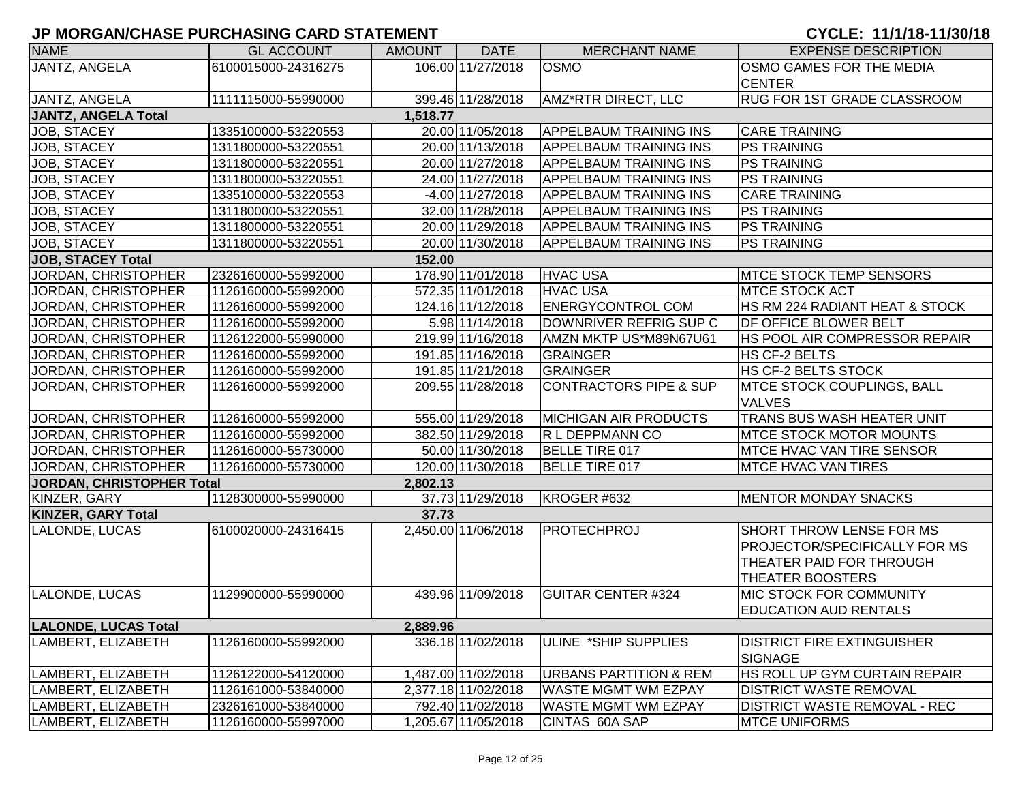| <b>NAME</b>                 | <b>GL ACCOUNT</b>   | <b>AMOUNT</b> | <b>DATE</b>         | <b>MERCHANT NAME</b>              | <b>EXPENSE DESCRIPTION</b>           |
|-----------------------------|---------------------|---------------|---------------------|-----------------------------------|--------------------------------------|
| JANTZ, ANGELA               | 6100015000-24316275 |               | 106.00 11/27/2018   | <b>OSMO</b>                       | OSMO GAMES FOR THE MEDIA             |
|                             |                     |               |                     |                                   | <b>CENTER</b>                        |
| JANTZ, ANGELA               | 1111115000-55990000 |               | 399.46 11/28/2018   | AMZ*RTR DIRECT, LLC               | <b>RUG FOR 1ST GRADE CLASSROOM</b>   |
| <b>JANTZ, ANGELA Total</b>  |                     | 1,518.77      |                     |                                   |                                      |
| JOB, STACEY                 | 1335100000-53220553 |               | 20.00 11/05/2018    | <b>APPELBAUM TRAINING INS</b>     | <b>CARE TRAINING</b>                 |
| JOB, STACEY                 | 1311800000-53220551 |               | 20.00 11/13/2018    | <b>APPELBAUM TRAINING INS</b>     | <b>PS TRAINING</b>                   |
| JOB, STACEY                 | 1311800000-53220551 |               | 20.00 11/27/2018    | <b>APPELBAUM TRAINING INS</b>     | <b>PS TRAINING</b>                   |
| JOB, STACEY                 | 1311800000-53220551 |               | 24.00 11/27/2018    | <b>APPELBAUM TRAINING INS</b>     | <b>PS TRAINING</b>                   |
| JOB, STACEY                 | 1335100000-53220553 |               | $-4.00$ 11/27/2018  | <b>APPELBAUM TRAINING INS</b>     | <b>CARE TRAINING</b>                 |
| <b>JOB, STACEY</b>          | 1311800000-53220551 |               | 32.00 11/28/2018    | <b>APPELBAUM TRAINING INS</b>     | <b>PS TRAINING</b>                   |
| JOB, STACEY                 | 1311800000-53220551 |               | 20.00 11/29/2018    | <b>APPELBAUM TRAINING INS</b>     | <b>PS TRAINING</b>                   |
| JOB, STACEY                 | 1311800000-53220551 |               | 20.00 11/30/2018    | <b>APPELBAUM TRAINING INS</b>     | <b>PS TRAINING</b>                   |
| <b>JOB, STACEY Total</b>    |                     | 152.00        |                     |                                   |                                      |
| JORDAN, CHRISTOPHER         | 2326160000-55992000 |               | 178.90 11/01/2018   | <b>HVAC USA</b>                   | <b>MTCE STOCK TEMP SENSORS</b>       |
| JORDAN, CHRISTOPHER         | 1126160000-55992000 |               | 572.35 11/01/2018   | <b>HVAC USA</b>                   | <b>MTCE STOCK ACT</b>                |
| JORDAN, CHRISTOPHER         | 1126160000-55992000 |               | 124.16 11/12/2018   | <b>ENERGYCONTROL COM</b>          | HS RM 224 RADIANT HEAT & STOCK       |
| JORDAN, CHRISTOPHER         | 1126160000-55992000 |               | 5.98 11/14/2018     | DOWNRIVER REFRIG SUP C            | DF OFFICE BLOWER BELT                |
| JORDAN, CHRISTOPHER         | 1126122000-55990000 |               | 219.99 11/16/2018   | AMZN MKTP US*M89N67U61            | HS POOL AIR COMPRESSOR REPAIR        |
| JORDAN, CHRISTOPHER         | 1126160000-55992000 |               | 191.85 11/16/2018   | GRAINGER                          | HS CF-2 BELTS                        |
| JORDAN, CHRISTOPHER         | 1126160000-55992000 |               | 191.85 11/21/2018   | GRAINGER                          | HS CF-2 BELTS STOCK                  |
| JORDAN, CHRISTOPHER         | 1126160000-55992000 |               | 209.55 11/28/2018   | <b>CONTRACTORS PIPE &amp; SUP</b> | MTCE STOCK COUPLINGS, BALL           |
|                             |                     |               |                     |                                   | <b>VALVES</b>                        |
| <b>JORDAN, CHRISTOPHER</b>  | 1126160000-55992000 |               | 555.00 11/29/2018   | <b>MICHIGAN AIR PRODUCTS</b>      | TRANS BUS WASH HEATER UNIT           |
| JORDAN, CHRISTOPHER         | 1126160000-55992000 |               | 382.50 11/29/2018   | R L DEPPMANN CO                   | <b>MTCE STOCK MOTOR MOUNTS</b>       |
| JORDAN, CHRISTOPHER         | 1126160000-55730000 |               | 50.00 11/30/2018    | BELLE TIRE 017                    | <b>MTCE HVAC VAN TIRE SENSOR</b>     |
| JORDAN, CHRISTOPHER         | 1126160000-55730000 |               | 120.00 11/30/2018   | BELLE TIRE 017                    | <b>MTCE HVAC VAN TIRES</b>           |
| JORDAN, CHRISTOPHER Total   |                     | 2,802.13      |                     |                                   |                                      |
| KINZER, GARY                | 1128300000-55990000 |               | 37.73 11/29/2018    | KROGER #632                       | <b>MENTOR MONDAY SNACKS</b>          |
| <b>KINZER, GARY Total</b>   |                     | 37.73         |                     |                                   |                                      |
| LALONDE, LUCAS              | 6100020000-24316415 |               | 2,450.00 11/06/2018 | PROTECHPROJ                       | <b>SHORT THROW LENSE FOR MS</b>      |
|                             |                     |               |                     |                                   | <b>PROJECTOR/SPECIFICALLY FOR MS</b> |
|                             |                     |               |                     |                                   | THEATER PAID FOR THROUGH             |
|                             |                     |               |                     |                                   | THEATER BOOSTERS                     |
| <b>LALONDE, LUCAS</b>       | 1129900000-55990000 |               | 439.96 11/09/2018   | <b>GUITAR CENTER #324</b>         | <b>MIC STOCK FOR COMMUNITY</b>       |
|                             |                     |               |                     |                                   | <b>EDUCATION AUD RENTALS</b>         |
| <b>LALONDE, LUCAS Total</b> |                     | 2,889.96      |                     |                                   |                                      |
| LAMBERT, ELIZABETH          | 1126160000-55992000 |               | 336.1811/02/2018    | <b>I</b> ULINE *SHIP SUPPLIES     | <b>DISTRICT FIRE EXTINGUISHER</b>    |
|                             |                     |               |                     |                                   | <b>SIGNAGE</b>                       |
| LAMBERT, ELIZABETH          | 1126122000-54120000 |               | 1,487.00 11/02/2018 | <b>URBANS PARTITION &amp; REM</b> | HS ROLL UP GYM CURTAIN REPAIR        |
| LAMBERT, ELIZABETH          | 1126161000-53840000 |               | 2,377.18 11/02/2018 | <b>WASTE MGMT WM EZPAY</b>        | <b>DISTRICT WASTE REMOVAL</b>        |
| LAMBERT, ELIZABETH          | 2326161000-53840000 |               | 792.40 11/02/2018   | <b>WASTE MGMT WM EZPAY</b>        | <b>DISTRICT WASTE REMOVAL - REC</b>  |
| LAMBERT, ELIZABETH          | 1126160000-55997000 |               | 1,205.67 11/05/2018 | CINTAS 60A SAP                    | <b>MTCE UNIFORMS</b>                 |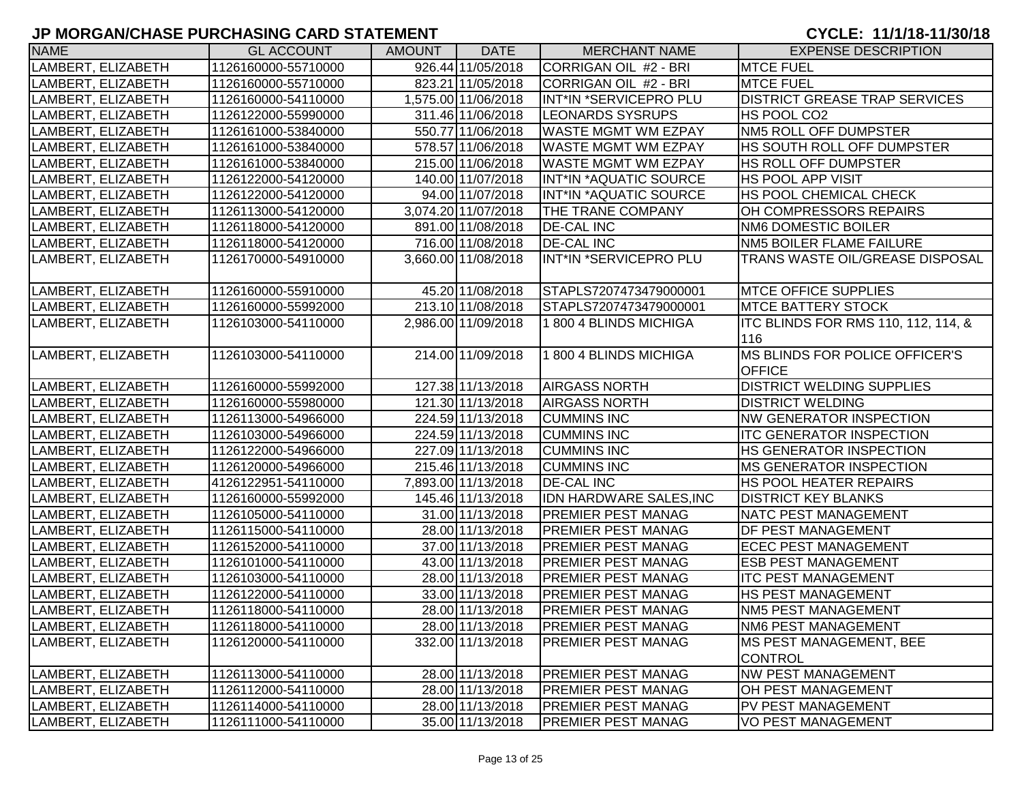| <b>NAME</b>                | <b>GL ACCOUNT</b>    | <b>AMOUNT</b> | <b>DATE</b>         | <b>MERCHANT NAME</b>           | <b>EXPENSE DESCRIPTION</b>             |
|----------------------------|----------------------|---------------|---------------------|--------------------------------|----------------------------------------|
| LAMBERT, ELIZABETH         | 1126160000-55710000  |               | 926.44 11/05/2018   | CORRIGAN OIL #2 - BRI          | <b>MTCE FUEL</b>                       |
| LAMBERT, ELIZABETH         | 1126160000-55710000  |               | 823.21 11/05/2018   | CORRIGAN OIL #2 - BRI          | <b>MTCE FUEL</b>                       |
| LAMBERT, ELIZABETH         | 1126160000-54110000  |               | 1,575.00 11/06/2018 | INT*IN *SERVICEPRO PLU         | <b>DISTRICT GREASE TRAP SERVICES</b>   |
| LAMBERT, ELIZABETH         | 1126122000-55990000  |               | 311.46 11/06/2018   | <b>LEONARDS SYSRUPS</b>        | HS POOL CO2                            |
| LAMBERT, ELIZABETH         | 1126161000-53840000  |               | 550.77 11/06/2018   | <b>WASTE MGMT WM EZPAY</b>     | NM5 ROLL OFF DUMPSTER                  |
| LAMBERT, ELIZABETH         | 1126161000-53840000  |               | 578.57 11/06/2018   | <b>WASTE MGMT WM EZPAY</b>     | HS SOUTH ROLL OFF DUMPSTER             |
| LAMBERT, ELIZABETH         | 1126161000-53840000  |               | 215.00 11/06/2018   | <b>WASTE MGMT WM EZPAY</b>     | <b>HS ROLL OFF DUMPSTER</b>            |
| LAMBERT, ELIZABETH         | 1126122000-54120000  |               | 140.00 11/07/2018   | INT*IN *AQUATIC SOURCE         | <b>HS POOL APP VISIT</b>               |
| LAMBERT, ELIZABETH         | 1126122000-54120000  |               | 94.00 11/07/2018    | INT*IN *AQUATIC SOURCE         | HS POOL CHEMICAL CHECK                 |
| LAMBERT, ELIZABETH         | 1126113000-54120000  |               | 3,074.20 11/07/2018 | THE TRANE COMPANY              | OH COMPRESSORS REPAIRS                 |
| LAMBERT, ELIZABETH         | 1126118000-54120000  |               | 891.00 11/08/2018   | <b>DE-CAL INC</b>              | NM6 DOMESTIC BOILER                    |
| LAMBERT, ELIZABETH         | 1126118000-54120000  |               | 716.00 11/08/2018   | <b>DE-CAL INC</b>              | NM5 BOILER FLAME FAILURE               |
| LAMBERT, ELIZABETH         | 1126170000-54910000  |               | 3,660.00 11/08/2018 | INT*IN *SERVICEPRO PLU         | <b>TRANS WASTE OIL/GREASE DISPOSAL</b> |
| LAMBERT, ELIZABETH         | 1126160000-55910000  |               | 45.20 11/08/2018    | STAPLS7207473479000001         | <b>MTCE OFFICE SUPPLIES</b>            |
| LAMBERT, ELIZABETH         | 1126160000-55992000  |               | 213.10 11/08/2018   | STAPLS7207473479000001         | <b>MTCE BATTERY STOCK</b>              |
| LAMBERT, ELIZABETH         | 1126103000-54110000  |               | 2,986.00 11/09/2018 | 1800 4 BLINDS MICHIGA          | ITC BLINDS FOR RMS 110, 112, 114, &    |
|                            |                      |               |                     |                                | 116                                    |
| LAMBERT, ELIZABETH         | 1126103000-54110000  |               | 214.00 11/09/2018   | 1 800 4 BLINDS MICHIGA         | MS BLINDS FOR POLICE OFFICER'S         |
|                            |                      |               |                     |                                | <b>OFFICE</b>                          |
| LAMBERT, ELIZABETH         | 1126160000-55992000  |               | 127.38 11/13/2018   | <b>AIRGASS NORTH</b>           | <b>DISTRICT WELDING SUPPLIES</b>       |
| LAMBERT, ELIZABETH         | 1126160000-55980000  |               | 121.30 11/13/2018   | <b>AIRGASS NORTH</b>           | <b>DISTRICT WELDING</b>                |
| LAMBERT, ELIZABETH         | 1126113000-54966000  |               | 224.59 11/13/2018   | <b>CUMMINS INC</b>             | <b>NW GENERATOR INSPECTION</b>         |
| LAMBERT, ELIZABETH         | 1126103000-54966000  |               | 224.59 11/13/2018   | <b>CUMMINS INC</b>             | <b>ITC GENERATOR INSPECTION</b>        |
| LAMBERT, ELIZABETH         | 1126122000-54966000  |               | 227.09 11/13/2018   | <b>CUMMINS INC</b>             | <b>HS GENERATOR INSPECTION</b>         |
| LAMBERT, ELIZABETH         | 1126120000-54966000  |               | 215.46 11/13/2018   | <b>CUMMINS INC</b>             | <b>MS GENERATOR INSPECTION</b>         |
| LAMBERT, ELIZABETH         | 4126122951-54110000  |               | 7,893.00 11/13/2018 | <b>DE-CAL INC</b>              | <b>HS POOL HEATER REPAIRS</b>          |
| LAMBERT, ELIZABETH         | 1126160000-55992000  |               | 145.46 11/13/2018   | <b>IDN HARDWARE SALES, INC</b> | <b>DISTRICT KEY BLANKS</b>             |
| LAMBERT, ELIZABETH         | 1126105000-54110000  |               | 31.00 11/13/2018    | <b>PREMIER PEST MANAG</b>      | NATC PEST MANAGEMENT                   |
| LAMBERT, ELIZABETH         | 1126115000-54110000  |               | 28.00 11/13/2018    | <b>PREMIER PEST MANAG</b>      | <b>DF PEST MANAGEMENT</b>              |
| LAMBERT, ELIZABETH         | 1126152000-54110000  |               | 37.00 11/13/2018    | <b>PREMIER PEST MANAG</b>      | <b>ECEC PEST MANAGEMENT</b>            |
| LAMBERT, ELIZABETH         | 1126101000-54110000  |               | 43.00 11/13/2018    | <b>PREMIER PEST MANAG</b>      | <b>ESB PEST MANAGEMENT</b>             |
| LAMBERT, ELIZABETH         | 1126103000-54110000  |               | 28.00 11/13/2018    | <b>PREMIER PEST MANAG</b>      | <b>ITC PEST MANAGEMENT</b>             |
| LAMBERT, ELIZABETH         | 1126122000-54110000  |               | 33.00 11/13/2018    | <b>PREMIER PEST MANAG</b>      | HS PEST MANAGEMENT                     |
| LAMBERT, ELIZABETH         | 1126118000-54110000  |               | 28.00 11/13/2018    | <b>PREMIER PEST MANAG</b>      | <b>NM5 PEST MANAGEMENT</b>             |
| LAMBERT, ELIZABETH         | 1126118000-54110000  |               | 28.00 11/13/2018    | <b>PREMIER PEST MANAG</b>      | NM6 PEST MANAGEMENT                    |
| <b>ILAMBERT, ELIZABETH</b> | l1126120000-54110000 |               | 332.00 11/13/2018   | <b>PREMIER PEST MANAG</b>      | <b>IMS PEST MANAGEMENT, BEE</b>        |
|                            |                      |               |                     |                                | <b>CONTROL</b>                         |
| LAMBERT, ELIZABETH         | 1126113000-54110000  |               | 28.00 11/13/2018    | <b>PREMIER PEST MANAG</b>      | <b>NW PEST MANAGEMENT</b>              |
| LAMBERT, ELIZABETH         | 1126112000-54110000  |               | 28.00 11/13/2018    | <b>PREMIER PEST MANAG</b>      | OH PEST MANAGEMENT                     |
| LAMBERT, ELIZABETH         | 1126114000-54110000  |               | 28.00 11/13/2018    | <b>PREMIER PEST MANAG</b>      | PV PEST MANAGEMENT                     |
| LAMBERT, ELIZABETH         | 1126111000-54110000  |               | 35.00 11/13/2018    | <b>PREMIER PEST MANAG</b>      | <b>VO PEST MANAGEMENT</b>              |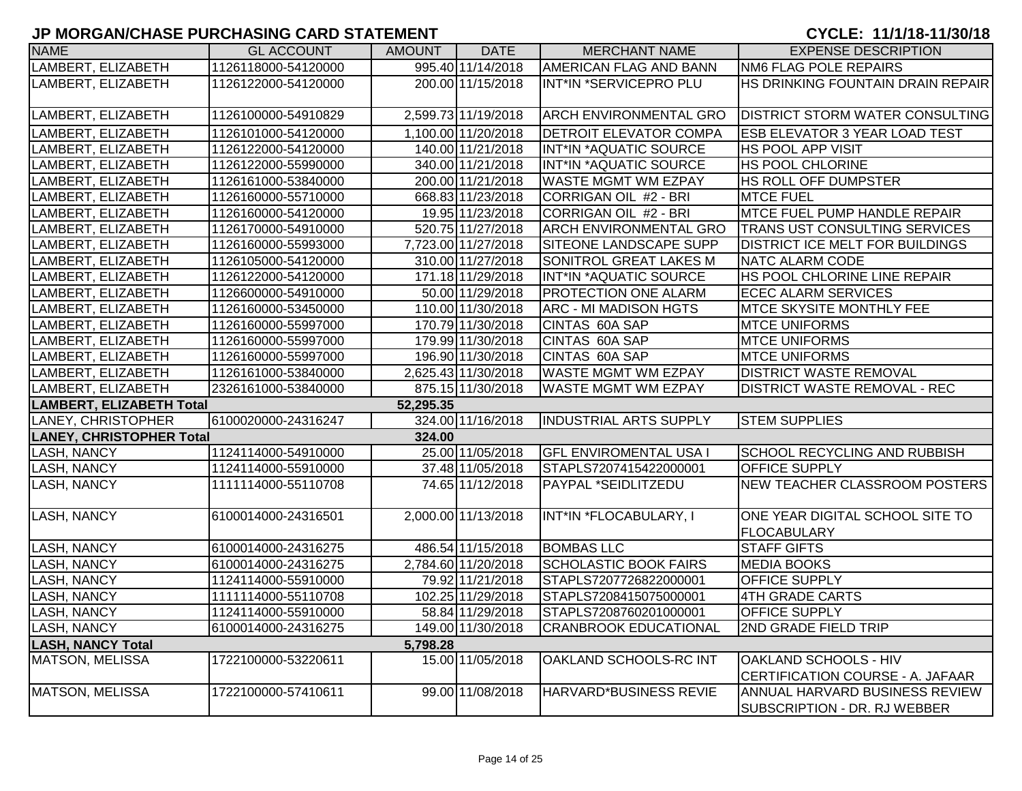| 995.40 11/14/2018<br>LAMBERT, ELIZABETH<br>1126118000-54120000<br><b>AMERICAN FLAG AND BANN</b><br><b>NM6 FLAG POLE REPAIRS</b><br>LAMBERT, ELIZABETH<br>200.00 11/15/2018<br>INT*IN *SERVICEPRO PLU<br>1126122000-54120000<br>2,599.73 11/19/2018<br>LAMBERT, ELIZABETH<br>1126100000-54910829<br><b>ARCH ENVIRONMENTAL GRO</b><br>LAMBERT, ELIZABETH<br>1,100.00 11/20/2018<br><b>DETROIT ELEVATOR COMPA</b><br><b>ESB ELEVATOR 3 YEAR LOAD TEST</b><br>1126101000-54120000<br>140.00 11/21/2018<br>INT*IN *AQUATIC SOURCE<br><b>_AMBERT, ELIZABETH</b><br>1126122000-54120000<br><b>HS POOL APP VISIT</b><br><b>_AMBERT, ELIZABETH</b><br>340.00 11/21/2018<br>INT*IN *AQUATIC SOURCE<br><b>HS POOL CHLORINE</b><br>1126122000-55990000<br>200.00 11/21/2018<br><b>WASTE MGMT WM EZPAY</b><br><b>AMBERT, ELIZABETH</b><br>1126161000-53840000<br><b>HS ROLL OFF DUMPSTER</b><br>AMBERT, ELIZABETH<br>1126160000-55710000<br>668.83 11/23/2018<br>CORRIGAN OIL #2 - BRI<br><b>MTCE FUEL</b> | HS DRINKING FOUNTAIN DRAIN REPAIR<br><b>DISTRICT STORM WATER CONSULTING</b><br><b>MTCE FUEL PUMP HANDLE REPAIR</b><br><b>TRANS UST CONSULTING SERVICES</b> |
|-----------------------------------------------------------------------------------------------------------------------------------------------------------------------------------------------------------------------------------------------------------------------------------------------------------------------------------------------------------------------------------------------------------------------------------------------------------------------------------------------------------------------------------------------------------------------------------------------------------------------------------------------------------------------------------------------------------------------------------------------------------------------------------------------------------------------------------------------------------------------------------------------------------------------------------------------------------------------------------------------|------------------------------------------------------------------------------------------------------------------------------------------------------------|
|                                                                                                                                                                                                                                                                                                                                                                                                                                                                                                                                                                                                                                                                                                                                                                                                                                                                                                                                                                                               |                                                                                                                                                            |
|                                                                                                                                                                                                                                                                                                                                                                                                                                                                                                                                                                                                                                                                                                                                                                                                                                                                                                                                                                                               |                                                                                                                                                            |
|                                                                                                                                                                                                                                                                                                                                                                                                                                                                                                                                                                                                                                                                                                                                                                                                                                                                                                                                                                                               |                                                                                                                                                            |
|                                                                                                                                                                                                                                                                                                                                                                                                                                                                                                                                                                                                                                                                                                                                                                                                                                                                                                                                                                                               |                                                                                                                                                            |
|                                                                                                                                                                                                                                                                                                                                                                                                                                                                                                                                                                                                                                                                                                                                                                                                                                                                                                                                                                                               |                                                                                                                                                            |
|                                                                                                                                                                                                                                                                                                                                                                                                                                                                                                                                                                                                                                                                                                                                                                                                                                                                                                                                                                                               |                                                                                                                                                            |
|                                                                                                                                                                                                                                                                                                                                                                                                                                                                                                                                                                                                                                                                                                                                                                                                                                                                                                                                                                                               |                                                                                                                                                            |
|                                                                                                                                                                                                                                                                                                                                                                                                                                                                                                                                                                                                                                                                                                                                                                                                                                                                                                                                                                                               |                                                                                                                                                            |
| CORRIGAN OIL #2 - BRI<br><b>AMBERT, ELIZABETH</b><br>1126160000-54120000<br>19.95 11/23/2018                                                                                                                                                                                                                                                                                                                                                                                                                                                                                                                                                                                                                                                                                                                                                                                                                                                                                                  |                                                                                                                                                            |
| AMBERT, ELIZABETH<br>1126170000-54910000<br>520.75 11/27/2018<br><b>ARCH ENVIRONMENTAL GRO</b>                                                                                                                                                                                                                                                                                                                                                                                                                                                                                                                                                                                                                                                                                                                                                                                                                                                                                                |                                                                                                                                                            |
| 7,723.00 11/27/2018<br><b>DISTRICT ICE MELT FOR BUILDINGS</b><br>AMBERT, ELIZABETH<br>1126160000-55993000<br>SITEONE LANDSCAPE SUPP                                                                                                                                                                                                                                                                                                                                                                                                                                                                                                                                                                                                                                                                                                                                                                                                                                                           |                                                                                                                                                            |
| 310.00 11/27/2018<br>SONITROL GREAT LAKES M<br>NATC ALARM CODE<br>_AMBERT, ELIZABETH<br>1126105000-54120000                                                                                                                                                                                                                                                                                                                                                                                                                                                                                                                                                                                                                                                                                                                                                                                                                                                                                   |                                                                                                                                                            |
| <b>_AMBERT, ELIZABETH</b><br>1126122000-54120000<br>171.18 11/29/2018<br>INT*IN *AQUATIC SOURCE<br><b>HS POOL CHLORINE LINE REPAIR</b>                                                                                                                                                                                                                                                                                                                                                                                                                                                                                                                                                                                                                                                                                                                                                                                                                                                        |                                                                                                                                                            |
| 50.00 11/29/2018<br><b>PROTECTION ONE ALARM</b><br><b>ECEC ALARM SERVICES</b><br>LAMBERT, ELIZABETH<br>1126600000-54910000                                                                                                                                                                                                                                                                                                                                                                                                                                                                                                                                                                                                                                                                                                                                                                                                                                                                    |                                                                                                                                                            |
| LAMBERT, ELIZABETH<br>110.00 11/30/2018<br><b>ARC - MI MADISON HGTS</b><br><b>MTCE SKYSITE MONTHLY FEE</b><br>1126160000-53450000                                                                                                                                                                                                                                                                                                                                                                                                                                                                                                                                                                                                                                                                                                                                                                                                                                                             |                                                                                                                                                            |
| 170.79 11/30/2018<br>CINTAS 60A SAP<br>LAMBERT, ELIZABETH<br>1126160000-55997000<br><b>IMTCE UNIFORMS</b>                                                                                                                                                                                                                                                                                                                                                                                                                                                                                                                                                                                                                                                                                                                                                                                                                                                                                     |                                                                                                                                                            |
| 179.99 11/30/2018<br>CINTAS 60A SAP<br><b>MTCE UNIFORMS</b><br>LAMBERT, ELIZABETH<br>1126160000-55997000                                                                                                                                                                                                                                                                                                                                                                                                                                                                                                                                                                                                                                                                                                                                                                                                                                                                                      |                                                                                                                                                            |
| LAMBERT, ELIZABETH<br>196.90 11/30/2018<br>CINTAS 60A SAP<br><b>MTCE UNIFORMS</b><br>1126160000-55997000                                                                                                                                                                                                                                                                                                                                                                                                                                                                                                                                                                                                                                                                                                                                                                                                                                                                                      |                                                                                                                                                            |
| <b>DISTRICT WASTE REMOVAL</b><br>LAMBERT, ELIZABETH<br>2,625.43 11/30/2018<br><b>WASTE MGMT WM EZPAY</b><br>1126161000-53840000                                                                                                                                                                                                                                                                                                                                                                                                                                                                                                                                                                                                                                                                                                                                                                                                                                                               |                                                                                                                                                            |
| LAMBERT, ELIZABETH<br>875.15 11/30/2018<br><b>WASTE MGMT WM EZPAY</b><br><b>DISTRICT WASTE REMOVAL - REC</b><br>2326161000-53840000                                                                                                                                                                                                                                                                                                                                                                                                                                                                                                                                                                                                                                                                                                                                                                                                                                                           |                                                                                                                                                            |
| LAMBERT, ELIZABETH Total<br>52,295.35                                                                                                                                                                                                                                                                                                                                                                                                                                                                                                                                                                                                                                                                                                                                                                                                                                                                                                                                                         |                                                                                                                                                            |
| 324.00 11/16/2018<br><b>LANEY, CHRISTOPHER</b><br>6100020000-24316247<br><b>INDUSTRIAL ARTS SUPPLY</b><br><b>STEM SUPPLIES</b>                                                                                                                                                                                                                                                                                                                                                                                                                                                                                                                                                                                                                                                                                                                                                                                                                                                                |                                                                                                                                                            |
| <b>LANEY, CHRISTOPHER Total</b><br>324.00                                                                                                                                                                                                                                                                                                                                                                                                                                                                                                                                                                                                                                                                                                                                                                                                                                                                                                                                                     |                                                                                                                                                            |
| 25.00 11/05/2018<br>1124114000-54910000<br><b>GFL ENVIROMENTAL USA I</b><br><b>SCHOOL RECYCLING AND RUBBISH</b><br>LASH, NANCY                                                                                                                                                                                                                                                                                                                                                                                                                                                                                                                                                                                                                                                                                                                                                                                                                                                                |                                                                                                                                                            |
| <b>OFFICE SUPPLY</b><br>LASH, NANCY<br>1124114000-55910000<br>37.48 11/05/2018<br>STAPLS7207415422000001                                                                                                                                                                                                                                                                                                                                                                                                                                                                                                                                                                                                                                                                                                                                                                                                                                                                                      |                                                                                                                                                            |
| PAYPAL *SEIDLITZEDU<br>LASH, NANCY<br>1111114000-55110708<br>74.65 11/12/2018                                                                                                                                                                                                                                                                                                                                                                                                                                                                                                                                                                                                                                                                                                                                                                                                                                                                                                                 | NEW TEACHER CLASSROOM POSTERS                                                                                                                              |
| LASH, NANCY<br>2,000.00 11/13/2018<br>INT*IN *FLOCABULARY, I<br>6100014000-24316501<br><b>FLOCABULARY</b>                                                                                                                                                                                                                                                                                                                                                                                                                                                                                                                                                                                                                                                                                                                                                                                                                                                                                     | ONE YEAR DIGITAL SCHOOL SITE TO                                                                                                                            |
| LASH, NANCY<br>486.54 11/15/2018<br><b>BOMBAS LLC</b><br><b>STAFF GIFTS</b><br>6100014000-24316275                                                                                                                                                                                                                                                                                                                                                                                                                                                                                                                                                                                                                                                                                                                                                                                                                                                                                            |                                                                                                                                                            |
| <b>SCHOLASTIC BOOK FAIRS</b><br>LASH, NANCY<br>6100014000-24316275<br>2,784.60 11/20/2018<br><b>MEDIA BOOKS</b>                                                                                                                                                                                                                                                                                                                                                                                                                                                                                                                                                                                                                                                                                                                                                                                                                                                                               |                                                                                                                                                            |
| LASH, NANCY<br>79.92 11/21/2018<br>STAPLS7207726822000001<br><b>OFFICE SUPPLY</b><br>1124114000-55910000                                                                                                                                                                                                                                                                                                                                                                                                                                                                                                                                                                                                                                                                                                                                                                                                                                                                                      |                                                                                                                                                            |
| STAPLS7208415075000001<br>4TH GRADE CARTS<br>LASH, NANCY<br>1111114000-55110708<br>102.25 11/29/2018                                                                                                                                                                                                                                                                                                                                                                                                                                                                                                                                                                                                                                                                                                                                                                                                                                                                                          |                                                                                                                                                            |
| <b>LASH, NANCY</b><br>58.84 11/29/2018<br>STAPLS7208760201000001<br><b>OFFICE SUPPLY</b><br>1124114000-55910000                                                                                                                                                                                                                                                                                                                                                                                                                                                                                                                                                                                                                                                                                                                                                                                                                                                                               |                                                                                                                                                            |
| 6100014000-24316275<br>149.00 11/30/2018<br><b>CRANBROOK EDUCATIONAL</b><br><b>2ND GRADE FIELD TRIP</b><br>LASH, NANCY                                                                                                                                                                                                                                                                                                                                                                                                                                                                                                                                                                                                                                                                                                                                                                                                                                                                        |                                                                                                                                                            |
| <b>LASH, NANCY Total</b><br>5,798.28                                                                                                                                                                                                                                                                                                                                                                                                                                                                                                                                                                                                                                                                                                                                                                                                                                                                                                                                                          |                                                                                                                                                            |
| <b>MATSON, MELISSA</b><br>15.00 11/05/2018<br><b>OAKLAND SCHOOLS - HIV</b><br>1722100000-53220611<br>OAKLAND SCHOOLS-RC INT                                                                                                                                                                                                                                                                                                                                                                                                                                                                                                                                                                                                                                                                                                                                                                                                                                                                   |                                                                                                                                                            |
|                                                                                                                                                                                                                                                                                                                                                                                                                                                                                                                                                                                                                                                                                                                                                                                                                                                                                                                                                                                               | CERTIFICATION COURSE - A. JAFAAR                                                                                                                           |
| <b>MATSON, MELISSA</b><br>99.00 11/08/2018<br>HARVARD*BUSINESS REVIE<br>1722100000-57410611<br>SUBSCRIPTION - DR. RJ WEBBER                                                                                                                                                                                                                                                                                                                                                                                                                                                                                                                                                                                                                                                                                                                                                                                                                                                                   | ANNUAL HARVARD BUSINESS REVIEW                                                                                                                             |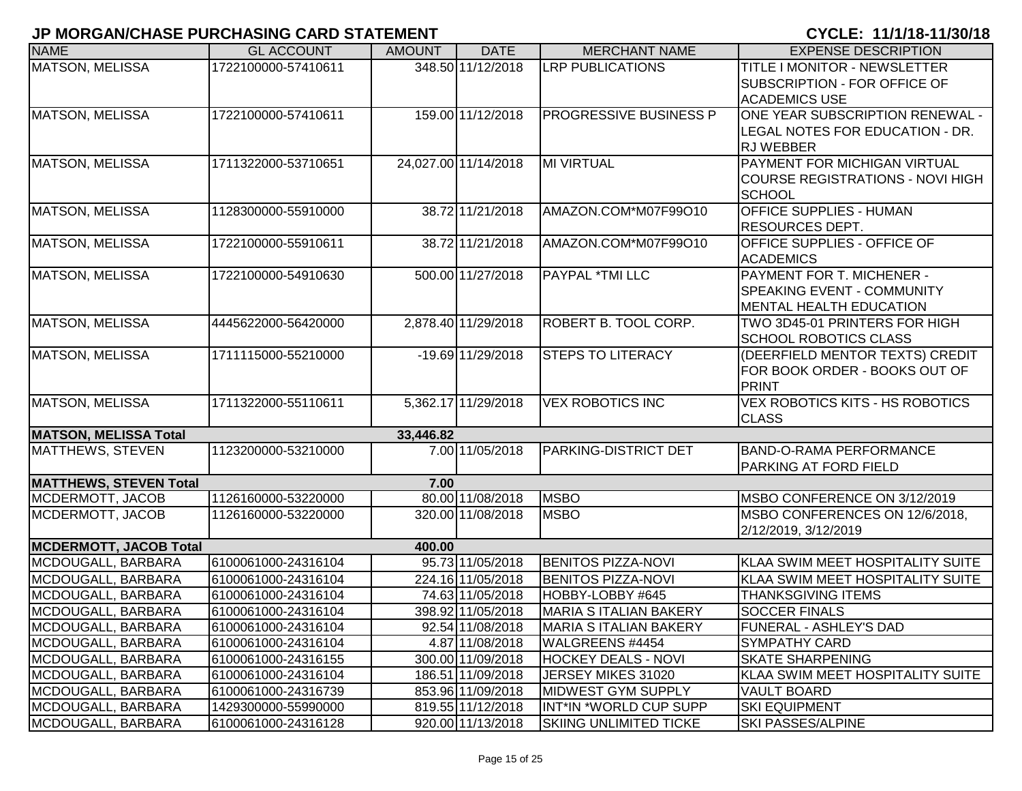| <b>NAME</b>                   | <b>GL ACCOUNT</b>   | <b>AMOUNT</b> | <b>DATE</b>          | <b>MERCHANT NAME</b>          | <b>EXPENSE DESCRIPTION</b>                                                                         |
|-------------------------------|---------------------|---------------|----------------------|-------------------------------|----------------------------------------------------------------------------------------------------|
| <b>MATSON, MELISSA</b>        | 1722100000-57410611 |               | 348.50 11/12/2018    | <b>LRP PUBLICATIONS</b>       | <b>TITLE I MONITOR - NEWSLETTER</b><br><b>SUBSCRIPTION - FOR OFFICE OF</b><br><b>ACADEMICS USE</b> |
| MATSON, MELISSA               | 1722100000-57410611 |               | 159.00 11/12/2018    | <b>PROGRESSIVE BUSINESS P</b> | ONE YEAR SUBSCRIPTION RENEWAL -<br>LEGAL NOTES FOR EDUCATION - DR.<br><b>RJ WEBBER</b>             |
| MATSON, MELISSA               | 1711322000-53710651 |               | 24,027.00 11/14/2018 | MI VIRTUAL                    | PAYMENT FOR MICHIGAN VIRTUAL<br><b>COURSE REGISTRATIONS - NOVI HIGH</b><br><b>SCHOOL</b>           |
| <b>MATSON, MELISSA</b>        | 1128300000-55910000 |               | 38.72 11/21/2018     | AMAZON.COM*M07F99O10          | <b>OFFICE SUPPLIES - HUMAN</b><br><b>RESOURCES DEPT.</b>                                           |
| MATSON, MELISSA               | 1722100000-55910611 |               | 38.72 11/21/2018     | AMAZON.COM*M07F99O10          | <b>OFFICE SUPPLIES - OFFICE OF</b><br><b>ACADEMICS</b>                                             |
| MATSON, MELISSA               | 1722100000-54910630 |               | 500.00 11/27/2018    | <b>PAYPAL *TMI LLC</b>        | PAYMENT FOR T. MICHENER -<br><b>SPEAKING EVENT - COMMUNITY</b><br><b>MENTAL HEALTH EDUCATION</b>   |
| <b>MATSON, MELISSA</b>        | 4445622000-56420000 |               | 2,878.40 11/29/2018  | ROBERT B. TOOL CORP.          | TWO 3D45-01 PRINTERS FOR HIGH<br><b>SCHOOL ROBOTICS CLASS</b>                                      |
| <b>MATSON, MELISSA</b>        | 1711115000-55210000 |               | -19.69 11/29/2018    | <b>STEPS TO LITERACY</b>      | (DEERFIELD MENTOR TEXTS) CREDIT<br>FOR BOOK ORDER - BOOKS OUT OF<br>PRINT                          |
| <b>MATSON, MELISSA</b>        | 1711322000-55110611 |               | 5,362.17 11/29/2018  | <b>VEX ROBOTICS INC</b>       | <b>VEX ROBOTICS KITS - HS ROBOTICS</b><br><b>CLASS</b>                                             |
| <b>MATSON, MELISSA Total</b>  |                     | 33,446.82     |                      |                               |                                                                                                    |
| <b>MATTHEWS, STEVEN</b>       | 1123200000-53210000 |               | 7.00 11/05/2018      | PARKING-DISTRICT DET          | BAND-O-RAMA PERFORMANCE<br>PARKING AT FORD FIELD                                                   |
| <b>MATTHEWS, STEVEN Total</b> |                     | 7.00          |                      |                               |                                                                                                    |
| MCDERMOTT, JACOB              | 1126160000-53220000 |               | 80.00 11/08/2018     | <b>MSBO</b>                   | MSBO CONFERENCE ON 3/12/2019                                                                       |
| MCDERMOTT, JACOB              | 1126160000-53220000 |               | 320.00 11/08/2018    | <b>MSBO</b>                   | MSBO CONFERENCES ON 12/6/2018,<br>2/12/2019, 3/12/2019                                             |
| <b>MCDERMOTT, JACOB Total</b> |                     | 400.00        |                      |                               |                                                                                                    |
| MCDOUGALL, BARBARA            | 6100061000-24316104 |               | 95.73 11/05/2018     | <b>BENITOS PIZZA-NOVI</b>     | KLAA SWIM MEET HOSPITALITY SUITE                                                                   |
| MCDOUGALL, BARBARA            | 6100061000-24316104 |               | 224.16 11/05/2018    | <b>BENITOS PIZZA-NOVI</b>     | KLAA SWIM MEET HOSPITALITY SUITE                                                                   |
| MCDOUGALL, BARBARA            | 6100061000-24316104 |               | 74.63 11/05/2018     | HOBBY-LOBBY #645              | <b>THANKSGIVING ITEMS</b>                                                                          |
| MCDOUGALL, BARBARA            | 6100061000-24316104 |               | 398.92 11/05/2018    | <b>MARIA S ITALIAN BAKERY</b> | <b>SOCCER FINALS</b>                                                                               |
| MCDOUGALL, BARBARA            | 6100061000-24316104 |               | 92.54 11/08/2018     | MARIA S ITALIAN BAKERY        | <b>FUNERAL - ASHLEY'S DAD</b>                                                                      |
| MCDOUGALL, BARBARA            | 6100061000-24316104 |               | 4.87 11/08/2018      | WALGREENS #4454               | <b>SYMPATHY CARD</b>                                                                               |
| MCDOUGALL, BARBARA            | 6100061000-24316155 |               | 300.00 11/09/2018    | <b>HOCKEY DEALS - NOVI</b>    | <b>SKATE SHARPENING</b>                                                                            |
| MCDOUGALL, BARBARA            | 6100061000-24316104 |               | 186.51 11/09/2018    | JERSEY MIKES 31020            | KLAA SWIM MEET HOSPITALITY SUITE                                                                   |
| MCDOUGALL, BARBARA            | 6100061000-24316739 |               | 853.96 11/09/2018    | <b>MIDWEST GYM SUPPLY</b>     | <b>VAULT BOARD</b>                                                                                 |
| MCDOUGALL, BARBARA            | 1429300000-55990000 |               | 819.55 11/12/2018    | INT*IN *WORLD CUP SUPP        | <b>SKI EQUIPMENT</b>                                                                               |
| MCDOUGALL, BARBARA            | 6100061000-24316128 |               | 920.00 11/13/2018    | <b>SKIING UNLIMITED TICKE</b> | <b>SKI PASSES/ALPINE</b>                                                                           |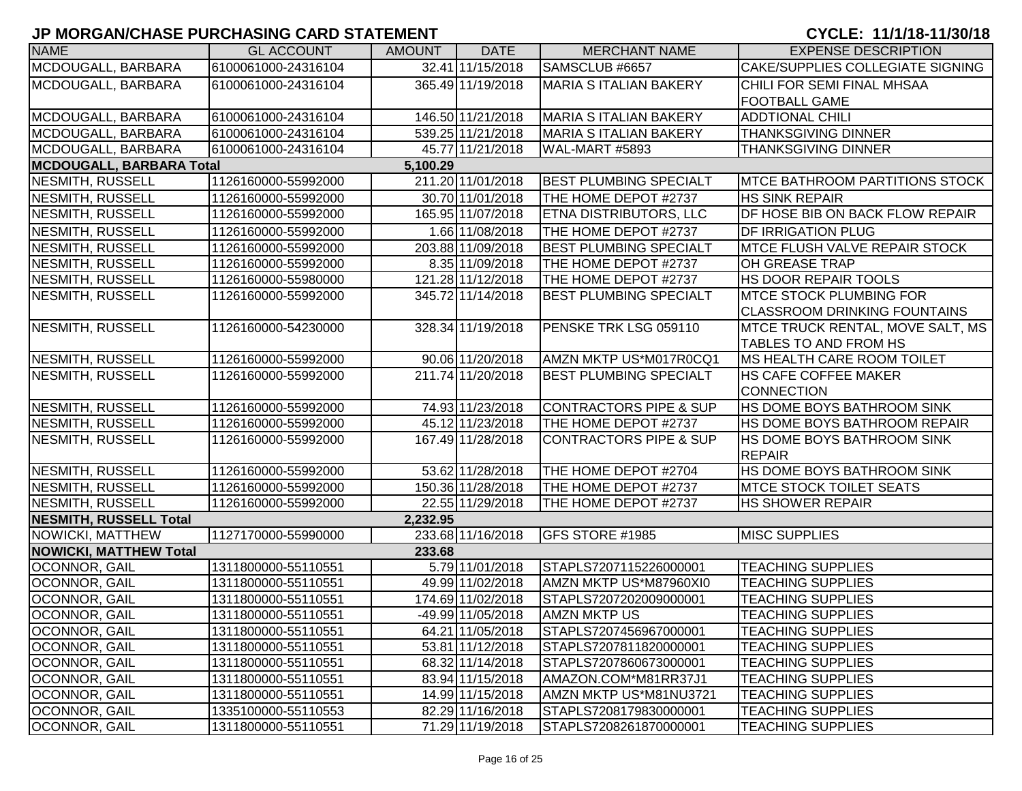| <b>NAME</b>                   | <b>GL ACCOUNT</b>   | <b>AMOUNT</b> | <b>DATE</b>       | <b>MERCHANT NAME</b>              | <b>EXPENSE DESCRIPTION</b>             |
|-------------------------------|---------------------|---------------|-------------------|-----------------------------------|----------------------------------------|
| MCDOUGALL, BARBARA            | 6100061000-24316104 |               | 32.41 11/15/2018  | SAMSCLUB #6657                    | CAKE/SUPPLIES COLLEGIATE SIGNING       |
| MCDOUGALL, BARBARA            | 6100061000-24316104 |               | 365.49 11/19/2018 | <b>MARIA S ITALIAN BAKERY</b>     | CHILI FOR SEMI FINAL MHSAA             |
|                               |                     |               |                   |                                   | <b>FOOTBALL GAME</b>                   |
| MCDOUGALL, BARBARA            | 6100061000-24316104 |               | 146.50 11/21/2018 | <b>MARIA S ITALIAN BAKERY</b>     | <b>ADDTIONAL CHILI</b>                 |
| MCDOUGALL, BARBARA            | 6100061000-24316104 |               | 539.25 11/21/2018 | MARIA S ITALIAN BAKERY            | <b>THANKSGIVING DINNER</b>             |
| MCDOUGALL, BARBARA            | 6100061000-24316104 |               | 45.77 11/21/2018  | WAL-MART #5893                    | <b>THANKSGIVING DINNER</b>             |
| MCDOUGALL, BARBARA Total      |                     | 5,100.29      |                   |                                   |                                        |
| <b>NESMITH, RUSSELL</b>       | 1126160000-55992000 |               | 211.20 11/01/2018 | <b>BEST PLUMBING SPECIALT</b>     | <b>IMTCE BATHROOM PARTITIONS STOCK</b> |
| <b>NESMITH, RUSSELL</b>       | 1126160000-55992000 |               | 30.70 11/01/2018  | THE HOME DEPOT #2737              | <b>HS SINK REPAIR</b>                  |
| <b>NESMITH, RUSSELL</b>       | 1126160000-55992000 |               | 165.95 11/07/2018 | ETNA DISTRIBUTORS, LLC            | DF HOSE BIB ON BACK FLOW REPAIR        |
| <b>NESMITH, RUSSELL</b>       | 1126160000-55992000 |               | 1.66 11/08/2018   | THE HOME DEPOT #2737              | <b>DF IRRIGATION PLUG</b>              |
| NESMITH, RUSSELL              | 1126160000-55992000 |               | 203.88 11/09/2018 | <b>BEST PLUMBING SPECIALT</b>     | <b>MTCE FLUSH VALVE REPAIR STOCK</b>   |
| NESMITH, RUSSELL              | 1126160000-55992000 |               | 8.35 11/09/2018   | THE HOME DEPOT #2737              | OH GREASE TRAP                         |
| NESMITH, RUSSELL              | 1126160000-55980000 |               | 121.28 11/12/2018 | THE HOME DEPOT #2737              | HS DOOR REPAIR TOOLS                   |
| NESMITH, RUSSELL              | 1126160000-55992000 |               | 345.72 11/14/2018 | <b>BEST PLUMBING SPECIALT</b>     | <b>IMTCE STOCK PLUMBING FOR</b>        |
|                               |                     |               |                   |                                   | CLASSROOM DRINKING FOUNTAINS           |
| NESMITH, RUSSELL              | 1126160000-54230000 |               | 328.34 11/19/2018 | PENSKE TRK LSG 059110             | MTCE TRUCK RENTAL, MOVE SALT, MS       |
|                               |                     |               |                   |                                   | TABLES TO AND FROM HS                  |
| NESMITH, RUSSELL              | 1126160000-55992000 |               | 90.06 11/20/2018  | AMZN MKTP US*M017R0CQ1            | <b>IMS HEALTH CARE ROOM TOILET</b>     |
| <b>NESMITH, RUSSELL</b>       | 1126160000-55992000 |               | 211.74 11/20/2018 | <b>BEST PLUMBING SPECIALT</b>     | <b>HS CAFE COFFEE MAKER</b>            |
|                               |                     |               |                   |                                   | <b>CONNECTION</b>                      |
| NESMITH, RUSSELL              | 1126160000-55992000 |               | 74.93 11/23/2018  | CONTRACTORS PIPE & SUP            | HS DOME BOYS BATHROOM SINK             |
| NESMITH, RUSSELL              | 1126160000-55992000 |               | 45.12 11/23/2018  | THE HOME DEPOT #2737              | HS DOME BOYS BATHROOM REPAIR           |
| NESMITH, RUSSELL              | 1126160000-55992000 |               | 167.49 11/28/2018 | <b>CONTRACTORS PIPE &amp; SUP</b> | HS DOME BOYS BATHROOM SINK             |
|                               |                     |               |                   |                                   | REPAIR                                 |
| NESMITH, RUSSELL              | 1126160000-55992000 |               | 53.62 11/28/2018  | THE HOME DEPOT #2704              | HS DOME BOYS BATHROOM SINK             |
| NESMITH, RUSSELL              | 1126160000-55992000 |               | 150.36 11/28/2018 | THE HOME DEPOT #2737              | <b>IMTCE STOCK TOILET SEATS</b>        |
| NESMITH, RUSSELL              | 1126160000-55992000 |               | 22.55 11/29/2018  | THE HOME DEPOT #2737              | <b>HS SHOWER REPAIR</b>                |
| NESMITH, RUSSELL Total        |                     | 2,232.95      |                   |                                   |                                        |
| NOWICKI, MATTHEW              | 1127170000-55990000 |               | 233.68 11/16/2018 | GFS STORE #1985                   | <b>MISC SUPPLIES</b>                   |
| <b>NOWICKI, MATTHEW Total</b> |                     | 233.68        |                   |                                   |                                        |
| OCONNOR, GAIL                 | 1311800000-55110551 |               | 5.79 11/01/2018   | STAPLS7207115226000001            | <b>TEACHING SUPPLIES</b>               |
| OCONNOR, GAIL                 | 1311800000-55110551 |               | 49.99 11/02/2018  | AMZN MKTP US*M87960XI0            | <b>TEACHING SUPPLIES</b>               |
| <b>OCONNOR, GAIL</b>          | 1311800000-55110551 |               | 174.69 11/02/2018 | STAPLS7207202009000001            | <b>TEACHING SUPPLIES</b>               |
| OCONNOR, GAIL                 | 1311800000-55110551 |               | -49.99 11/05/2018 | <b>AMZN MKTP US</b>               | <b>TEACHING SUPPLIES</b>               |
| OCONNOR, GAIL                 | 1311800000-55110551 |               | 64.21 11/05/2018  | STAPLS7207456967000001            | <b>TEACHING SUPPLIES</b>               |
| OCONNOR, GAIL                 | 1311800000-55110551 |               | 53.81 11/12/2018  | STAPLS7207811820000001            | <b>TEACHING SUPPLIES</b>               |
| OCONNOR, GAIL                 | 1311800000-55110551 |               | 68.32 11/14/2018  | STAPLS7207860673000001            | <b>TEACHING SUPPLIES</b>               |
| OCONNOR, GAIL                 | 1311800000-55110551 |               | 83.94 11/15/2018  | AMAZON.COM*M81RR37J1              | <b>TEACHING SUPPLIES</b>               |
| OCONNOR, GAIL                 | 1311800000-55110551 |               | 14.99 11/15/2018  | AMZN MKTP US*M81NU3721            | <b>TEACHING SUPPLIES</b>               |
| OCONNOR, GAIL                 | 1335100000-55110553 |               | 82.29 11/16/2018  | STAPLS7208179830000001            | <b>TEACHING SUPPLIES</b>               |
| OCONNOR, GAIL                 | 1311800000-55110551 |               | 71.29 11/19/2018  | STAPLS7208261870000001            | <b>TEACHING SUPPLIES</b>               |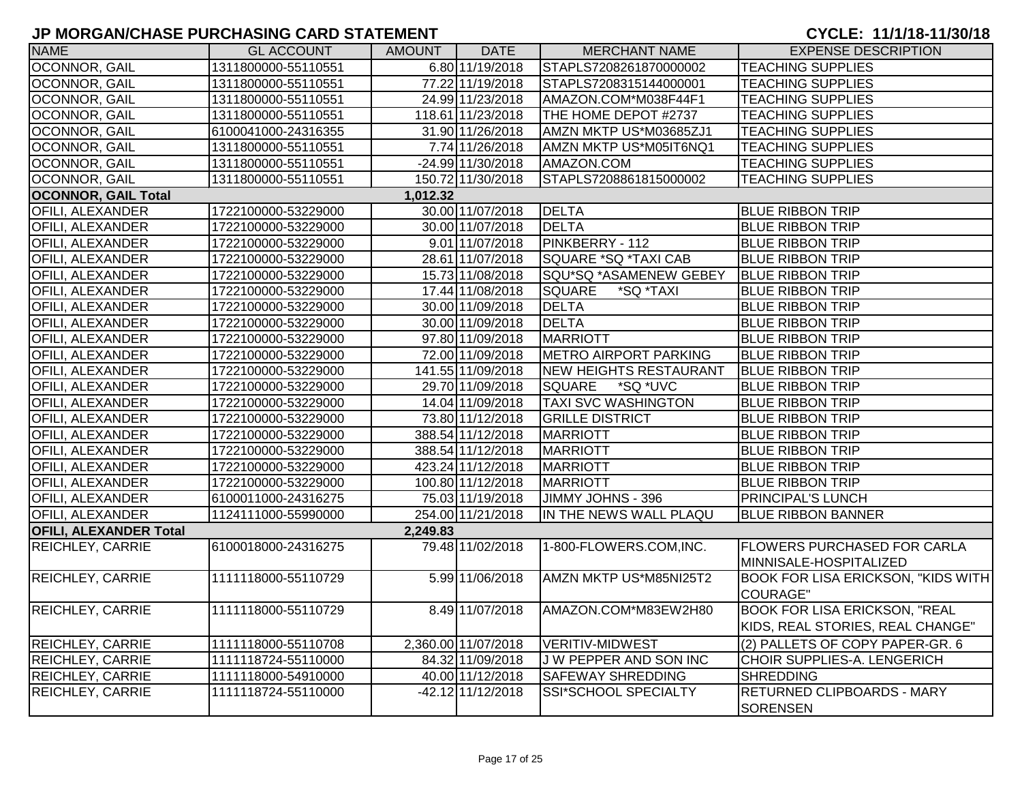| <b>NAME</b>                   | <b>GL ACCOUNT</b>   | AMOUNT   | <b>DATE</b>         | <b>MERCHANT NAME</b>          | <b>EXPENSE DESCRIPTION</b>                |
|-------------------------------|---------------------|----------|---------------------|-------------------------------|-------------------------------------------|
| <b>OCONNOR, GAIL</b>          | 1311800000-55110551 |          | 6.80 11/19/2018     | STAPLS7208261870000002        | <b>TEACHING SUPPLIES</b>                  |
| OCONNOR, GAIL                 | 1311800000-55110551 |          | 77.22 11/19/2018    | STAPLS7208315144000001        | <b>TEACHING SUPPLIES</b>                  |
| OCONNOR, GAIL                 | 1311800000-55110551 |          | 24.99 11/23/2018    | AMAZON.COM*M038F44F1          | <b>TEACHING SUPPLIES</b>                  |
| OCONNOR, GAIL                 | 1311800000-55110551 |          | 118.61 11/23/2018   | THE HOME DEPOT #2737          | <b>TEACHING SUPPLIES</b>                  |
| OCONNOR, GAIL                 | 6100041000-24316355 |          | 31.90 11/26/2018    | AMZN MKTP US*M03685ZJ1        | <b>TEACHING SUPPLIES</b>                  |
| OCONNOR, GAIL                 | 1311800000-55110551 |          | 7.74 11/26/2018     | AMZN MKTP US*M05IT6NQ1        | <b>TEACHING SUPPLIES</b>                  |
| OCONNOR, GAIL                 | 1311800000-55110551 |          | -24.99 11/30/2018   | AMAZON.COM                    | <b>TEACHING SUPPLIES</b>                  |
| OCONNOR, GAIL                 | 1311800000-55110551 |          | 150.72 11/30/2018   | STAPLS7208861815000002        | <b>TEACHING SUPPLIES</b>                  |
| <b>OCONNOR, GAIL Total</b>    |                     | 1,012.32 |                     |                               |                                           |
| OFILI, ALEXANDER              | 1722100000-53229000 |          | 30.00 11/07/2018    | DELTA                         | <b>BLUE RIBBON TRIP</b>                   |
| <b>OFILI, ALEXANDER</b>       | 1722100000-53229000 |          | 30.00 11/07/2018    | <b>DELTA</b>                  | <b>BLUE RIBBON TRIP</b>                   |
| <b>OFILI, ALEXANDER</b>       | 1722100000-53229000 |          | 9.01 11/07/2018     | PINKBERRY - 112               | <b>BLUE RIBBON TRIP</b>                   |
| <b>OFILI, ALEXANDER</b>       | 1722100000-53229000 |          | 28.61 11/07/2018    | SQUARE *SQ *TAXI CAB          | <b>BLUE RIBBON TRIP</b>                   |
| <b>OFILI, ALEXANDER</b>       | 1722100000-53229000 |          | 15.73 11/08/2018    | SQU*SQ *ASAMENEW GEBEY        | <b>BLUE RIBBON TRIP</b>                   |
| <b>OFILI, ALEXANDER</b>       | 1722100000-53229000 |          | 17.44 11/08/2018    | <b>SQUARE</b><br>*SQ *TAXI    | <b>BLUE RIBBON TRIP</b>                   |
| <b>OFILI, ALEXANDER</b>       | 1722100000-53229000 |          | 30.00 11/09/2018    | DELTA                         | <b>BLUE RIBBON TRIP</b>                   |
| <b>OFILI, ALEXANDER</b>       | 1722100000-53229000 |          | 30.00 11/09/2018    | DELTA                         | <b>BLUE RIBBON TRIP</b>                   |
| OFILI, ALEXANDER              | 1722100000-53229000 |          | 97.80 11/09/2018    | MARRIOTT                      | <b>BLUE RIBBON TRIP</b>                   |
| <b>OFILI, ALEXANDER</b>       | 1722100000-53229000 |          | 72.00 11/09/2018    | <b>METRO AIRPORT PARKING</b>  | <b>BLUE RIBBON TRIP</b>                   |
| <b>OFILI, ALEXANDER</b>       | 1722100000-53229000 |          | 141.55 11/09/2018   | <b>NEW HEIGHTS RESTAURANT</b> | <b>BLUE RIBBON TRIP</b>                   |
| <b>OFILI, ALEXANDER</b>       | 1722100000-53229000 |          | 29.70 11/09/2018    | *SQ *UVC<br><b>SQUARE</b>     | <b>BLUE RIBBON TRIP</b>                   |
| <b>OFILI, ALEXANDER</b>       | 1722100000-53229000 |          | 14.04 11/09/2018    | <b>TAXI SVC WASHINGTON</b>    | <b>BLUE RIBBON TRIP</b>                   |
| <b>OFILI, ALEXANDER</b>       | 1722100000-53229000 |          | 73.80 11/12/2018    | <b>GRILLE DISTRICT</b>        | <b>BLUE RIBBON TRIP</b>                   |
| <b>OFILI, ALEXANDER</b>       | 1722100000-53229000 |          | 388.54 11/12/2018   | MARRIOTT                      | <b>BLUE RIBBON TRIP</b>                   |
| <b>OFILI, ALEXANDER</b>       | 1722100000-53229000 |          | 388.54 11/12/2018   | <b>MARRIOTT</b>               | <b>BLUE RIBBON TRIP</b>                   |
| <b>OFILI, ALEXANDER</b>       | 1722100000-53229000 |          | 423.24 11/12/2018   | MARRIOTT                      | <b>BLUE RIBBON TRIP</b>                   |
| <b>OFILI, ALEXANDER</b>       | 1722100000-53229000 |          | 100.80 11/12/2018   | MARRIOTT                      | <b>BLUE RIBBON TRIP</b>                   |
| <b>OFILI, ALEXANDER</b>       | 6100011000-24316275 |          | 75.03 11/19/2018    | JIMMY JOHNS - 396             | PRINCIPAL'S LUNCH                         |
| <b>OFILI, ALEXANDER</b>       | 1124111000-55990000 |          | 254.00 11/21/2018   | IN THE NEWS WALL PLAQU        | <b>BLUE RIBBON BANNER</b>                 |
| <b>OFILI, ALEXANDER Total</b> |                     | 2,249.83 |                     |                               |                                           |
| <b>REICHLEY, CARRIE</b>       | 6100018000-24316275 |          | 79.48 11/02/2018    | 1-800-FLOWERS.COM,INC.        | <b>FLOWERS PURCHASED FOR CARLA</b>        |
|                               |                     |          |                     |                               | MINNISALE-HOSPITALIZED                    |
| REICHLEY, CARRIE              | 1111118000-55110729 |          | 5.99 11/06/2018     | AMZN MKTP US*M85NI25T2        | <b>BOOK FOR LISA ERICKSON, "KIDS WITH</b> |
|                               |                     |          |                     |                               | <b>COURAGE"</b>                           |
| <b>REICHLEY, CARRIE</b>       | 1111118000-55110729 |          | 8.49 11/07/2018     | AMAZON.COM*M83EW2H80          | <b>BOOK FOR LISA ERICKSON, "REAL</b>      |
|                               |                     |          |                     |                               | KIDS, REAL STORIES, REAL CHANGE"          |
| REICHLEY, CARRIE              | 1111118000-55110708 |          | 2,360.00 11/07/2018 | <b>VERITIV-MIDWEST</b>        | (2) PALLETS OF COPY PAPER-GR. 6           |
| <b>REICHLEY, CARRIE</b>       | 1111118724-55110000 |          | 84.32 11/09/2018    | J W PEPPER AND SON INC        | CHOIR SUPPLIES-A. LENGERICH               |
| <b>REICHLEY, CARRIE</b>       | 1111118000-54910000 |          | 40.00 11/12/2018    | <b>SAFEWAY SHREDDING</b>      | <b>SHREDDING</b>                          |
| <b>REICHLEY, CARRIE</b>       | 1111118724-55110000 |          | $-42.12$ 11/12/2018 | <b>SSI*SCHOOL SPECIALTY</b>   | RETURNED CLIPBOARDS - MARY                |
|                               |                     |          |                     |                               | SORENSEN                                  |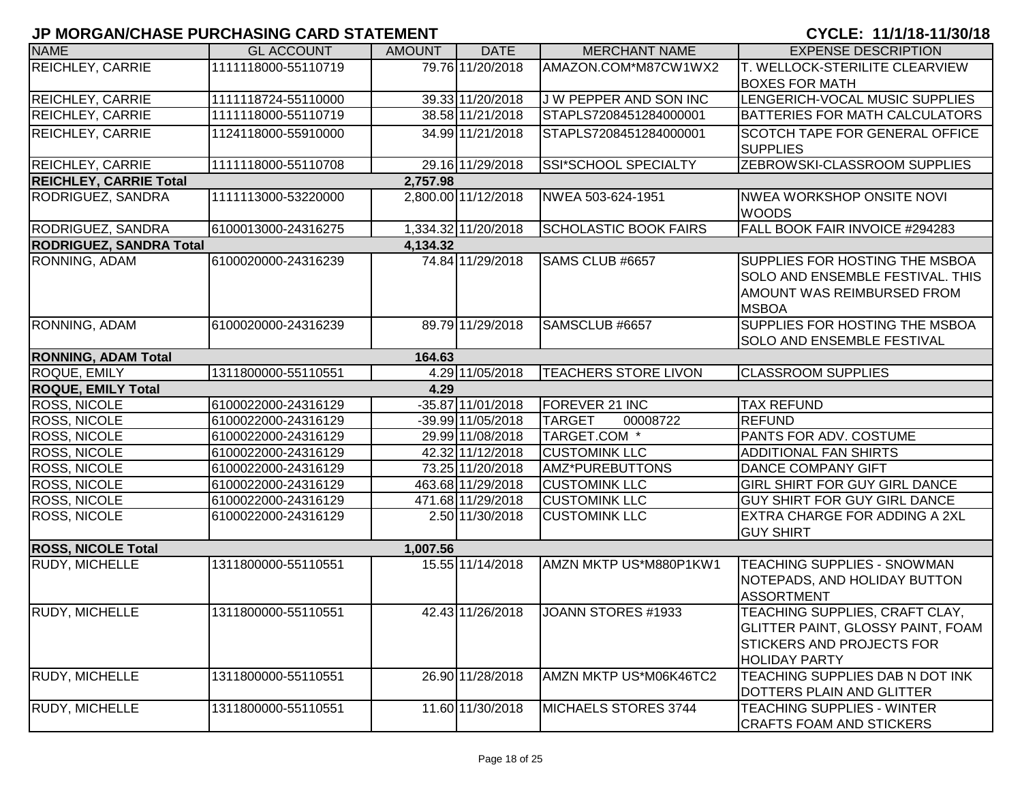| <b>NAME</b>                    | <b>GL ACCOUNT</b>   | <b>AMOUNT</b> | <b>DATE</b>         | <b>MERCHANT NAME</b>         | <b>EXPENSE DESCRIPTION</b>                       |  |  |  |  |
|--------------------------------|---------------------|---------------|---------------------|------------------------------|--------------------------------------------------|--|--|--|--|
| <b>REICHLEY, CARRIE</b>        | 1111118000-55110719 |               | 79.76 11/20/2018    | AMAZON.COM*M87CW1WX2         | T. WELLOCK-STERILITE CLEARVIEW                   |  |  |  |  |
|                                |                     |               |                     |                              | <b>BOXES FOR MATH</b>                            |  |  |  |  |
| <b>REICHLEY, CARRIE</b>        | 1111118724-55110000 |               | 39.33 11/20/2018    | J W PEPPER AND SON INC       | LENGERICH-VOCAL MUSIC SUPPLIES                   |  |  |  |  |
| <b>REICHLEY, CARRIE</b>        | 1111118000-55110719 |               | 38.58 11/21/2018    | STAPLS7208451284000001       | <b>BATTERIES FOR MATH CALCULATORS</b>            |  |  |  |  |
| <b>REICHLEY, CARRIE</b>        | 1124118000-55910000 |               | 34.99 11/21/2018    | STAPLS7208451284000001       | SCOTCH TAPE FOR GENERAL OFFICE                   |  |  |  |  |
|                                |                     |               |                     |                              | <b>SUPPLIES</b>                                  |  |  |  |  |
| <b>REICHLEY, CARRIE</b>        | 1111118000-55110708 |               | 29.16 11/29/2018    | SSI*SCHOOL SPECIALTY         | ZEBROWSKI-CLASSROOM SUPPLIES                     |  |  |  |  |
| <b>REICHLEY, CARRIE Total</b>  |                     | 2,757.98      |                     |                              |                                                  |  |  |  |  |
| RODRIGUEZ, SANDRA              | 1111113000-53220000 |               | 2,800.00 11/12/2018 | NWEA 503-624-1951            | <b>NWEA WORKSHOP ONSITE NOVI</b><br><b>WOODS</b> |  |  |  |  |
| <b>RODRIGUEZ, SANDRA</b>       | 6100013000-24316275 |               | 1,334.32 11/20/2018 | <b>SCHOLASTIC BOOK FAIRS</b> | FALL BOOK FAIR INVOICE #294283                   |  |  |  |  |
| <b>RODRIGUEZ, SANDRA Total</b> |                     | 4,134.32      |                     |                              |                                                  |  |  |  |  |
| RONNING, ADAM                  | 6100020000-24316239 |               | 74.84 11/29/2018    | SAMS CLUB #6657              | SUPPLIES FOR HOSTING THE MSBOA                   |  |  |  |  |
|                                |                     |               |                     |                              | <b>SOLO AND ENSEMBLE FESTIVAL. THIS</b>          |  |  |  |  |
|                                |                     |               |                     |                              | AMOUNT WAS REIMBURSED FROM                       |  |  |  |  |
|                                |                     |               |                     |                              | <b>MSBOA</b>                                     |  |  |  |  |
| RONNING, ADAM                  | 6100020000-24316239 |               | 89.79 11/29/2018    | SAMSCLUB #6657               | SUPPLIES FOR HOSTING THE MSBOA                   |  |  |  |  |
|                                |                     |               |                     |                              | SOLO AND ENSEMBLE FESTIVAL                       |  |  |  |  |
| <b>RONNING, ADAM Total</b>     | 164.63              |               |                     |                              |                                                  |  |  |  |  |
| ROQUE, EMILY                   | 1311800000-55110551 |               | 4.29 11/05/2018     | <b>TEACHERS STORE LIVON</b>  | <b>CLASSROOM SUPPLIES</b>                        |  |  |  |  |
| <b>ROQUE, EMILY Total</b>      |                     | 4.29          |                     |                              |                                                  |  |  |  |  |
| <b>ROSS, NICOLE</b>            | 6100022000-24316129 |               | $-35.87$ 11/01/2018 | FOREVER 21 INC               | <b>TAX REFUND</b>                                |  |  |  |  |
| <b>ROSS, NICOLE</b>            | 6100022000-24316129 |               | -39.99 11/05/2018   | <b>TARGET</b><br>00008722    | <b>REFUND</b>                                    |  |  |  |  |
| <b>ROSS, NICOLE</b>            | 6100022000-24316129 |               | 29.99 11/08/2018    | TARGET.COM *                 | PANTS FOR ADV. COSTUME                           |  |  |  |  |
| ROSS, NICOLE                   | 6100022000-24316129 |               | 42.32 11/12/2018    | <b>CUSTOMINK LLC</b>         | <b>ADDITIONAL FAN SHIRTS</b>                     |  |  |  |  |
| <b>ROSS, NICOLE</b>            | 6100022000-24316129 |               | 73.25 11/20/2018    | AMZ*PUREBUTTONS              | DANCE COMPANY GIFT                               |  |  |  |  |
| <b>ROSS, NICOLE</b>            | 6100022000-24316129 |               | 463.68 11/29/2018   | <b>CUSTOMINK LLC</b>         | GIRL SHIRT FOR GUY GIRL DANCE                    |  |  |  |  |
| <b>ROSS, NICOLE</b>            | 6100022000-24316129 |               | 471.68 11/29/2018   | <b>CUSTOMINK LLC</b>         | GUY SHIRT FOR GUY GIRL DANCE                     |  |  |  |  |
| <b>ROSS, NICOLE</b>            | 6100022000-24316129 |               | 2.50 11/30/2018     | <b>CUSTOMINK LLC</b>         | <b>EXTRA CHARGE FOR ADDING A 2XL</b>             |  |  |  |  |
|                                |                     |               |                     |                              | <b>GUY SHIRT</b>                                 |  |  |  |  |
| <b>ROSS, NICOLE Total</b>      |                     | 1,007.56      |                     |                              |                                                  |  |  |  |  |
| <b>RUDY, MICHELLE</b>          | 1311800000-55110551 |               | 15.55 11/14/2018    | AMZN MKTP US*M880P1KW1       | TEACHING SUPPLIES - SNOWMAN                      |  |  |  |  |
|                                |                     |               |                     |                              | NOTEPADS, AND HOLIDAY BUTTON                     |  |  |  |  |
|                                |                     |               |                     |                              | <b>ASSORTMENT</b>                                |  |  |  |  |
| <b>RUDY, MICHELLE</b>          | 1311800000-55110551 |               | 42.43 11/26/2018    | JOANN STORES #1933           | TEACHING SUPPLIES, CRAFT CLAY,                   |  |  |  |  |
|                                |                     |               |                     |                              | <b>GLITTER PAINT, GLOSSY PAINT, FOAM</b>         |  |  |  |  |
|                                |                     |               |                     |                              | <b>STICKERS AND PROJECTS FOR</b>                 |  |  |  |  |
|                                |                     |               |                     |                              | <b>HOLIDAY PARTY</b>                             |  |  |  |  |
| <b>RUDY, MICHELLE</b>          | 1311800000-55110551 |               | 26.90 11/28/2018    | AMZN MKTP US*M06K46TC2       | TEACHING SUPPLIES DAB N DOT INK                  |  |  |  |  |
|                                |                     |               |                     |                              | DOTTERS PLAIN AND GLITTER                        |  |  |  |  |
| <b>RUDY, MICHELLE</b>          | 1311800000-55110551 |               | 11.60 11/30/2018    | MICHAELS STORES 3744         | <b>TEACHING SUPPLIES - WINTER</b>                |  |  |  |  |
|                                |                     |               |                     |                              | <b>CRAFTS FOAM AND STICKERS</b>                  |  |  |  |  |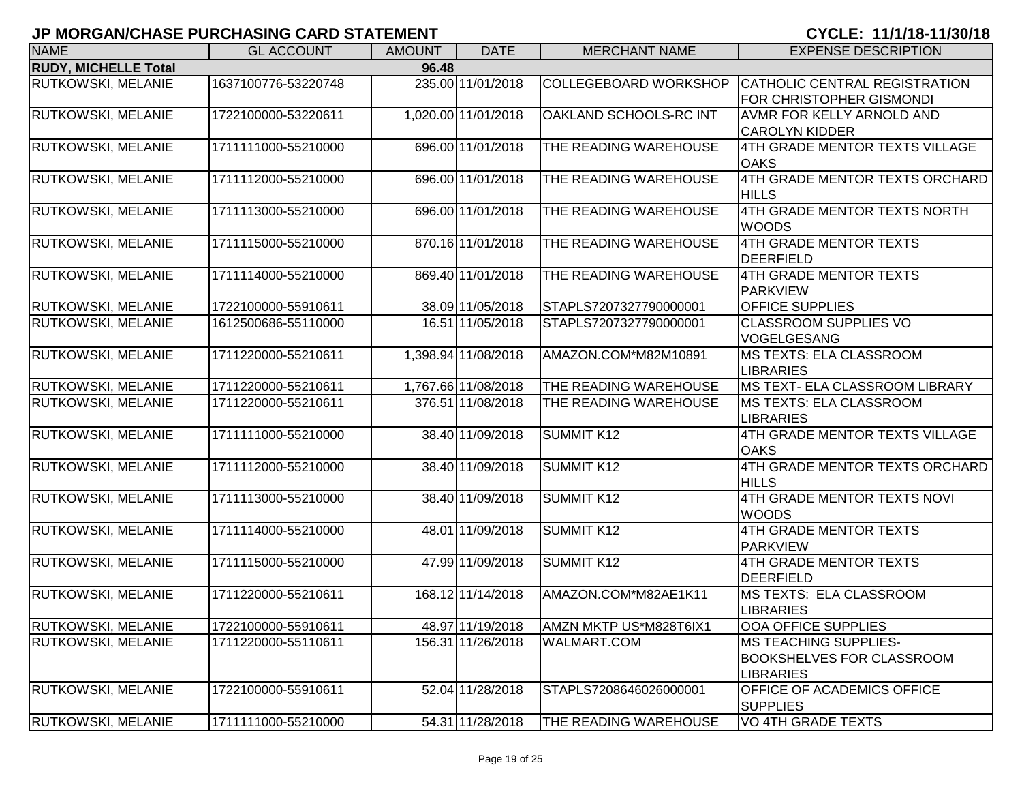| <b>NAME</b>                 | <b>GL ACCOUNT</b>   | <b>AMOUNT</b> | <b>DATE</b>         | <b>MERCHANT NAME</b>         | <b>EXPENSE DESCRIPTION</b>                                                            |
|-----------------------------|---------------------|---------------|---------------------|------------------------------|---------------------------------------------------------------------------------------|
| <b>RUDY, MICHELLE Total</b> |                     | 96.48         |                     |                              |                                                                                       |
| <b>RUTKOWSKI, MELANIE</b>   | 1637100776-53220748 |               | 235.00 11/01/2018   | <b>COLLEGEBOARD WORKSHOP</b> | CATHOLIC CENTRAL REGISTRATION<br><b>FOR CHRISTOPHER GISMONDI</b>                      |
| <b>RUTKOWSKI, MELANIE</b>   | 1722100000-53220611 |               | 1,020.00 11/01/2018 | OAKLAND SCHOOLS-RC INT       | <b>AVMR FOR KELLY ARNOLD AND</b><br><b>CAROLYN KIDDER</b>                             |
| <b>RUTKOWSKI, MELANIE</b>   | 1711111000-55210000 |               | 696.00 11/01/2018   | THE READING WAREHOUSE        | 4TH GRADE MENTOR TEXTS VILLAGE<br><b>OAKS</b>                                         |
| <b>RUTKOWSKI, MELANIE</b>   | 1711112000-55210000 |               | 696.00 11/01/2018   | THE READING WAREHOUSE        | 4TH GRADE MENTOR TEXTS ORCHARD<br><b>HILLS</b>                                        |
| <b>RUTKOWSKI, MELANIE</b>   | 1711113000-55210000 |               | 696.00 11/01/2018   | THE READING WAREHOUSE        | 4TH GRADE MENTOR TEXTS NORTH<br><b>WOODS</b>                                          |
| RUTKOWSKI, MELANIE          | 1711115000-55210000 |               | 870.16 11/01/2018   | THE READING WAREHOUSE        | 4TH GRADE MENTOR TEXTS<br>DEERFIELD                                                   |
| <b>RUTKOWSKI, MELANIE</b>   | 1711114000-55210000 |               | 869.40 11/01/2018   | THE READING WAREHOUSE        | 4TH GRADE MENTOR TEXTS<br>PARKVIEW                                                    |
| <b>RUTKOWSKI, MELANIE</b>   | 1722100000-55910611 |               | 38.09 11/05/2018    | STAPLS7207327790000001       | <b>OFFICE SUPPLIES</b>                                                                |
| <b>RUTKOWSKI, MELANIE</b>   | 1612500686-55110000 |               | 16.51 11/05/2018    | STAPLS7207327790000001       | <b>CLASSROOM SUPPLIES VO</b><br>VOGELGESANG                                           |
| RUTKOWSKI, MELANIE          | 1711220000-55210611 |               | 1,398.94 11/08/2018 | AMAZON.COM*M82M10891         | <b>MS TEXTS: ELA CLASSROOM</b><br><b>LIBRARIES</b>                                    |
| RUTKOWSKI, MELANIE          | 1711220000-55210611 |               | 1,767.66 11/08/2018 | THE READING WAREHOUSE        | <b>MS TEXT- ELA CLASSROOM LIBRARY</b>                                                 |
| <b>RUTKOWSKI, MELANIE</b>   | 1711220000-55210611 |               | 376.51 11/08/2018   | THE READING WAREHOUSE        | <b>IMS TEXTS: ELA CLASSROOM</b><br><b>LIBRARIES</b>                                   |
| RUTKOWSKI, MELANIE          | 1711111000-55210000 |               | 38.40 11/09/2018    | <b>SUMMIT K12</b>            | <b>4TH GRADE MENTOR TEXTS VILLAGE</b><br><b>OAKS</b>                                  |
| RUTKOWSKI, MELANIE          | 1711112000-55210000 |               | 38.40 11/09/2018    | SUMMIT K12                   | 4TH GRADE MENTOR TEXTS ORCHARD<br><b>HILLS</b>                                        |
| <b>RUTKOWSKI, MELANIE</b>   | 1711113000-55210000 |               | 38.40 11/09/2018    | <b>SUMMIT K12</b>            | 4TH GRADE MENTOR TEXTS NOVI<br><b>WOODS</b>                                           |
| <b>RUTKOWSKI, MELANIE</b>   | 1711114000-55210000 |               | 48.01 11/09/2018    | <b>SUMMIT K12</b>            | 4TH GRADE MENTOR TEXTS<br><b>PARKVIEW</b>                                             |
| <b>RUTKOWSKI, MELANIE</b>   | 1711115000-55210000 |               | 47.99 11/09/2018    | <b>SUMMIT K12</b>            | 4TH GRADE MENTOR TEXTS<br>DEERFIELD                                                   |
| <b>RUTKOWSKI, MELANIE</b>   | 1711220000-55210611 |               | 168.12 11/14/2018   | AMAZON.COM*M82AE1K11         | MS TEXTS: ELA CLASSROOM<br><b>LIBRARIES</b>                                           |
| <b>RUTKOWSKI, MELANIE</b>   | 1722100000-55910611 |               | 48.97 11/19/2018    | AMZN MKTP US*M828T6IX1       | OOA OFFICE SUPPLIES                                                                   |
| <b>RUTKOWSKI, MELANIE</b>   | 1711220000-55110611 |               | 156.31 11/26/2018   | <b>WALMART.COM</b>           | <b>IMS TEACHING SUPPLIES-</b><br><b>BOOKSHELVES FOR CLASSROOM</b><br><b>LIBRARIES</b> |
| <b>RUTKOWSKI, MELANIE</b>   | 1722100000-55910611 |               | 52.04 11/28/2018    | STAPLS7208646026000001       | <b>OFFICE OF ACADEMICS OFFICE</b><br><b>SUPPLIES</b>                                  |
| RUTKOWSKI, MELANIE          | 1711111000-55210000 |               | 54.31 11/28/2018    | THE READING WAREHOUSE        | VO 4TH GRADE TEXTS                                                                    |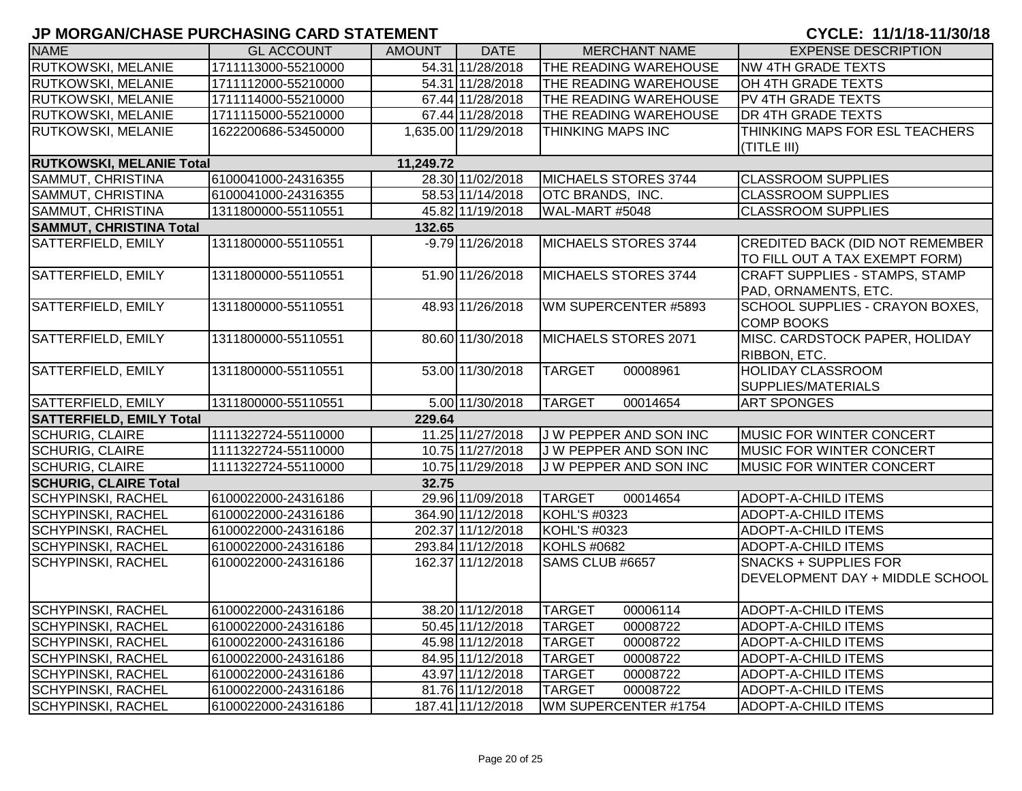| <b>NAME</b>                     | <b>GL ACCOUNT</b>   | <b>AMOUNT</b> | <b>DATE</b>         | <b>MERCHANT NAME</b>         | <b>EXPENSE DESCRIPTION</b>             |
|---------------------------------|---------------------|---------------|---------------------|------------------------------|----------------------------------------|
| <b>RUTKOWSKI, MELANIE</b>       | 1711113000-55210000 |               | 54.31 11/28/2018    | THE READING WAREHOUSE        | <b>NW 4TH GRADE TEXTS</b>              |
| RUTKOWSKI, MELANIE              | 1711112000-55210000 |               | 54.31 11/28/2018    | THE READING WAREHOUSE        | OH 4TH GRADE TEXTS                     |
| RUTKOWSKI, MELANIE              | 1711114000-55210000 |               | 67.44 11/28/2018    | THE READING WAREHOUSE        | PV 4TH GRADE TEXTS                     |
| <b>RUTKOWSKI, MELANIE</b>       | 1711115000-55210000 |               | 67.44 11/28/2018    | THE READING WAREHOUSE        | <b>DR 4TH GRADE TEXTS</b>              |
| <b>RUTKOWSKI, MELANIE</b>       | 1622200686-53450000 |               | 1,635.00 11/29/2018 | THINKING MAPS INC            | THINKING MAPS FOR ESL TEACHERS         |
|                                 |                     |               |                     |                              | (TITLE III)                            |
| <b>RUTKOWSKI, MELANIE Total</b> |                     | 11,249.72     |                     |                              |                                        |
| SAMMUT, CHRISTINA               | 6100041000-24316355 |               | 28.30 11/02/2018    | MICHAELS STORES 3744         | <b>CLASSROOM SUPPLIES</b>              |
| SAMMUT, CHRISTINA               | 6100041000-24316355 |               | 58.53 11/14/2018    | <b>OTC BRANDS, INC.</b>      | <b>CLASSROOM SUPPLIES</b>              |
| SAMMUT, CHRISTINA               | 1311800000-55110551 |               | 45.82 11/19/2018    | WAL-MART #5048               | <b>CLASSROOM SUPPLIES</b>              |
| <b>SAMMUT, CHRISTINA Total</b>  |                     | 132.65        |                     |                              |                                        |
| SATTERFIELD, EMILY              | 1311800000-55110551 |               | $-9.79$ 11/26/2018  | MICHAELS STORES 3744         | <b>CREDITED BACK (DID NOT REMEMBER</b> |
|                                 |                     |               |                     |                              | TO FILL OUT A TAX EXEMPT FORM)         |
| SATTERFIELD, EMILY              | 1311800000-55110551 |               | 51.90 11/26/2018    | MICHAELS STORES 3744         | CRAFT SUPPLIES - STAMPS, STAMP         |
|                                 |                     |               |                     |                              | PAD, ORNAMENTS, ETC.                   |
| SATTERFIELD, EMILY              | 1311800000-55110551 |               | 48.93 11/26/2018    | WM SUPERCENTER #5893         | SCHOOL SUPPLIES - CRAYON BOXES,        |
|                                 |                     |               |                     |                              | <b>COMP BOOKS</b>                      |
| SATTERFIELD, EMILY              | 1311800000-55110551 |               | 80.60 11/30/2018    | MICHAELS STORES 2071         | MISC. CARDSTOCK PAPER, HOLIDAY         |
|                                 |                     |               |                     |                              | RIBBON, ETC.                           |
| SATTERFIELD, EMILY              | 1311800000-55110551 |               | 53.00 11/30/2018    | <b>TARGET</b><br>00008961    | <b>HOLIDAY CLASSROOM</b>               |
|                                 |                     |               |                     |                              | SUPPLIES/MATERIALS                     |
| SATTERFIELD, EMILY              | 1311800000-55110551 |               | 5.00 11/30/2018     | 00014654<br><b>TARGET</b>    | <b>ART SPONGES</b>                     |
| <b>SATTERFIELD, EMILY Total</b> |                     | 229.64        |                     |                              |                                        |
| <b>SCHURIG, CLAIRE</b>          | 1111322724-55110000 |               | 11.25 11/27/2018    | J W PEPPER AND SON INC       | MUSIC FOR WINTER CONCERT               |
| <b>SCHURIG, CLAIRE</b>          | 1111322724-55110000 |               | 10.75 11/27/2018    | <b>JW PEPPER AND SON INC</b> | <b>MUSIC FOR WINTER CONCERT</b>        |
| <b>SCHURIG, CLAIRE</b>          | 1111322724-55110000 |               | 10.75 11/29/2018    | J W PEPPER AND SON INC       | <b>MUSIC FOR WINTER CONCERT</b>        |
| <b>SCHURIG, CLAIRE Total</b>    |                     | 32.75         |                     |                              |                                        |
| <b>SCHYPINSKI, RACHEL</b>       | 6100022000-24316186 |               | 29.96 11/09/2018    | <b>TARGET</b><br>00014654    | <b>ADOPT-A-CHILD ITEMS</b>             |
| <b>SCHYPINSKI, RACHEL</b>       | 6100022000-24316186 |               | 364.90 11/12/2018   | KOHL'S #0323                 | <b>ADOPT-A-CHILD ITEMS</b>             |
| <b>SCHYPINSKI, RACHEL</b>       | 6100022000-24316186 |               | 202.37 11/12/2018   | KOHL'S #0323                 | <b>ADOPT-A-CHILD ITEMS</b>             |
| <b>SCHYPINSKI, RACHEL</b>       | 6100022000-24316186 |               | 293.84 11/12/2018   | <b>KOHLS #0682</b>           | ADOPT-A-CHILD ITEMS                    |
| <b>SCHYPINSKI, RACHEL</b>       | 6100022000-24316186 |               | 162.37 11/12/2018   | SAMS CLUB #6657              | <b>SNACKS + SUPPLIES FOR</b>           |
|                                 |                     |               |                     |                              | DEVELOPMENT DAY + MIDDLE SCHOOL        |
|                                 |                     |               |                     |                              |                                        |
| <b>SCHYPINSKI, RACHEL</b>       | 6100022000-24316186 |               | 38.20 11/12/2018    | <b>TARGET</b><br>00006114    | <b>ADOPT-A-CHILD ITEMS</b>             |
| <b>SCHYPINSKI, RACHEL</b>       | 6100022000-24316186 |               | 50.45 11/12/2018    | <b>TARGET</b><br>00008722    | ADOPT-A-CHILD ITEMS                    |
| <b>SCHYPINSKI, RACHEL</b>       | 6100022000-24316186 |               | 45.98 11/12/2018    | <b>TARGET</b><br>00008722    | <b>ADOPT-A-CHILD ITEMS</b>             |
| <b>SCHYPINSKI, RACHEL</b>       | 6100022000-24316186 |               | 84.95 11/12/2018    | <b>TARGET</b><br>00008722    | <b>ADOPT-A-CHILD ITEMS</b>             |
| <b>SCHYPINSKI, RACHEL</b>       | 6100022000-24316186 |               | 43.97 11/12/2018    | <b>TARGET</b><br>00008722    | ADOPT-A-CHILD ITEMS                    |
| <b>SCHYPINSKI, RACHEL</b>       | 6100022000-24316186 |               | 81.76 11/12/2018    | <b>TARGET</b><br>00008722    | ADOPT-A-CHILD ITEMS                    |
| <b>SCHYPINSKI, RACHEL</b>       | 6100022000-24316186 |               | 187.41 11/12/2018   | WM SUPERCENTER #1754         | <b>ADOPT-A-CHILD ITEMS</b>             |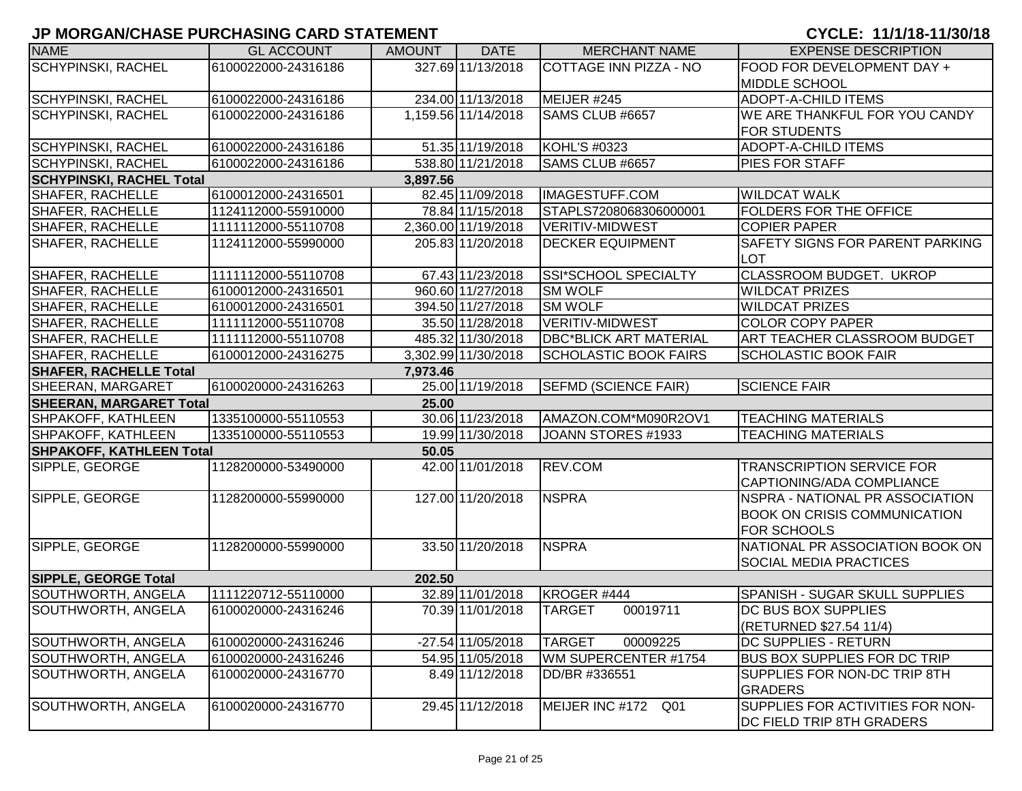| <b>NAME</b>                     | <b>GL ACCOUNT</b>   | <b>AMOUNT</b> | <b>DATE</b>         | <b>MERCHANT NAME</b>          | <b>EXPENSE DESCRIPTION</b>             |
|---------------------------------|---------------------|---------------|---------------------|-------------------------------|----------------------------------------|
| <b>SCHYPINSKI, RACHEL</b>       | 6100022000-24316186 |               | 327.69 11/13/2018   | <b>COTTAGE INN PIZZA - NO</b> | FOOD FOR DEVELOPMENT DAY +             |
|                                 |                     |               |                     |                               | <b>MIDDLE SCHOOL</b>                   |
| <b>SCHYPINSKI, RACHEL</b>       | 6100022000-24316186 |               | 234.00 11/13/2018   | MEIJER #245                   | <b>ADOPT-A-CHILD ITEMS</b>             |
| <b>SCHYPINSKI, RACHEL</b>       | 6100022000-24316186 |               | 1,159.56 11/14/2018 | <b>SAMS CLUB #6657</b>        | WE ARE THANKFUL FOR YOU CANDY          |
|                                 |                     |               |                     |                               | <b>FOR STUDENTS</b>                    |
| <b>SCHYPINSKI, RACHEL</b>       | 6100022000-24316186 |               | 51.35 11/19/2018    | KOHL'S #0323                  | <b>ADOPT-A-CHILD ITEMS</b>             |
| <b>SCHYPINSKI, RACHEL</b>       | 6100022000-24316186 |               | 538.80 11/21/2018   | SAMS CLUB #6657               | PIES FOR STAFF                         |
| <b>SCHYPINSKI, RACHEL Total</b> |                     | 3,897.56      |                     |                               |                                        |
| <b>SHAFER, RACHELLE</b>         | 6100012000-24316501 |               | 82.45 11/09/2018    | IMAGESTUFF.COM                | <b>WILDCAT WALK</b>                    |
| SHAFER, RACHELLE                | 1124112000-55910000 |               | 78.84 11/15/2018    | STAPLS7208068306000001        | <b>FOLDERS FOR THE OFFICE</b>          |
| <b>SHAFER, RACHELLE</b>         | 1111112000-55110708 |               | 2,360.00 11/19/2018 | VERITIV-MIDWEST               | <b>COPIER PAPER</b>                    |
| <b>SHAFER, RACHELLE</b>         | 1124112000-55990000 |               | 205.83 11/20/2018   | <b>DECKER EQUIPMENT</b>       | <b>SAFETY SIGNS FOR PARENT PARKING</b> |
|                                 |                     |               |                     |                               | <b>LOT</b>                             |
| SHAFER, RACHELLE                | 1111112000-55110708 |               | 67.43 11/23/2018    | <b>SSI*SCHOOL SPECIALTY</b>   | CLASSROOM BUDGET. UKROP                |
| <b>SHAFER, RACHELLE</b>         | 6100012000-24316501 |               | 960.60 11/27/2018   | <b>SM WOLF</b>                | <b>WILDCAT PRIZES</b>                  |
| <b>SHAFER, RACHELLE</b>         | 6100012000-24316501 |               | 394.50 11/27/2018   | <b>SM WOLF</b>                | <b>WILDCAT PRIZES</b>                  |
| <b>SHAFER, RACHELLE</b>         | 1111112000-55110708 |               | 35.50 11/28/2018    | VERITIV-MIDWEST               | <b>COLOR COPY PAPER</b>                |
| <b>SHAFER, RACHELLE</b>         | 1111112000-55110708 |               | 485.32 11/30/2018   | <b>DBC*BLICK ART MATERIAL</b> | ART TEACHER CLASSROOM BUDGET           |
| <b>SHAFER, RACHELLE</b>         | 6100012000-24316275 |               | 3,302.99 11/30/2018 | <b>SCHOLASTIC BOOK FAIRS</b>  | <b>SCHOLASTIC BOOK FAIR</b>            |
| <b>SHAFER, RACHELLE Total</b>   |                     | 7,973.46      |                     |                               |                                        |
| <b>SHEERAN, MARGARET</b>        | 6100020000-24316263 |               | 25.00 11/19/2018    | <b>SEFMD (SCIENCE FAIR)</b>   | <b>SCIENCE FAIR</b>                    |
| <b>SHEERAN, MARGARET Total</b>  |                     | 25.00         |                     |                               |                                        |
| <b>SHPAKOFF, KATHLEEN</b>       | 1335100000-55110553 |               | 30.06 11/23/2018    | AMAZON.COM*M090R2OV1          | <b>TEACHING MATERIALS</b>              |
| <b>SHPAKOFF, KATHLEEN</b>       | 1335100000-55110553 |               | 19.99 11/30/2018    | JOANN STORES #1933            | <b>TEACHING MATERIALS</b>              |
| <b>SHPAKOFF, KATHLEEN Total</b> |                     | 50.05         |                     |                               |                                        |
| SIPPLE, GEORGE                  | 1128200000-53490000 |               | 42.00 11/01/2018    | REV.COM                       | <b>TRANSCRIPTION SERVICE FOR</b>       |
|                                 |                     |               |                     |                               | CAPTIONING/ADA COMPLIANCE              |
| SIPPLE, GEORGE                  | 1128200000-55990000 |               | 127.00 11/20/2018   | <b>NSPRA</b>                  | NSPRA - NATIONAL PR ASSOCIATION        |
|                                 |                     |               |                     |                               | <b>BOOK ON CRISIS COMMUNICATION</b>    |
|                                 |                     |               |                     |                               | <b>FOR SCHOOLS</b>                     |
| SIPPLE, GEORGE                  | 1128200000-55990000 |               | 33.50 11/20/2018    | <b>NSPRA</b>                  | NATIONAL PR ASSOCIATION BOOK ON        |
|                                 |                     |               |                     |                               | <b>SOCIAL MEDIA PRACTICES</b>          |
| <b>SIPPLE, GEORGE Total</b>     |                     | 202.50        |                     |                               |                                        |
| <b>SOUTHWORTH, ANGELA</b>       | 1111220712-55110000 |               | 32.89 11/01/2018    | KROGER #444                   | SPANISH - SUGAR SKULL SUPPLIES         |
| SOUTHWORTH, ANGELA              | 6100020000-24316246 |               | 70.39 11/01/2018    | TARGET<br>00019711            | <b>DC BUS BOX SUPPLIES</b>             |
|                                 |                     |               |                     |                               | (RETURNED \$27.54 11/4)                |
| SOUTHWORTH, ANGELA              | 6100020000-24316246 |               | $-27.54$ 11/05/2018 | <b>TARGET</b><br>00009225     | DC SUPPLIES - RETURN                   |
| SOUTHWORTH, ANGELA              | 6100020000-24316246 |               | 54.95 11/05/2018    | WM SUPERCENTER #1754          | <b>BUS BOX SUPPLIES FOR DC TRIP</b>    |
| SOUTHWORTH, ANGELA              | 6100020000-24316770 |               | 8.49 11/12/2018     | DD/BR #336551                 | SUPPLIES FOR NON-DC TRIP 8TH           |
|                                 |                     |               |                     |                               | <b>GRADERS</b>                         |
| SOUTHWORTH, ANGELA              | 6100020000-24316770 |               | 29.45 11/12/2018    | MEIJER INC #172 Q01           | SUPPLIES FOR ACTIVITIES FOR NON-       |
|                                 |                     |               |                     |                               | DC FIELD TRIP 8TH GRADERS              |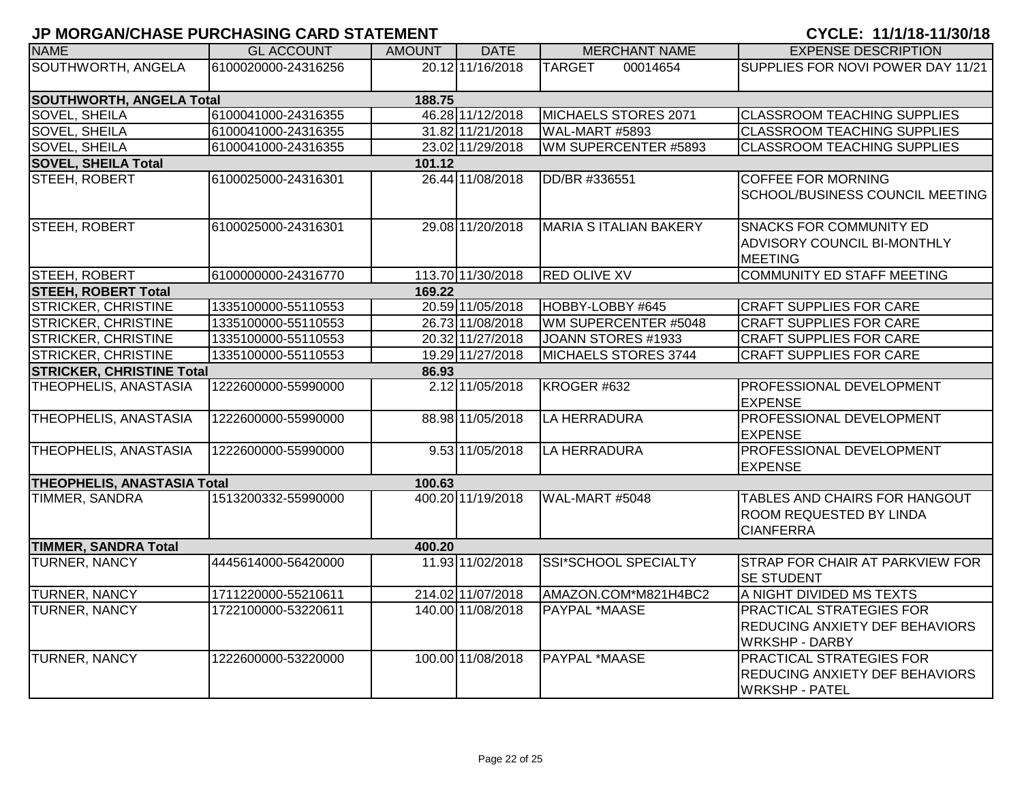| <b>NAME</b>                        | <b>GL ACCOUNT</b>   | <b>AMOUNT</b> | <b>DATE</b>                   | <b>MERCHANT NAME</b>          | <b>EXPENSE DESCRIPTION</b>                                                                        |
|------------------------------------|---------------------|---------------|-------------------------------|-------------------------------|---------------------------------------------------------------------------------------------------|
| SOUTHWORTH, ANGELA                 | 6100020000-24316256 |               | $\overline{20.12}$ 11/16/2018 | <b>TARGET</b><br>00014654     | SUPPLIES FOR NOVI POWER DAY 11/21                                                                 |
| SOUTHWORTH, ANGELA Total           |                     | 188.75        |                               |                               |                                                                                                   |
| <b>SOVEL, SHEILA</b>               | 6100041000-24316355 |               | 46.28 11/12/2018              | MICHAELS STORES 2071          | <b>CLASSROOM TEACHING SUPPLIES</b>                                                                |
| SOVEL, SHEILA                      | 6100041000-24316355 |               | 31.82 11/21/2018              | WAL-MART #5893                | <b>CLASSROOM TEACHING SUPPLIES</b>                                                                |
| SOVEL, SHEILA                      | 6100041000-24316355 |               | 23.02 11/29/2018              | WM SUPERCENTER #5893          | <b>CLASSROOM TEACHING SUPPLIES</b>                                                                |
| <b>SOVEL, SHEILA Total</b>         |                     | 101.12        |                               |                               |                                                                                                   |
| STEEH, ROBERT                      | 6100025000-24316301 |               | 26.44 11/08/2018              | DD/BR #336551                 | <b>COFFEE FOR MORNING</b><br><b>SCHOOL/BUSINESS COUNCIL MEETING</b>                               |
| STEEH, ROBERT                      | 6100025000-24316301 |               | 29.08 11/20/2018              | <b>MARIA S ITALIAN BAKERY</b> | <b>SNACKS FOR COMMUNITY ED</b><br>ADVISORY COUNCIL BI-MONTHLY<br><b>MEETING</b>                   |
| STEEH, ROBERT                      | 6100000000-24316770 |               | 113.70 11/30/2018             | <b>RED OLIVE XV</b>           | <b>COMMUNITY ED STAFF MEETING</b>                                                                 |
| <b>STEEH, ROBERT Total</b>         |                     | 169.22        |                               |                               |                                                                                                   |
| <b>STRICKER, CHRISTINE</b>         | 1335100000-55110553 |               | 20.59 11/05/2018              | HOBBY-LOBBY #645              | <b>CRAFT SUPPLIES FOR CARE</b>                                                                    |
| <b>STRICKER, CHRISTINE</b>         | 1335100000-55110553 |               | 26.73 11/08/2018              | WM SUPERCENTER #5048          | <b>CRAFT SUPPLIES FOR CARE</b>                                                                    |
| <b>STRICKER, CHRISTINE</b>         | 1335100000-55110553 |               | 20.32 11/27/2018              | JOANN STORES #1933            | <b>CRAFT SUPPLIES FOR CARE</b>                                                                    |
| <b>STRICKER, CHRISTINE</b>         | 1335100000-55110553 |               | 19.29 11/27/2018              | MICHAELS STORES 3744          | <b>CRAFT SUPPLIES FOR CARE</b>                                                                    |
| <b>STRICKER, CHRISTINE Total</b>   |                     | 86.93         |                               |                               |                                                                                                   |
| THEOPHELIS, ANASTASIA              | 1222600000-55990000 |               | 2.12 11/05/2018               | KROGER #632                   | PROFESSIONAL DEVELOPMENT<br><b>EXPENSE</b>                                                        |
| THEOPHELIS, ANASTASIA              | 1222600000-55990000 |               | 88.98 11/05/2018              | <b>LA HERRADURA</b>           | PROFESSIONAL DEVELOPMENT<br><b>EXPENSE</b>                                                        |
| THEOPHELIS, ANASTASIA              | 1222600000-55990000 |               | 9.53 11/05/2018               | LA HERRADURA                  | <b>PROFESSIONAL DEVELOPMENT</b><br><b>EXPENSE</b>                                                 |
| <b>THEOPHELIS, ANASTASIA Total</b> |                     | 100.63        |                               |                               |                                                                                                   |
| TIMMER, SANDRA                     | 1513200332-55990000 |               | 400.20 11/19/2018             | WAL-MART #5048                | TABLES AND CHAIRS FOR HANGOUT<br>ROOM REQUESTED BY LINDA<br><b>CIANFERRA</b>                      |
| <b>TIMMER, SANDRA Total</b>        |                     | 400.20        |                               |                               |                                                                                                   |
| <b>TURNER, NANCY</b>               | 4445614000-56420000 |               | 11.93 11/02/2018              | <b>SSI*SCHOOL SPECIALTY</b>   | STRAP FOR CHAIR AT PARKVIEW FOR<br><b>SE STUDENT</b>                                              |
| TURNER, NANCY                      | 1711220000-55210611 |               | 214.02 11/07/2018             | AMAZON.COM*M821H4BC2          | A NIGHT DIVIDED MS TEXTS                                                                          |
| TURNER, NANCY                      | 1722100000-53220611 |               | 140.00 11/08/2018             | PAYPAL *MAASE                 | PRACTICAL STRATEGIES FOR<br>REDUCING ANXIETY DEF BEHAVIORS<br><b>WRKSHP - DARBY</b>               |
| <b>TURNER, NANCY</b>               | 1222600000-53220000 |               | 100.00 11/08/2018             | PAYPAL *MAASE                 | <b>PRACTICAL STRATEGIES FOR</b><br><b>REDUCING ANXIETY DEF BEHAVIORS</b><br><b>WRKSHP - PATEL</b> |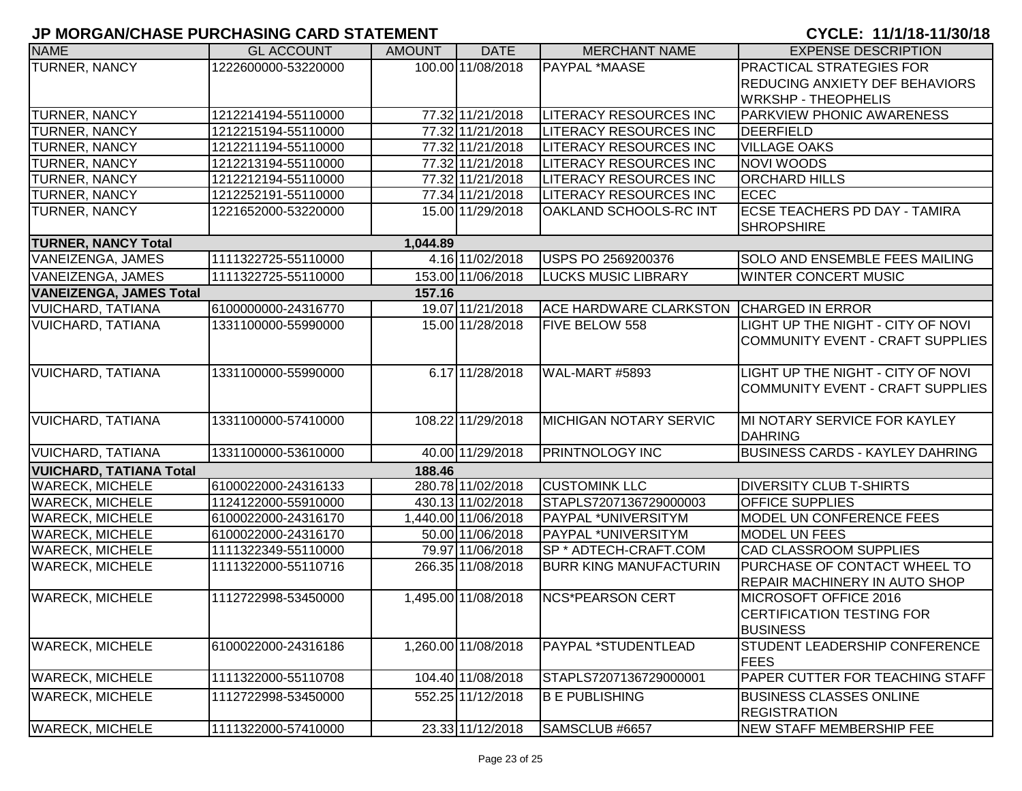| <b>NAME</b>                    | <b>GL ACCOUNT</b>   | <b>AMOUNT</b> | <b>DATE</b>         | <b>MERCHANT NAME</b>          | <b>EXPENSE DESCRIPTION</b>                                |
|--------------------------------|---------------------|---------------|---------------------|-------------------------------|-----------------------------------------------------------|
| <b>TURNER, NANCY</b>           | 1222600000-53220000 |               | 100.00 11/08/2018   | PAYPAL *MAASE                 | <b>PRACTICAL STRATEGIES FOR</b>                           |
|                                |                     |               |                     |                               | <b>REDUCING ANXIETY DEF BEHAVIORS</b>                     |
|                                |                     |               |                     |                               | <b>WRKSHP - THEOPHELIS</b>                                |
| TURNER, NANCY                  | 1212214194-55110000 |               | 77.32 11/21/2018    | <b>LITERACY RESOURCES INC</b> | <b>PARKVIEW PHONIC AWARENESS</b>                          |
| <b>TURNER, NANCY</b>           | 1212215194-55110000 |               | 77.32 11/21/2018    | LITERACY RESOURCES INC        | DEERFIELD                                                 |
| TURNER, NANCY                  | 1212211194-55110000 |               | 77.32 11/21/2018    | LITERACY RESOURCES INC        | <b>VILLAGE OAKS</b>                                       |
| TURNER, NANCY                  | 1212213194-55110000 |               | 77.32 11/21/2018    | <b>LITERACY RESOURCES INC</b> | NOVI WOODS                                                |
| <b>TURNER, NANCY</b>           | 1212212194-55110000 |               | 77.32 11/21/2018    | <b>LITERACY RESOURCES INC</b> | <b>ORCHARD HILLS</b>                                      |
| <b>TURNER, NANCY</b>           | 1212252191-55110000 |               | 77.34 11/21/2018    | <b>LITERACY RESOURCES INC</b> | <b>ECEC</b>                                               |
| TURNER, NANCY                  | 1221652000-53220000 |               | 15.00 11/29/2018    | OAKLAND SCHOOLS-RC INT        | <b>ECSE TEACHERS PD DAY - TAMIRA</b><br><b>SHROPSHIRE</b> |
| <b>TURNER, NANCY Total</b>     |                     | 1,044.89      |                     |                               |                                                           |
| VANEIZENGA, JAMES              | 1111322725-55110000 |               | 4.16 11/02/2018     | USPS PO 2569200376            | <b>SOLO AND ENSEMBLE FEES MAILING</b>                     |
| <b>VANEIZENGA, JAMES</b>       | 1111322725-55110000 |               | 153.00 11/06/2018   | <b>LUCKS MUSIC LIBRARY</b>    | <b>WINTER CONCERT MUSIC</b>                               |
| <b>VANEIZENGA, JAMES Total</b> |                     | 157.16        |                     |                               |                                                           |
| <b>VUICHARD, TATIANA</b>       | 6100000000-24316770 |               | 19.07 11/21/2018    | <b>ACE HARDWARE CLARKSTON</b> | <b>CHARGED IN ERROR</b>                                   |
| <b>VUICHARD, TATIANA</b>       | 1331100000-55990000 |               | 15.00 11/28/2018    | <b>FIVE BELOW 558</b>         | LIGHT UP THE NIGHT - CITY OF NOVI                         |
|                                |                     |               |                     |                               | COMMUNITY EVENT - CRAFT SUPPLIES                          |
|                                |                     |               |                     |                               |                                                           |
| <b>VUICHARD, TATIANA</b>       | 1331100000-55990000 |               | 6.17 11/28/2018     | WAL-MART #5893                | LIGHT UP THE NIGHT - CITY OF NOVI                         |
|                                |                     |               |                     |                               | COMMUNITY EVENT - CRAFT SUPPLIES                          |
|                                |                     |               |                     |                               |                                                           |
| <b>VUICHARD, TATIANA</b>       | 1331100000-57410000 |               | 108.22 11/29/2018   | <b>MICHIGAN NOTARY SERVIC</b> | MI NOTARY SERVICE FOR KAYLEY                              |
|                                |                     |               |                     |                               | DAHRING                                                   |
| <b>VUICHARD, TATIANA</b>       | 1331100000-53610000 |               | 40.00 11/29/2018    | <b>PRINTNOLOGY INC</b>        | <b>BUSINESS CARDS - KAYLEY DAHRING</b>                    |
| <b>VUICHARD, TATIANA Total</b> |                     | 188.46        |                     |                               |                                                           |
| <b>WARECK, MICHELE</b>         | 6100022000-24316133 |               | 280.78 11/02/2018   | <b>CUSTOMINK LLC</b>          | <b>DIVERSITY CLUB T-SHIRTS</b>                            |
| <b>WARECK, MICHELE</b>         | 1124122000-55910000 |               | 430.13 11/02/2018   | STAPLS7207136729000003        | <b>OFFICE SUPPLIES</b>                                    |
| <b>WARECK, MICHELE</b>         | 6100022000-24316170 |               | 1,440.00 11/06/2018 | PAYPAL *UNIVERSITYM           | MODEL UN CONFERENCE FEES                                  |
| <b>WARECK, MICHELE</b>         | 6100022000-24316170 |               | 50.00 11/06/2018    | PAYPAL *UNIVERSITYM           | <b>MODEL UN FEES</b>                                      |
| <b>WARECK, MICHELE</b>         | 1111322349-55110000 |               | 79.97 11/06/2018    | SP * ADTECH-CRAFT.COM         | <b>CAD CLASSROOM SUPPLIES</b>                             |
| <b>WARECK, MICHELE</b>         | 1111322000-55110716 |               | 266.35 11/08/2018   | <b>BURR KING MANUFACTURIN</b> | PURCHASE OF CONTACT WHEEL TO                              |
|                                |                     |               |                     |                               | <b>REPAIR MACHINERY IN AUTO SHOP</b>                      |
| <b>WARECK, MICHELE</b>         | 1112722998-53450000 |               | 1,495.00 11/08/2018 | <b>NCS*PEARSON CERT</b>       | MICROSOFT OFFICE 2016                                     |
|                                |                     |               |                     |                               | <b>CERTIFICATION TESTING FOR</b>                          |
|                                |                     |               |                     |                               | <b>BUSINESS</b>                                           |
| <b>WARECK, MICHELE</b>         | 6100022000-24316186 |               | 1,260.00 11/08/2018 | PAYPAL *STUDENTLEAD           | STUDENT LEADERSHIP CONFERENCE                             |
|                                |                     |               |                     |                               | <b>FEES</b>                                               |
| <b>WARECK, MICHELE</b>         | 1111322000-55110708 |               | 104.40 11/08/2018   | STAPLS7207136729000001        | PAPER CUTTER FOR TEACHING STAFF                           |
| <b>WARECK, MICHELE</b>         | 1112722998-53450000 |               | 552.25 11/12/2018   | <b>B E PUBLISHING</b>         | <b>BUSINESS CLASSES ONLINE</b>                            |
|                                |                     |               |                     |                               | <b>REGISTRATION</b>                                       |
| <b>WARECK, MICHELE</b>         | 1111322000-57410000 |               | 23.33 11/12/2018    | SAMSCLUB #6657                | <b>NEW STAFF MEMBERSHIP FEE</b>                           |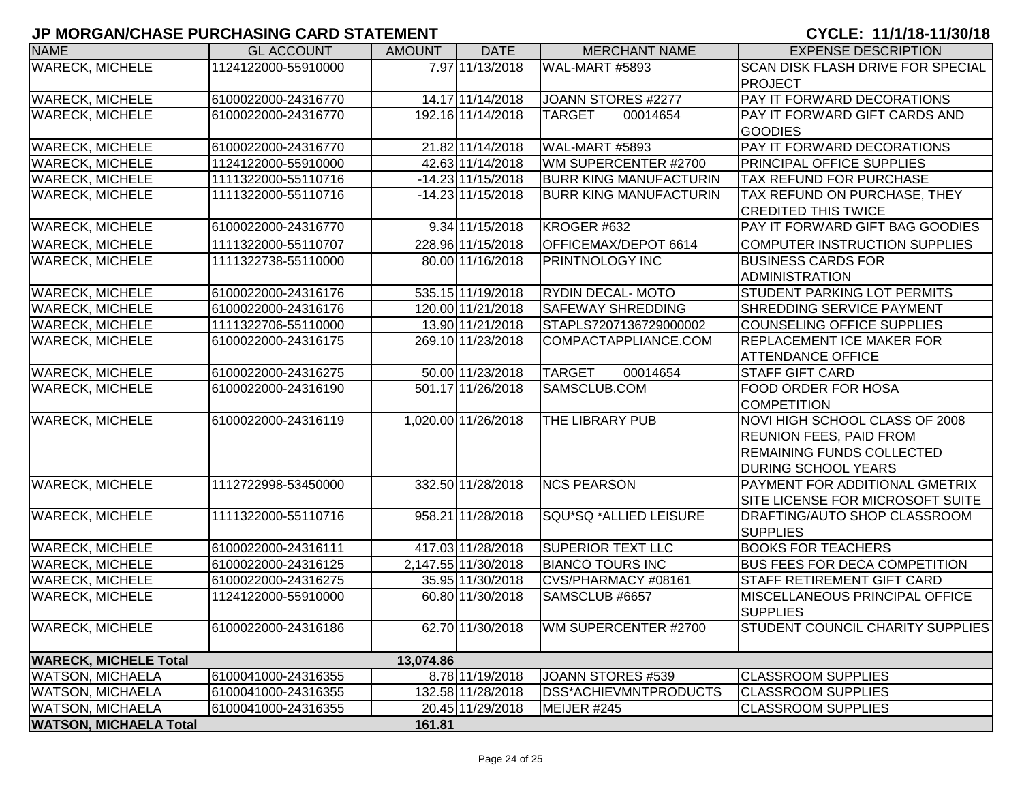| <b>NAME</b>                   | <b>GL ACCOUNT</b>   | <b>AMOUNT</b> | <b>DATE</b>         | <b>MERCHANT NAME</b>          | <b>EXPENSE DESCRIPTION</b>               |
|-------------------------------|---------------------|---------------|---------------------|-------------------------------|------------------------------------------|
| <b>WARECK, MICHELE</b>        | 1124122000-55910000 |               | 7.97 11/13/2018     | WAL-MART #5893                | <b>SCAN DISK FLASH DRIVE FOR SPECIAL</b> |
|                               |                     |               |                     |                               | <b>I</b> PROJECT                         |
| <b>WARECK, MICHELE</b>        | 6100022000-24316770 |               | 14.17 11/14/2018    | JOANN STORES #2277            | PAY IT FORWARD DECORATIONS               |
| <b>WARECK, MICHELE</b>        | 6100022000-24316770 |               | 192.16 11/14/2018   | <b>TARGET</b><br>00014654     | PAY IT FORWARD GIFT CARDS AND            |
|                               |                     |               |                     |                               | <b>GOODIES</b>                           |
| <b>WARECK, MICHELE</b>        | 6100022000-24316770 |               | 21.82 11/14/2018    | WAL-MART #5893                | PAY IT FORWARD DECORATIONS               |
| <b>WARECK, MICHELE</b>        | 1124122000-55910000 |               | 42.63 11/14/2018    | WM SUPERCENTER #2700          | <b>PRINCIPAL OFFICE SUPPLIES</b>         |
| <b>WARECK, MICHELE</b>        | 1111322000-55110716 |               | $-14.23$ 11/15/2018 | <b>BURR KING MANUFACTURIN</b> | <b>TAX REFUND FOR PURCHASE</b>           |
| <b>WARECK, MICHELE</b>        | 1111322000-55110716 |               | $-14.23$ 11/15/2018 | <b>BURR KING MANUFACTURIN</b> | TAX REFUND ON PURCHASE, THEY             |
|                               |                     |               |                     |                               | <b>CREDITED THIS TWICE</b>               |
| <b>WARECK, MICHELE</b>        | 6100022000-24316770 |               | 9.34 11/15/2018     | KROGER #632                   | PAY IT FORWARD GIFT BAG GOODIES          |
| <b>WARECK, MICHELE</b>        | 1111322000-55110707 |               | 228.96 11/15/2018   | OFFICEMAX/DEPOT 6614          | COMPUTER INSTRUCTION SUPPLIES            |
| <b>WARECK, MICHELE</b>        | 1111322738-55110000 |               | 80.00 11/16/2018    | <b>PRINTNOLOGY INC</b>        | <b>BUSINESS CARDS FOR</b>                |
|                               |                     |               |                     |                               | ADMINISTRATION                           |
| <b>WARECK, MICHELE</b>        | 6100022000-24316176 |               | 535.15 11/19/2018   | <b>RYDIN DECAL-MOTO</b>       | <b>STUDENT PARKING LOT PERMITS</b>       |
| <b>WARECK, MICHELE</b>        | 6100022000-24316176 |               | 120.00 11/21/2018   | <b>SAFEWAY SHREDDING</b>      | <b>SHREDDING SERVICE PAYMENT</b>         |
| <b>WARECK, MICHELE</b>        | 1111322706-55110000 |               | 13.90 11/21/2018    | STAPLS7207136729000002        | COUNSELING OFFICE SUPPLIES               |
| <b>WARECK, MICHELE</b>        | 6100022000-24316175 |               | 269.10 11/23/2018   | COMPACTAPPLIANCE.COM          | <b>REPLACEMENT ICE MAKER FOR</b>         |
|                               |                     |               |                     |                               | <b>ATTENDANCE OFFICE</b>                 |
| <b>WARECK, MICHELE</b>        | 6100022000-24316275 |               | 50.00 11/23/2018    | <b>TARGET</b><br>00014654     | <b>STAFF GIFT CARD</b>                   |
| <b>WARECK, MICHELE</b>        | 6100022000-24316190 |               | 501.17 11/26/2018   | SAMSCLUB.COM                  | <b>FOOD ORDER FOR HOSA</b>               |
|                               |                     |               |                     |                               | <b>COMPETITION</b>                       |
| <b>WARECK, MICHELE</b>        | 6100022000-24316119 |               | 1,020.00 11/26/2018 | <b>THE LIBRARY PUB</b>        | NOVI HIGH SCHOOL CLASS OF 2008           |
|                               |                     |               |                     |                               | <b>REUNION FEES, PAID FROM</b>           |
|                               |                     |               |                     |                               | <b>REMAINING FUNDS COLLECTED</b>         |
|                               |                     |               |                     |                               | <b>DURING SCHOOL YEARS</b>               |
| <b>WARECK, MICHELE</b>        | 1112722998-53450000 |               | 332.50 11/28/2018   | <b>NCS PEARSON</b>            | <b>PAYMENT FOR ADDITIONAL GMETRIX</b>    |
|                               |                     |               |                     |                               | SITE LICENSE FOR MICROSOFT SUITE         |
| <b>WARECK, MICHELE</b>        | 1111322000-55110716 |               | 958.21 11/28/2018   | SQU*SQ *ALLIED LEISURE        | DRAFTING/AUTO SHOP CLASSROOM             |
|                               |                     |               |                     |                               | <b>SUPPLIES</b>                          |
| <b>WARECK, MICHELE</b>        | 6100022000-24316111 |               | 417.03 11/28/2018   | <b>SUPERIOR TEXT LLC</b>      | <b>BOOKS FOR TEACHERS</b>                |
| <b>WARECK, MICHELE</b>        | 6100022000-24316125 |               | 2,147.55 11/30/2018 | <b>BIANCO TOURS INC</b>       | <b>BUS FEES FOR DECA COMPETITION</b>     |
| <b>WARECK, MICHELE</b>        | 6100022000-24316275 |               | 35.95 11/30/2018    | CVS/PHARMACY #08161           | <b>STAFF RETIREMENT GIFT CARD</b>        |
| <b>WARECK, MICHELE</b>        | 1124122000-55910000 |               | 60.80 11/30/2018    | SAMSCLUB #6657                | MISCELLANEOUS PRINCIPAL OFFICE           |
|                               |                     |               |                     |                               | <b>SUPPLIES</b>                          |
| <b>WARECK, MICHELE</b>        | 6100022000-24316186 |               | 62.70 11/30/2018    | WM SUPERCENTER #2700          | STUDENT COUNCIL CHARITY SUPPLIES         |
|                               |                     |               |                     |                               |                                          |
| <b>WARECK, MICHELE Total</b>  |                     | 13,074.86     |                     |                               |                                          |
| <b>WATSON, MICHAELA</b>       | 6100041000-24316355 |               | 8.78 11/19/2018     | JOANN STORES #539             | <b>CLASSROOM SUPPLIES</b>                |
| <b>WATSON, MICHAELA</b>       | 6100041000-24316355 |               | 132.58 11/28/2018   | <b>IDSS*ACHIEVMNTPRODUCTS</b> | <b>CLASSROOM SUPPLIES</b>                |
| <b>WATSON, MICHAELA</b>       | 6100041000-24316355 |               | 20.45 11/29/2018    | MEIJER #245                   | <b>CLASSROOM SUPPLIES</b>                |
| <b>WATSON, MICHAELA Total</b> |                     | 161.81        |                     |                               |                                          |